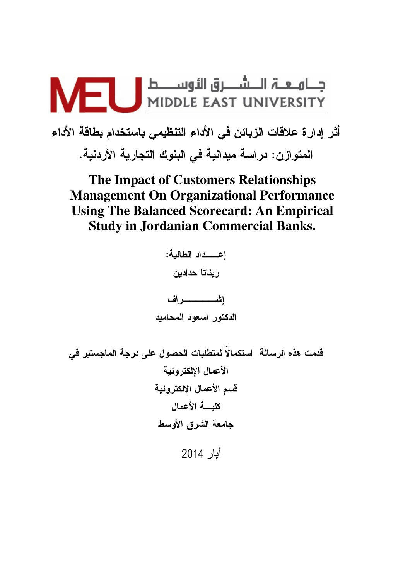

أثر إدارة علاقات الزبائن في الأداء التنظيمي باستخدام بطاقة الأداء المتوازن: دراسة ميدانية في البنوك التجارية الأردنية.

**The Impact of Customers Relationships Management On Organizational Performance Using The Balanced Scorecard: An Empirical Study in Jordanian Commercial Banks.** 

اعـــداد الطالبة: ريناتا حدادين الدكتور اسعود المحاميد قدمت هذه الرسالة استكمالاً لمتطلبات الحصول على درجة الماجستير في الأعمال الإلكترونية قسم الأعمال الإلكترونية كليسة الأعمال جامعة الشرق الأوسط أيار 2014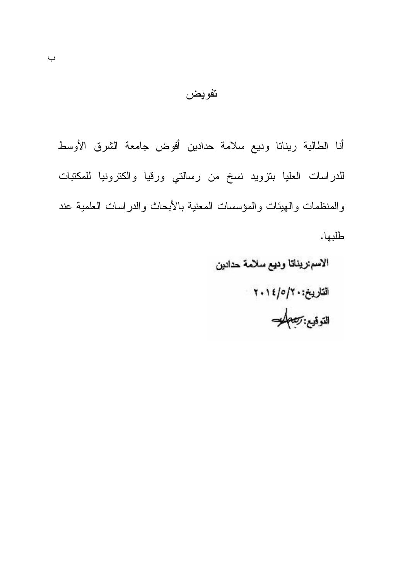أنا الطالبة ريناتا وديع سلامة حدادين أفوض جامعة الشرق الأوسط للدراسات العليا بنزويد نسخ من رسالتي ورقيا والكترونيا للمكتبات والمنظمات والهيئات والمؤسسات المعنية بالأبحاث والدراسات العلمية عند طلبها.

تفويض

الاسم ريناتا وديع سلامة حدادين التاريخ:۲۰/۰|۱۱۱ التوقيع: تصطلحت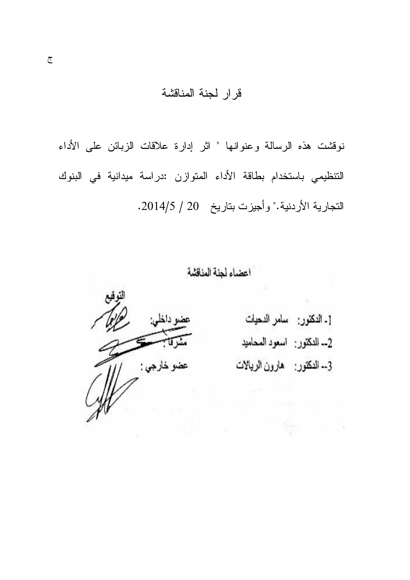# قرار لجنة المناقشة

نوفشت هذه الرسالة وعنوانها " اثر إدارة علاقات الزبائن على الأداء التنظيمي باستخدام بطاقة الأداء المتوازن :دراسة ميدانية في البنوك التجارية الأردنية." وأجيزت بتاريخ 2014/5/ 2014/5.

اعضاء لجنة المناقشة

عضو داخلی: عضو خارجي :

[ـ الدكتور<sub>:</sub> سامر الدحيات 2ــ النكتور : اسعود المحاميد 3-- النكتور: هارون الريالات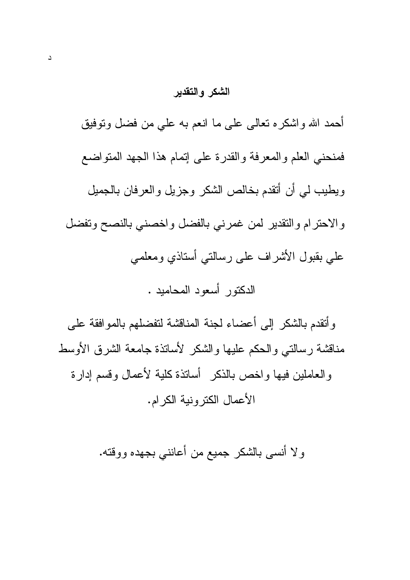### الشكر والتقدير

أحمد الله واشكره نعالى على ما انعم به على من فضل ونوفيق فمنحنى العلم والمعرفة والقدرة على إتمام هذا الجهد المنواضع ويطيب لمي أن أنقدم بخالص الشكر وجزيل والعرفان بالجميل والاحترام والتقدير لمن غمرني بالفضل واخصني بالنصح وتفضل على بقبول الأشراف على رسالتـى أستاذي ومعلمـى الدكتور أسعود المحاميد .

وأتقدم بالشكر إلى أعضاء لجنة المناقشة لتفضلهم بالموافقة على مناقشة رسالتي والحكم عليها والشكر لأسانذة جامعة الشرق الأوسط و العاملين فيها و اخص بالذكر أساتذة كلية لأعمال وقسم إدار ة الأعمال الكترونية الكرام.

ولا أنسبي بالشكر جميع من أعاننبي بجهده ووقته.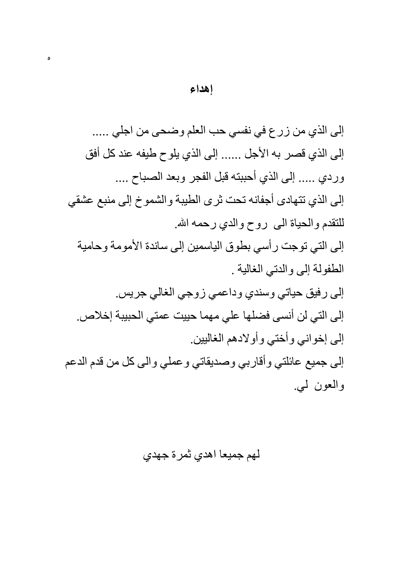إلى الذي من زرع في نفسي حب العلم وضحى من اجلي ..... إلى الذي قصر به الأجل ...... إلى الذي يلوح طيفه عند كل أفق وردى ..... إلى الذي أحببته قبل الفجر وبعد الصباح .... إلى الذي تتهادى أجفانه تحت ثرى الطيبة والشموخ إلى منبع عشقى للتقدم والحياة المي روح والدى رحمه الله. إلى التي توجت رأسي بطوق الياسمين إلى ساندة الأمومة وحامية الطفولة إلى والدتي الغالية . إلى رفيق حياتي وسندي وداعمي زوجي الغالي جريس. إلى التي لن أنسى فضلها على مهما حييت عمتي الحبيبة إخلاص. إلى إخواني وأختى وأولادهم الغالبين. إلى جميع عائلتي وأقاربي وصديقاتي وعملي والي كل من قدم الدعم

والعون ليي

لهم جميعا اهدي ثمرة جهدي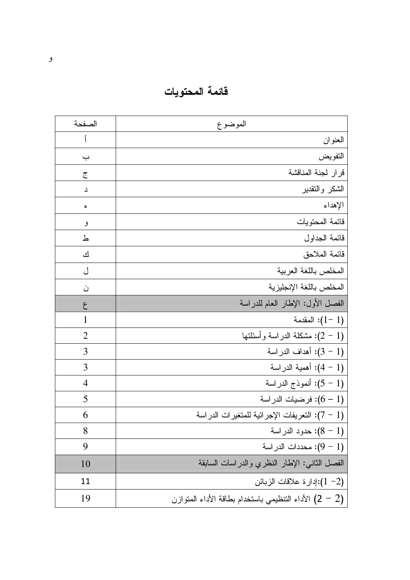فائمة المحتويات

| الصفحة         | الموضوع                                                    |
|----------------|------------------------------------------------------------|
|                | العنوان                                                    |
| ب              | التفويض                                                    |
| ج              | قرار لجنة المناقشة                                         |
| د              | الشكر والتقدير                                             |
| ٥              | الإهداء                                                    |
| و              | قائمة المحتويات                                            |
| ط              | قائمة الجداول                                              |
| ك              | قائمة الملاحق                                              |
| ل              | المخلص باللغة العربية                                      |
| ن              | المخلص باللغة الإنجليزية                                   |
| ع              | الفصل الأول: الإطار العام للدراسة                          |
| 1              | المقدمة $(1-1)$                                            |
| $\overline{2}$ | (1 – 2): مشكلة الدر اسة وأسئلتها                           |
| 3              | (1 - 3): أهداف الدراسة                                     |
| 3              | (1 – 4): أهمية الدراسة                                     |
| $\overline{4}$ | (1 - 5): أنموذج الدراسة                                    |
| 5              | (1 – 6): فرضيات الدراسة                                    |
| 6              | (1 – 7): التعريفات الإجر ائية للمتغير ات الدر اسة          |
| 8              | حدود الدراسة: $(8 - 1)$                                    |
| 9              | (1 - 9): محددات الدر اسة                                   |
| <b>10</b>      | الفصل الثاني: الإطار النظري والدراسات السابقة              |
| 11             | إدارة علاقات الزبائن: $(1 - 2)$                            |
| 19             | الأداء النّنظيمي باستخدام بطاقة الأداء المتوازن (2 $(2-2)$ |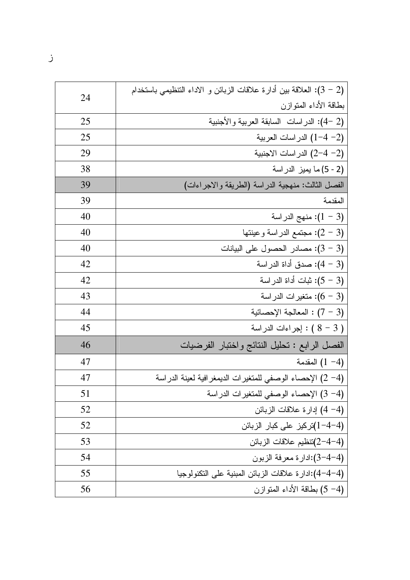|    | (2 – 3): الـعلاقة بين أدارة علاقات الزبائن و الاداء التنظيمي باستخدام |
|----|-----------------------------------------------------------------------|
| 24 | بطاقة الأداء المنوازن                                                 |
| 25 | (2 -4): الدراسات السابقة العربية والأجنبية                            |
| 25 | (2– 4–1) الدراسات العربية                                             |
| 29 | (2– 4–2) الدر اسات الاجنبية                                           |
| 38 | (2 - 5) ما يميز الدراسة                                               |
| 39 | الفصل الثالث: منهجية الدراسة (الطريقة والاجراءات)                     |
| 39 | المقدمة                                                               |
| 40 | : منهج الدر اسة) $(1 - 3)$                                            |
| 40 | وعينتها: مجتمع الدراسة وعينتها $(2-3)$                                |
| 40 | (3 - 3): مصادر الحصول على البيانات                                    |
| 42 | (3 – 4): صدق أداة الدراسة                                             |
| 42 | (3 – 5): ثبات أداة الدراسة                                            |
| 43 | (3 - 6): منغيرات الدراسة                                              |
| 44 | المعالجة الإحصائية: (7 - 3)                                           |
| 45 | بجراءات الدراسة ) : إجراءات الدراسة )                                 |
| 46 | الفصل الرابع : نحليل الننائج واختبار الفرضيات                         |
| 47 | المقدمة (1 $-4$ )                                                     |
| 47 | (4– 2) الإحصاء الوصفي للمتغيرات الديمغر افية لعينة الدراسة            |
| 51 | (4– 3) الإحصاء الوصفي للمنغيرات الدراسة                               |
| 52 | (4-4) إدارة علاقات الزبائن                                            |
| 52 | (4–4–1)تركيز على كبار الزبائن                                         |
| 53 | (4-4-2)تنظيم علاقات الزبائن                                           |
| 54 | (4-4-3):ادارة معرفة الزبون                                            |
| 55 | (4-4-4):ادارة علاقات الزبائن المبنية على النكنولوجيا                  |
| 56 | (4– 5) بطاقة الأداء المنوازن                                          |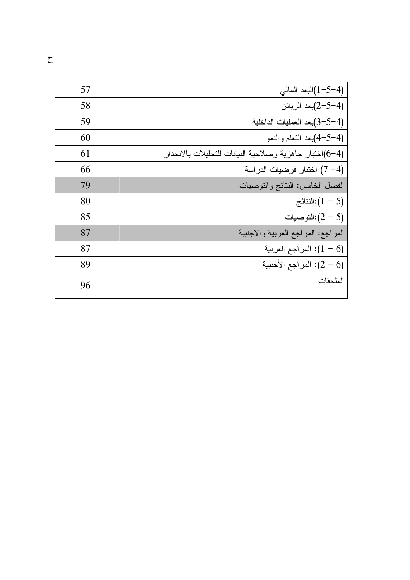| 57 | (4-5-1)البعد المالي                                     |
|----|---------------------------------------------------------|
| 58 | (4–5–2)بعد الزبائن                                      |
| 59 | (4–5–3)بعد العمليات الداخلية                            |
| 60 | (4-5–4)بعد النعلم والنمو                                |
| 61 | (4–6)اختبار جاهزية وصلاحية البيانات للتحليلات بالانحدار |
| 66 | (4− 7) اختبار فرضيات الدراسة                            |
| 79 | الفصل الخامس: النتائج والنوصيات                         |
| 80 | النتائج: $(1-5)$                                        |
| 85 | التوصيات):(2 – 5)                                       |
| 87 | المراجع: المراجع العربية والاجنبية                      |
| 87 | اسراجع العربية: $(1-6)$                                 |
| 89 | المراجع الأجنبية: $(2-6)$                               |
| 96 | الملحقات                                                |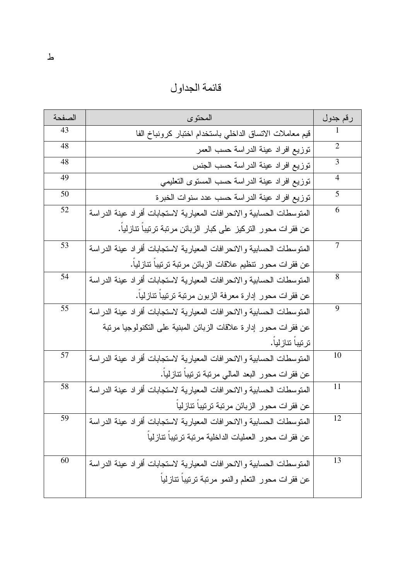قائمة الجداول

| الصفحة | المحتو ي                                                               | رقم جدول       |
|--------|------------------------------------------------------------------------|----------------|
| 43     | قيم معاملات الاتساق الداخلي باستخدام اختبار كرونباخ الفا               |                |
| 48     | نوزيع افراد عينة الدراسة حسب العمر                                     | $\overline{2}$ |
| 48     | نوزيع افراد عينة الدراسة حسب الجنس                                     | 3              |
| 49     | نوزيع افراد عينة الدراسة حسب المسنوى النعليمي                          | 4              |
| 50     | توزيع افراد عينة الدراسة حسب عدد سنوات الخبرة                          | 5              |
| 52     | المنوسطات الحسابية والانحرافات المعيارية لاستجابات أفراد عينة الدراسة  | 6              |
|        | عن فقرات محور التركيز على كبار الزبائن مرتبة ترتيبا تتازليا.           |                |
| 53     | المنوسطات الحسابية والانحر افات المعيارية لاستجابات أفراد عينة الدراسة | 7              |
|        | عن فقرات محور نتظيم علاقات الزبائن مرتبة ترتيبا تتازليا.               |                |
| 54     | المنوسطات الحسابية والانحرافات المعيارية لاستجابات أفراد عينة الدراسة  | 8              |
|        | عن فقرات محور إدارة معرفة الزبون مرتبة ترتيبا تنازليا.                 |                |
| 55     | المنوسطات الحسابية والانحرافات المعيارية لاستجابات أفراد عينة الدراسة  | 9              |
|        | عن فقرات محور إدارة علاقات الزبائن المبنية على النكنولوجيا مرتبة       |                |
|        | ترتيباً تتازليا.                                                       |                |
| 57     | المنوسطات الحسابية والانحرافات المعيارية لاستجابات أفراد عينة الدراسة  | 10             |
|        | عن فقرات محور البعد المالي مرتبة ترتيبا تنازليا.                       |                |
| 58     | المنوسطات الحسابية والانحرافات المعيارية لاستجابات أفراد عينة الدراسة  | 11             |
|        | عن فقرات محور الزبائن مرتبة ترتيبا تنازليا                             |                |
| 59     | المنوسطات الحسابية والانحرافات المعيارية لاستجابات أفراد عينة الدراسة  | 12             |
|        | عن فقرات محور العمليات الداخلية مرتبة ترتيبا تتازليا                   |                |
| 60     | المنوسطات الحسابية والانحرافات المعيارية لاستجابات أفراد عينة الدراسة  | 13             |
|        | عن فقرات محور النعلم والنمو مرتبة ترتيباً نتازلياً                     |                |
|        |                                                                        |                |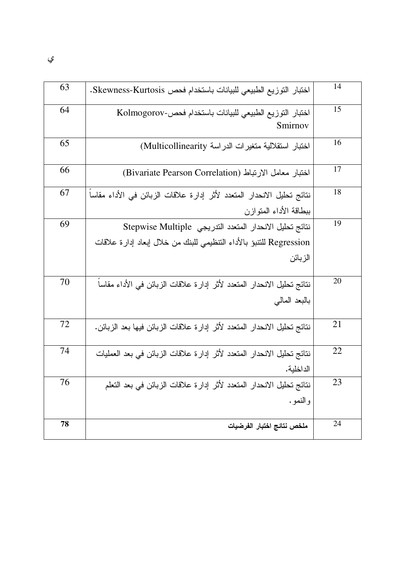| 63 | اختبار التوزيع الطبيعي للبيانات باستخدام فحص Skewness-Kurtosis.          | 14 |
|----|--------------------------------------------------------------------------|----|
| 64 | لختبار التوزيع الطبيعي للبيانات باستخدام فحص-Kolmogorov                  | 15 |
|    | Smirnov                                                                  |    |
| 65 | اختبار استقلالية متغيرات الدراسة Multicollinearity)                      | 16 |
|    |                                                                          |    |
| 66 | اختبار معامل الارتباط (Bivariate Pearson Correlation)                    | 17 |
| 67 | نتائج تحليل الانحدار المتعدد لأثر إدارة علاقات الزبائن في الأداء مقاسا   | 18 |
|    | ببطاقة الأداء المتوازن                                                   |    |
| 69 | نتائج تحليل الانحدار المتعدد التدريجي Stepwise Multiple                  | 19 |
|    | Regression للتتبؤ بالأداء التنظيمي للبنك من خلال إبعاد إدارة علاقات      |    |
|    | الزبائن                                                                  |    |
| 70 | نتائج تحليل الانحدار المتعدد لأثر إدارة علاقات الزبائن في الأداء مقاساً  | 20 |
|    | بالبعد المالي                                                            |    |
| 72 | نتائج تحليل الانحدار المتعدد لأثر إدارة علاقات الزبائن فيها بعد الزبائن. | 21 |
| 74 | نتائج تحليل الانحدار المتعدد لأثر إدارة علاقات الزبائن في بعد العمليات   | 22 |
|    | الداخلية.                                                                |    |
| 76 | نتائج تحليل الانحدار المتعدد لأثر إدارة علاقات الزبائن في بعد التعلم     | 23 |
|    | و النمو .                                                                |    |
| 78 |                                                                          | 24 |
|    | ملخص نتائج اختبار الفرضيات                                               |    |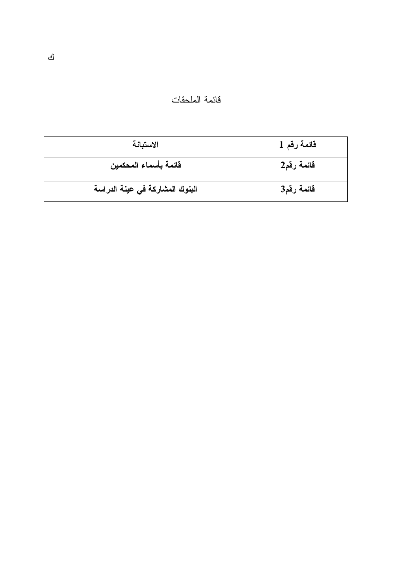| قائمة الملحقات |  |  |  |
|----------------|--|--|--|
|----------------|--|--|--|

| الاستبانة                       | قائمة رقم 1 |
|---------------------------------|-------------|
| قائمة بأسماء المحكمين           | قائمة رقم2  |
| البنوك المشاركة في عينة الدراسة | قائمة رقم3  |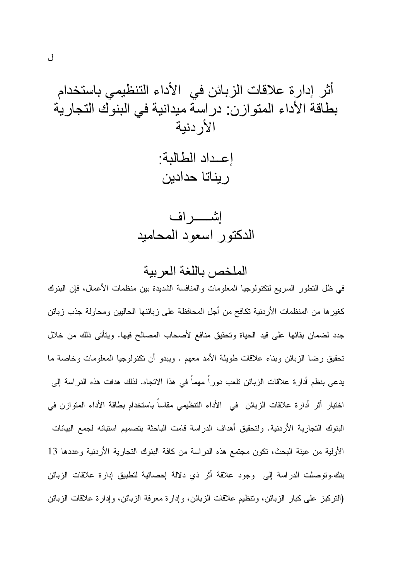إعداد الطالبة: ر يناتا حدادين

الملخص باللغة العريبة

في ظل النطور السريع لنكنولوجيا المعلومات والمنافسة الشديدة بين منظمات الأعمال، فإن البنوك كغيرها من المنظمات الأردنية تكافح من أجل المحافظة على زبائنها الحاليين ومحاولة جذب زبائن جدد لضمان بقائها على قيد الحياة وتحقيق منافع لأصحاب المصالح فيها. ويتأتى ذلك من خلال تحقيق رضا الزبائن وبناء علاقات طويلة الأمد معهم . ويبدو أن تكنولوجيا المعلومات وخاصة ما يدعى بنظم أدارة علاقات الزبائن نلعب دوراً مهماً في هذا الاتجاه. لذلك هدفت هذه الدراسة إلى اختبار أثر أدارة علاقات الزبائن في الأداء التنظيمي مقاساً باستخدام بطاقة الأداء المتوازن في البنوك التجارية الأردنية. ولتحقيق أهداف الدراسة قامت الباحثة بتصميم استبانه لجمع البيانات الأولية من عينة البحث، نكون مجتمع هذه الدراسة من كافة البنوك التجارية الأردنية وعددها 13 بنك.ونوصلت الدراسة إلى وجود علاقة أثر ذي دلالة إحصائية لتطبيق إدارة علاقات الزبائن (النركيز على كبار الزبائن، وننظيم علاقات الزبائن، وإدارة معرفة الزبائن، وإدارة علاقات الزبائن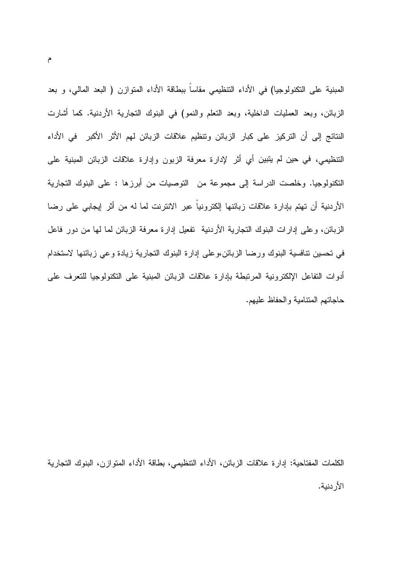المبنية على النكنولوجيا) في الأداء النتظيمي مقاساً ببطاقة الأداء المنوازن ( البعد المالي، و بعد الزبائن، وبعد العمليات الداخلية، وبعد النعلم والنمو) في البنوك النجارية الأردنية. كما أشارت النتائج إلى أن التركيز على كبار الزبائن ونتظيم علاقات الزبائن لهم الأثر الأكبر في الأداء التنظيمي، في حين لم يتبين أي أثر لإدارة معرفة الزبون وإدارة علاقات الزبائن المبنية على النكنولوجيا. وخلصت الدراسة إلى مجموعة من النوصيات من أبرزها : على البنوك التجارية الأردنية أن تهتم بإدارة علاقات زبائنها إلكترونيا عبر الانترنت لما له من أثر إيجابي على رضا الزبائن، وعلى إدارات البنوك النجارية الأردنية نفعيل إدارة معرفة الزبائن لما لها من دور فاعل في نحسين نتافسية البنوك ورضا الزبائن،وعلى إدارة البنوك النجارية زيادة وعي زبائنها لاستخدام أدوات التفاعل الإلكترونية المرتبطة بإدارة علاقات الزبائن المبنية على التكنولوجيا للتعرف على حاجاتهم المتنامبة والحفاظ علبهم.

الكلمات المفتاحية: إدارة علاقات الزبائن، الأداء التنظيمي، بطاقة الأداء المتوازن، البنوك التجارية الأر دنبة.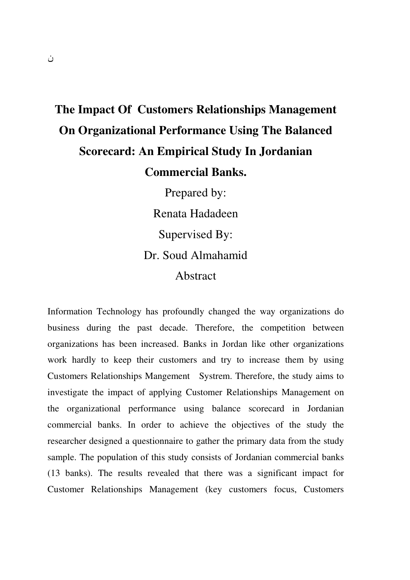# **The Impact Of Customers Relationships Management On Organizational Performance Using The Balanced Scorecard: An Empirical Study In Jordanian Commercial Banks.**

Prepared by: Renata Hadadeen Supervised By: Dr. Soud Almahamid Abstract

Information Technology has profoundly changed the way organizations do business during the past decade. Therefore, the competition between organizations has been increased. Banks in Jordan like other organizations work hardly to keep their customers and try to increase them by using Customers Relationships Mangement Systrem. Therefore, the study aims to investigate the impact of applying Customer Relationships Management on the organizational performance using balance scorecard in Jordanian commercial banks. In order to achieve the objectives of the study the researcher designed a questionnaire to gather the primary data from the study sample. The population of this study consists of Jordanian commercial banks (13 banks). The results revealed that there was a significant impact for Customer Relationships Management (key customers focus, Customers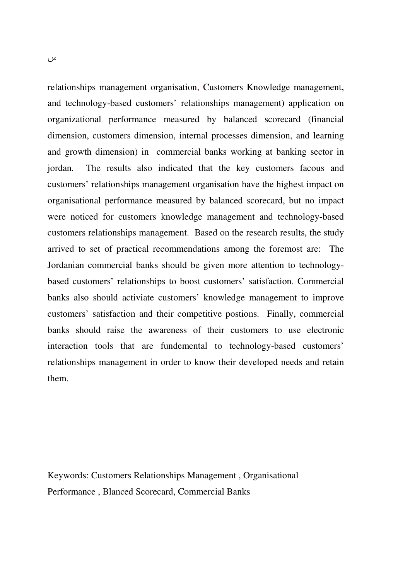relationships management organisation, Customers Knowledge management, and technology-based customers' relationships management) application on organizational performance measured by balanced scorecard (financial dimension, customers dimension, internal processes dimension, and learning and growth dimension) in commercial banks working at banking sector in jordan. The results also indicated that the key customers facous and customers' relationships management organisation have the highest impact on organisational performance measured by balanced scorecard, but no impact were noticed for customers knowledge management and technology-based customers relationships management. Based on the research results, the study arrived to set of practical recommendations among the foremost are: The Jordanian commercial banks should be given more attention to technologybased customers' relationships to boost customers' satisfaction. Commercial banks also should activiate customers' knowledge management to improve customers' satisfaction and their competitive postions. Finally, commercial banks should raise the awareness of their customers to use electronic interaction tools that are fundemental to technology-based customers' relationships management in order to know their developed needs and retain them.

Keywords: Customers Relationships Management , Organisational Performance , Blanced Scorecard, Commercial Banks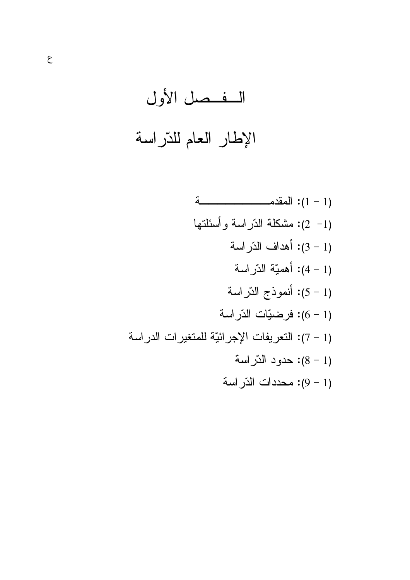(1- 2): مشكلة الدّراسة وأسئلتها (1 - 3): أهداف الذّراسة (1 – 4): أهميّة الدّراسة (1 - 5): أنموذج الذّراسة (1 - 6): فرضيّات الدّراسة (1 - 7): التعريفات الإجرائيّة للمتغيرات الدراسة (1 - 8): حدود الدّراسة (1 - 9): محددات الذّر اسة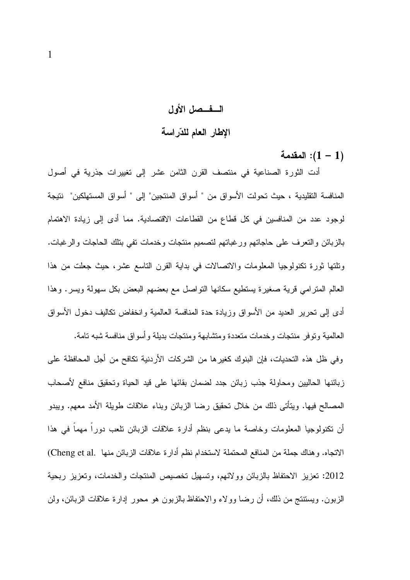# السفسصل الأول

#### الإطار العام للذراسة

المقدمة: $(1 - 1)$ 

أدت الثورة الصناعية في منتصف القرن الثامن عشر إلى تغييرات جذرية في أصول المنافسة التقليدية ، حيث تحولت الأسواق من " أسواق المنتجين" إلى " أسواق المستهلكين" نتيجة لوجود عدد من المنافسين في كل قطاع من القطاعات الاقتصادية. مما أدى إلى زيادة الاهتمام بالزبائن والنعرف على حاجاتهم ورغباتهم لتصميم منتجات وخدمات نفى بتلك الحاجات والرغبات. ونلتها ثورة تكنولوجيا المعلومات والاتصالات في بداية القرن التاسع عشر، حيث جعلت من هذا العالم المترامي قرية صغيرة يستطيع سكانها التواصل مع بعضهم البعض بكل سهولة ويسر . وهذا أدى إلى تحرير العديد من الأسواق وزيادة حدة المنافسة العالمية وانخفاض تكاليف دخول الأسواق

العالمية وتوفر منتجات وخدمات متعددة ومتشابهة ومنتجات بديلة وأسواق منافسة شبه تامة. وفي ظل هذه التحديات، فإن البنوك كغير ها من الشركات الأردنية تكافح من أجل المحافظة على زبائنها الحالبين ومحاولة جذب زبائن جدد لضمان بقائها على قيد الحياة وتحقيق منافع لأصحاب المصـالـح فيها. ويتأتـى ذلك من خلال تحقيق رضـا الزبائن وبناء علاقات طويلة الأمد معهم. ويبدو أن تكنولوجيا المعلومات وخاصة ما يدعى بنظم أدارة علاقات الزبائن نلعب دوراً مهماً في هذا الاتجاه. وهناك جملة من المنافع المحتملة لاستخدام نظم أدارة علاقات الزبائن منها .Cheng et al 2012: تعزيز الاحتفاظ بالزبائن وولائهم، وتسهيل تخصيص المنتجات والخدمات، وتعزيز ربحية الزبون. ويستنتج من ذلك، أن رضا وولاء والاحتفاظ بالزبون هو محور إدارة علاقات الزبائن، ولن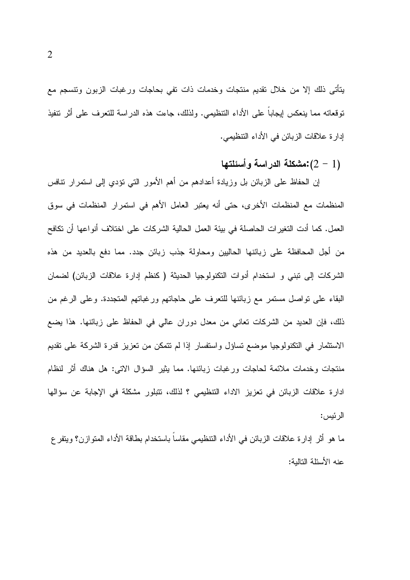يتأتى ذلك إلا من خلال نقديم منتجات وخدمات ذات تفي بحاجات ورغبات الزبون وتتسجم مع نوفعاته مما ينعكس لِيجاباً على الأداء التنظيمي. ولذلك، جاءت هذه الدراسة للنعرف على أثر نتفيذ إدارة علاقات الزبائن في الأداء النتظيمي.

مشكلة الدر اسة وأسئلتها: $(2-1)$ 

إن الحفاظ على الزبائن بل وزيادة أعدادهم من أهم الأمور التي نؤدي إلى استمرار نتافس المنظمات مع المنظمات الأخرى، حتى أنه يعتبر العامل الأهم في استمرار المنظمات في سوق العمل. كما أدت النغيرات الحاصلة في بيئة العمل الحالية الشركات على اختلاف أنواعها أن نكافح من أجل المحافظة على زبائنها الحاليين ومحاولة جذب زبائن جدد. مما دفع بالعديد من هذه الشركات إلى تبني و استخدام أدوات التكنولوجيا الحديثة ( كنظم إدارة علاقات الزبائن) لضمان البقاء على نواصل مستمر مع زبائنها للتعرف على حاجاتهم ورغباتهم المتجددة. وعلى الرغم من ذلك، فإن العديد من الشركات تعانى من معدل دوران عالى في الحفاظ على زبائنها. هذا يضع الاستثمار في النكنولوجيا موضع نساؤل واستفسار إذا لم نتمكن من نعزيز قدرة الشركة على نقديم منتجات وخدمات ملائمة لحاجات ورغبات زبائنها. مما يثير السؤال الاتبي: هل هناك أثر لنظام ادارة علاقات الزبائن في تعزيز الاداء التنظيمي ؟ لذلك، تتبلور مشكلة في الإجابة عن سؤالها الرئيس:

ما هو أثر إدارة علاقات الزبائن في الأداء النتظيمي مقاساً باستخدام بطاقة الأداء المنوازن؟ ويتفر ع عنه الأسئلة النالية: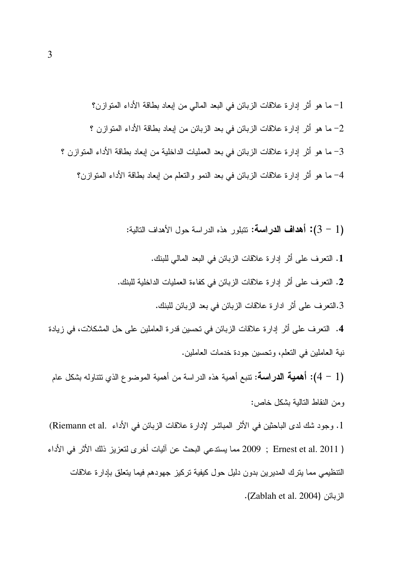1. النعرف على أثر إدارة علاقات الزبائن في البعد المالي للبنك. 2. التعرف على أثر إدارة علاقات الزبائن في كفاءة العمليات الداخلية للبنك.

3.النعرف على أثر ادارة علاقات الزبائن في بعد الزبائن للبنك.

4. النعرف على أثر إدارة علاقات الزبائن في تحسين قدرة العاملين على حل المشكلات، في زيادة نية العاملين في النعلم، ونحسين جودة خدمات العاملين.

(1 – 4): أهمية الدراسة: نتبع أهمية هذه الدراسة من أهمية الموضوع الذي نتناوله بشكل عام ومن النقاط التالية بشكل خاص:

1. وجود شك لدى الباحثين في الأثر المباشر لإدارة علاقات الزبائن في الأداء .Riemann et al) ( Ernest et al. 2011 ) و2009 مما يستدعي البحث عن آليات أخر ي لتعزيز ذلك الأثر في الأداء التنظيمي مما يترك المديرين بدون دليل حول كيفية تركيز جهودهم فيما يتعلق بإدارة علاقات الزبائن (Zablah et al. 2004).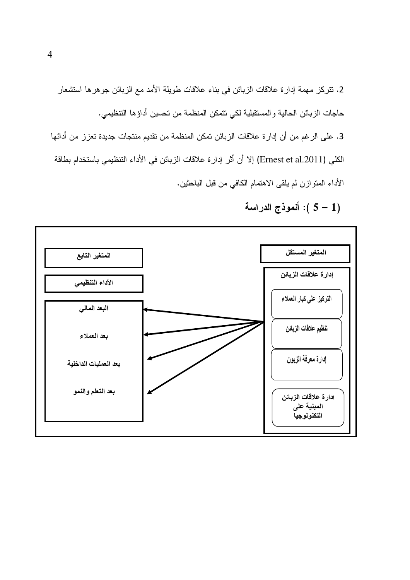2. نتركز مهمة إدارة علاقات الزبائن في بناء علاقات طويلة الأمد مع الزبائن جوهرها استشعار حاجات الزبائن الحالية والمستقبلية لكي نتمكن المنظمة من نحسين أداؤها التنظيمي.

3. على الرغم من أن إدارة علاقات الزبائن تمكن المنظمة من تقديم منتجات جديدة تعزز من أدائها الكلي (Ernest et al.2011) إلا أن أثر إدارة علاقات الزبائن في الأداء التنظيمي باستخدام بطاقة الأداء المنوازن لم يلقى الاهتمام الكافى من قبل الباحثين.

(1 - 5 ): أنموذج الدراسة



 $\overline{4}$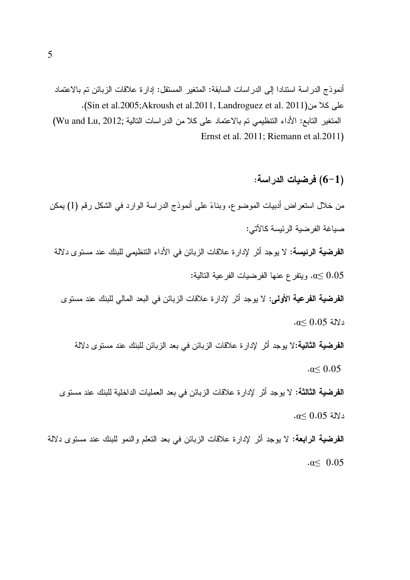أنموذج الدراسة استنادا إلى الدراسات السابقة: المتغير المستقل: إدارة علاقات الزبائن تم بالاعتماد على كلا من(Sin et al.2005;Akroush et al.2011, Landroguez et al. 2011). المتغير التابع: الأداء التنظيمي تم بالاعتماد على كلا من الدراسات التالية ;Wu and Lu, 2012) Ernst et al. 2011; Riemann et al. 2011)

## (1–6) فرضيات الدراسة:

من خلال استعر اض أدبيات الموضوع، وبناءً على أنموذج الدراسة الوارد في الشكل رقم (1) يمكن صياغة الفر ضية الر ئيسة كالآتي:

ا**لفرضية الرئيسة:** لا يوجد أثر لإدار ة علاقات الز بائن في الأداء التنظيمي للبنك عند مستو ي دلالة

وينفر ع عنها الفرضيات الفرعية التالية:  $\alpha{\leq}0.05$ 

ا**لفرضية الفرعية الأولى:** لا يوجد أثر لإدار ة علاقات الزبائن في البعد المالي للبنك عند مستوى  $\alpha$ دلالة 0.05 ك.0

**الفرضية الثانية:**لا يوجد أثر لإدارة علاقات الزبائن في بعد الزبائن للبنك عند مستوى دلالة

 $\alpha \leq 0.05$ 

**الفرضية الثالثة:** لا يوجد أثر لإدار ة علاقات الزبائن في بعد العمليات الداخلية للبنك عند مستوى  $\alpha$ دلالة 0.05 دلالة

**الفرضية الرابعة:** لا يوجد أثر لإدارة علاقات الزبائن في بعد النعلم والنمو للبنك عند مستوى دلالة  $\alpha \leq 0.05$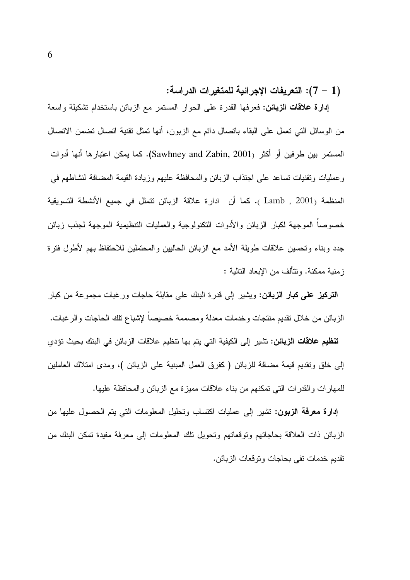## (1 – 7): التعريفات الإجرائية للمتغيرات الدراسة:

إدارة علاقات الزبائن: فعرفها القدرة على الحوار المستمر مع الزبائن باستخدام تشكيلة واسعة من الوسائل التي تعمل على البقاء باتصال دائم مع الزبون، أنها تمثل نقنية اتصال تضمن الاتصال المستمر بين طرفين أو أكثر (Sawhney and Zabin, 2001). كما يمكن اعتبارها أنها أدوات وعمليات ونقنيات نساعد على اجتذاب الزبائن والمحافظة عليهم وزيادة القيمة المضافة لنشاطهم في المنظمة (Lamb , 2001 ). كما أن ادارة علاقة الزبائن نتمثَّل في جميع الأنشطة التسويقية خصوصاً الموجهة لكبار الزبائن والأدوات النكنولوجية والعمليات النتظيمية الموجهة لجذب زبائن جدد وبناء وتحسين علاقات طويلة الأمد مع الزبائن الحالبين والمحتملين للاحتفاظ بهم لأطول فترة ز منبة ممكنة. وتتألف من الإبعاد التالبة :

**التركيز على كبار الزبائن:** ويشير إلى قدرة البنك على مقابلة حاجات ورغبات مجموعة من كبار الزبائن من خلال نقديم منتجات وخدمات معدلة ومصممة خصيصا لإشباع تلك الحاجات والرغبات. **تنظيم علاقات الزبائن:** تشير إلى الكيفية التي يتم بها تنظيم علاقات الزبائن في البنك بحيث تؤدي إلى خلق وتقديم قيمة مضافة للزبائن (كفرق العمل المبنية على الزبائن )، ومدى امتلاك العاملين للمهارات والقدرات التي تمكنهم من بناء علاقات مميزة مع الزبائن والمحافظة عليها.

**إدارة معرفة الزبون:** تشير إلى عمليات اكتساب وتحليل المعلومات التي يتم الحصول عليها من الزبائن ذات العلاقة بحاجاتهم ونوقعاتهم وتحويل نلك المعلومات إلى معرفة مفيدة تمكن البنك من نقديم خدمات نفي بحاجات ونوقعات الزبائن.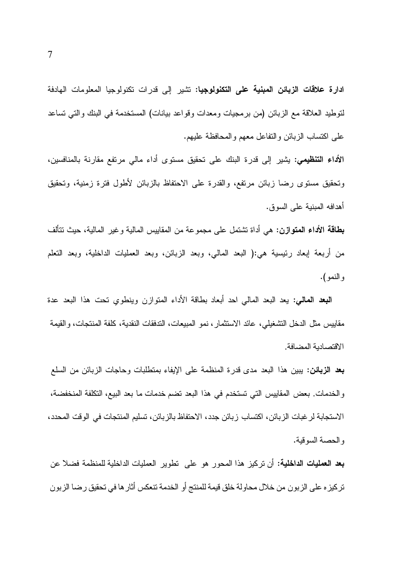ادارة علا**قات الزبائن المبنية على التكنولوجيا:** تشير إلى قدرات تكنولوجيا المعلومات الهادفة لتوطيد العلاقة مع الزبائن (من برمجيات ومعدات وفواعد بيانات) المستخدمة في البنك والتي تساعد علىي اكتساب الزبائن والنفاعل معهم والمحافظة عليهم.

**الأداء التنظيمي:** يشير إلى قدرة البنك على تحقيق مستوى أداء مالى مرتفع مقارنة بالمنافسين، وتحقيق مستوى رضا زبائن مرتفع، والقدرة على الاحتفاظ بالزبائن لاطول فترة زمنية، وتحقيق أهدافه المبنية على السو ق.

**بِطَاقَةِ الأداءِ المتوازن:** هي أداة نَشْتَمَل على مجموعة من المقابيس المالية وغير المالية، حيث نتألف من أربعة إبعاد رئيسية هي:( البعد المالي، وبعد الزبائن، وبعد العمليات الداخلية، وبعد النعلم والنمو).

**البعد المالي:** يعد البعد المال<sub>ى</sub> احد أبعاد بطاقة الأداء المتوازن وينطوي تحت هذا البعد عدة مقاييس مثل الدخل التشغيلي، عائد الاستثمار، نمو المبيعات، التدفقات النقدية، كلفة المنتجات، والقيمة الاقتصادية المضافة.

**بعد الزبائن:** يبين هذا البعد مدى قدرة المنظمة على الإيفاء بمنطلبات وحاجات الزبائن من السلع و الخدمات. بعض المقاييس التي تستخدم في هذا البعد تضم خدمات ما بعد البيع، التكلفة المنخفضة، الاستجابة لر غبات الزبائن، اكتساب زبائن جدد، الاحتفاظ بالزبائن، تسليم المنتجات في الوقت المحدد، و الحصنة السوقية.

**بعد العمليات الداخلية:** أن تركيز هذا المحور هو على تطوير العمليات الداخلية للمنظمة فضلا عن تركيز ه على الزبون من خلال محاولة خلق قيمة للمنتج أو الخدمة تنعكس أثار ها في تحقيق رضا الزبون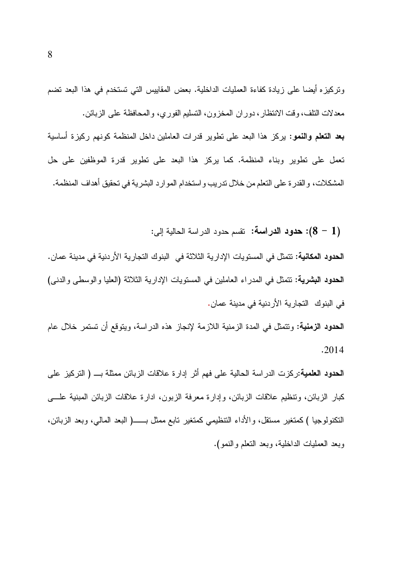ونركيزه أيضا على زيادة كفاءة العمليات الداخلية. بعض المقاييس التي تستخدم في هذا البعد نضم معدلات النلف، وقت الانتظار ، دور ان المخزون، النسليم الفوري، والمحافظة على الزبائن.

**بعد التعلم والنمو:** بركز هذا البعد على نطوير قدرات العاملين داخل المنظمة كونهم ركيزة أساسية تعمل على تطوير وبناء المنظمة. كما يركز هذا البعد على تطوير قدرة الموظفين على حل المشكلات، والقدرة على النعلم من خلال ندريب واستخدام الموارد البشرية في نحقيق أهداف المنظمة.

(1 – 8): حدود الدراسة: تقسم حدود الدراسة الحالية إلى:

ا**لحدود المكانية:** تتمثّل في المستويات الإدارية الثلاثة في البنوك التجارية الأردنية في مدينة عمان. المحدود البشرية: نتمثل في المدراء العاملين في المستويات الإدارية الثلاثة (العليا والوسطى والدنبي) في البنوك التجارية الأردنية في مدينة عمان.

**الحدود الزمنية:** وتتمثل في المدة الزمنية اللازمة لإنجاز هذه الدر اسة، ويتوقع أن تستمر خلال عام  $.2014$ 

**الحدود العلمية:**ركزت الدراسة الحالية على فهم أثر إدارة علاقات الزبائن ممثلة بـــ ( التركيز على كبار الزبائن، وتنظيم علاقات الزبائن، وإدارة معرفة الزبون، ادارة علاقات الزبائن المبنية علــــى وبعد العمليات الداخلية، وبعد النعلم والنمو).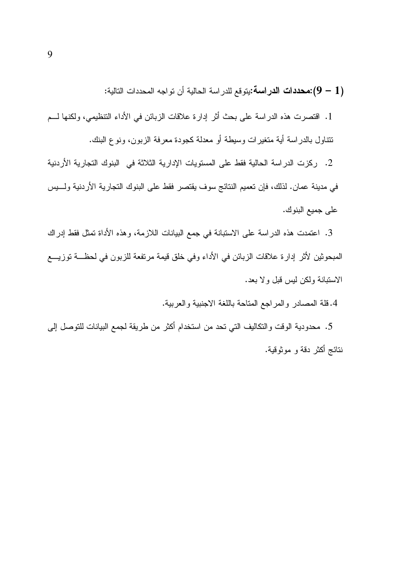(1 – 9):محددات الدراسة:يتوقع للدراسة الحالية أن تواجه المحددات التالية:

1. اقتصرت هذه الدراسة على بحث أثر إدارة علاقات الزبائن في الأداء التنظيمي، ولكنها لـــم نتتاول بالدراسة أية متغيرات وسيطة أو معدلة كجودة معرفة الزبون، ونوع البنك.

2. ركزت الدر اسة الحالية فقط على المستويات الإدارية الثلاثة في البنوك التجارية الأردنية في مدينة عمان. لذلك، فإن نعميم النتائج سوف يقتصر فقط على البنوك النجارية الأردنية ولـــيس على جميع البنوك.

3. اعتمدت هذه الدراسة على الاستبانة في جمع البيانات اللازمة، وهذه الأداة تمثل فقط إدراك المبحوثين لأثر إدارة علاقات الزبائن في الأداء وفي خلق قيمة مرتفعة للزبون في لحظــة توزيـــع الاستبانة ولكن ليس قبل ولا بعد.

4.قلة المصادر والمراجع المتاحة باللغة الاجنبية والعربية.

5. محدودية الوقت والنكاليف التي تحد من استخدام أكثر من طريقة لجمع البيانات للتوصل إلى نتائج أكثر دقة و موثوقية.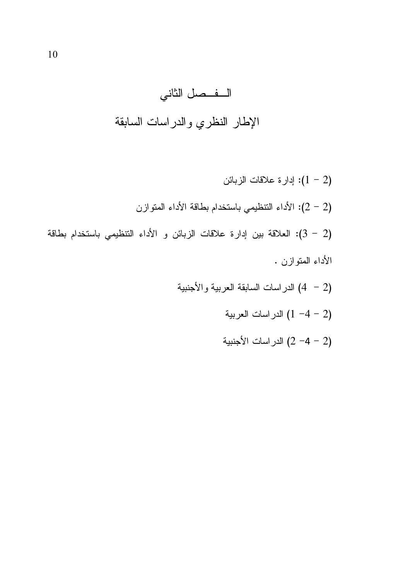- - (2 − 4− 1) الدراسات العربية<br>(2 −4 − 2) الدراسات الأجنبية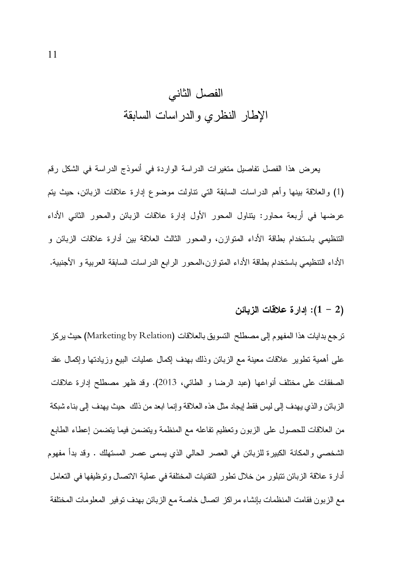يعرض هذا الفصل تفاصيل متغيرات الدراسة الواردة في أنموذج الدراسة في الشكل رقم (1) والعلاقة بينها وأهم الدراسات السابقة التي نتاولت موضوع إدارة علاقات الزبائن، حيث يتم عرضها في أربعة محاور: يتناول المحور الأول إدارة علاقات الزبائن والمحور الثاني الأداء التنظيمي باستخدام بطاقة الأداء المتوازن، والمحور الثالث العلاقة بين أدارة علاقات الزبائن و الأداء التتظيمي باستخدام بطاقة الأداء المنوازن،المحور الرابع الدراسات السابقة العربية و الأجنبية.

#### ا: إدارة علاقات الزبائن (1 – 2)

ترجع بدايات هذا المفهوم إلى مصطلح التسويق بالعلاقات (Marketing by Relation) حيث يركز على أهمية نطوير علاقات معينة مع الزبائن وذلك بهدف إكمال عمليات البيع وزيادتها وإكمال عقد الصفقات على مختلف أنواعها (عبد الرضا و الطائي، 2013). وقد ظهر مصطلح إدارة علاقات الزبائن و الذي يهدف إلى ليس فقط إيجاد مثل هذه العلاقة و إنما ابعد من ذلك حيث يهدف إلى بناء شبكة من العلاقات للحصول على الزبون وتعظيم تفاعله مع المنظمة ويتضمن فيما يتضمن إعطاء الطابع الشخصـي والمكانـة الكبيرة للزبـائن فـي الـعصـر الـحالـي الذي يسمـي عصـر المستـهاك . وقد بدأ مفهوم أدارة علاقة الزبائن نتبلور من خلال نطور النقنيات المختلفة في عملية الاتصال وتوظيفها في النعامل مع الزبون فقامت المنظمات بإنشاء مراكز انصال خاصة مع الزبائن بهدف نوفير المعلومات المختلفة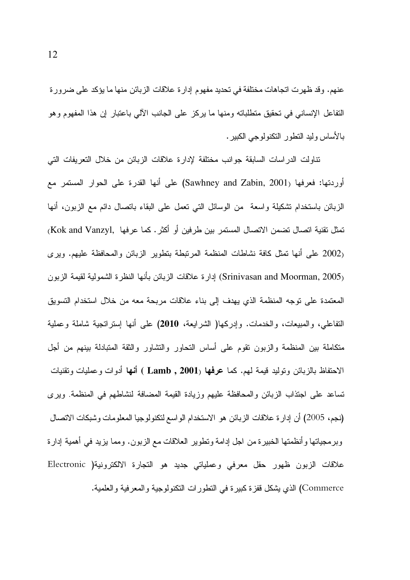عنهم. وقد ظهرت اتجاهات مختلفة في تحديد مفهوم إدارة علاقات الزبائن منها ما يؤكد على ضرورة النفاعل الإنساني في نحقيق منطلباته ومنها ما يركز على الجانب الآلي باعتبار إن هذا المفهوم وهو بـالأسـاس و ليد النطـو ر النكنو لو جـي الكبير .

تناولت الدراسات السابقة جوانب مختلفة لإدارة علاقات الزبائن من خلال النعريفات التي أوردتها: فعرفها (Sawhney and Zabin, 2001) على أنها القدرة على الحوار المستمر مع الزبائن باستخدام تشكيلة واسعة من الوسائل التبي نعمل على البقاء بانصال دائم مع الزبون، أنها تمثل تقنية اتصال تضمن الاتصال المستمر بين طر فين أو أكثر . كما عر فها ,Kok and Vanzyl (2002 على أنها تمثل كافة نشاطات المنظمة المرتبطة بتطوير الزبائن والمحافظة عليهم. ويرى (Srinivasan and Moorman, 2005) إدارة علاقات الزبائن بأنها النظرة الشمولية لقيمة الزبون المعتمدة على نوجه المنظمة الذي يهدف إلى بناء علاقات مربحة معه من خلال استخدام التسويق التفاعلي، والمبيعات، والخدمات. وإدركها( الشرايعة، 2010) على أنها إستراتجية شاملة وعملية متكاملة بين المنظمة والزبون نقوم على أساس النحاور والنشاور والثقة المتبادلة بينهم من أجل الاحتفاظ بالزبائن ونوليد قيمة لمهم. كما عرفها (Lamb , 2001 ) أنـها أدوات وعمليات ونقنيات تساعد على اجتذاب الزبائن والمحافظة عليهم وزيادة القيمة المضافة لنشاطهم في المنظمة. ويرى (نجم، 2005) أن إدار ة علاقات الز بائن هو الاستخدام الو اسع لتكنو لو جيا المعلو مات و شبكات الاتصال وبرمجياتها وأنظمتها الخبيرة من اجل إدامة ونطوير العلاقات مع الزبون. ومما يزيد في أهمية إدارة علاقات الزبون ظهور حقل معرفى وعملياتي جديد هو النجارة الالكترونية( Electronic Commerce) الذي يشكل قفزة كبيرة في النطورات النكنولوجية والمعرفية والعلمية.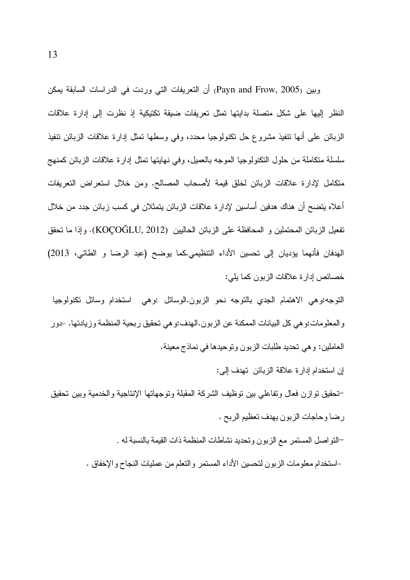وبين (Payn and Frow, 2005) أن التعريفات التي وردت في الدراسات السابقة يمكن النظر إليها على شكل متصلة بدايتها تمثل تعريفات ضبقة تكتيكية إذ نظرت إلى إدارة علاقات الزبائن على أنها نتفيذ مشروع حل نكنولوجيا محدد، وفي وسطها نمثل إدارة علاقات الزبائن نتفيذ سلسلة منكاملة من حلول النكنولوجيا الموجه بالعميل، وفي نهايتها تمثل إدارة علاقات الزبائن كمنهج متكامل لإدارة علاقات الزبائن لخلق قيمة لأصحاب المصالح. ومن خلال استعراض التعريفات أعلاه بنضح أن هناك هدفين أساسين لإدار ة علاقات الز بائن بنمثلان في كسب ز بائن جدد من خلال تفعيل الزبائن المحتملين و المحافظة على الزبائن الحاليين (KOÇOĞLU, 2012). وإذا ما تحقق الهدفان فأنهما يؤديان إلى تحسين الأداء التنظيمي.كما يوضح (عبد الرضا و الطائي، 2013) خصائص إدار ة علاقات الزبون كما يلي:

التوجه:وهي الاهتمام الجدي بالتوجه نحو الزبون.الوسائل :وهي استخدام وسائل تكنولوجيا والمعلومات:وهي كل البيانات الممكنة عن الزبون.الهدف:وهي تحقيق ربحية المنظمة وزيادتها. -دور العاملين: وهي نحديد طلبات الزبون ونوحيدها في نماذج معينة.

إن استخدام إدارة علاقة الزبائن تهدف إلى:

–تحقيق نوازن فعال ونفاعلي بين نوظيف الشركة المقبلة ونوجهاتها الإنتاجية والخدمية وبين تحقيق رضا وحاجات الزبون بهدف تعظيم الربح .

-النواصل المستمر مع الزبون وتحديد نشاطات المنظمة ذات القيمة بالنسبة له .

–استخدام معلومات الزبون لتحسين الأداء المستمر و التعلم من عمليات النجاح و الإخفاق .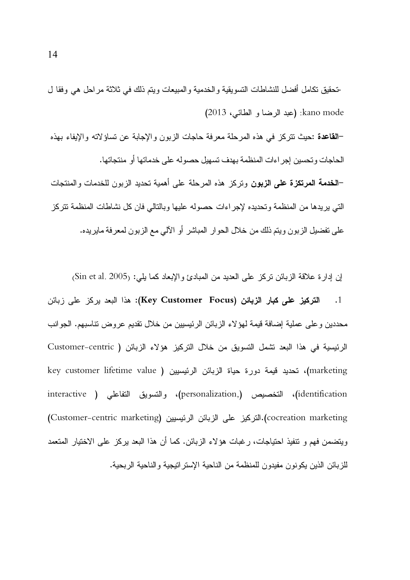خحقيق نكامل أفضل للنشاطات التسويقية والخدمية والمبيعات ويتم ذلك في ثلاثة مراحل هي وفقا ل kano mode: (عبد الرضا و الطائي، 2013) –القاعدة :حيث نتركز في هذه المرحلة معرفة حاجات الزبون والإجابة عن تساؤلاته والإيفاء بهذه الحاجات وتحسين إجراءات المنظمة بهدف نسهيل حصوله على خدماتها أو منتجاتها. –ا**لخدمة المرتكزة على الزبون** وتركز هذه المرحلة على أهمية تحديد الزبون للخدمات والمنتجات التي بر بدها من المنظمة و تحديده لإجر اءات حصوله عليها وبالتالي فان كل نشاطات المنظمة تتر كز على تفضيل الزبون ويتم ذلك من خلال الحو ار المباشر أو الآلي مع الزبون لمعرفة مايريده.

إن إدار ة علاقة الزبائن نركز على العديد من المبادئ و الإبعاد كما يلي: Sin et al. 2005) التركيز على كبار الزبائن (Key Customer Focus): هذا البعد يركز على زبائن  $\blacksquare$ .1 محددين و على عملية إضافة قيمة لهؤ لاء الزبائن الرئيسيين من خلال نقديم عروض نتاسبهم. الجوانب الرئيسية في هذا البعد تشمل التسويق من خلال التركيز هؤلاء الزبائن ( Customer-centric key customer lifetime value ) ، تحديد قيمة دورة حياة الزبائن الرئيسيين ( key customer lifetime value identification)، التخصيص (,personalization)، والتسويق التفاعلي ( interactive cocreation marketing).التركيز على الزبائن الرئيسيين (Customer-centric marketing) ويتضمن فهم و تتفيذ احتياجات، ر غبات هؤ لاء الزبائن. كما أن هذا البعد بركز ً على الاختيار المتعمد للز بائن الذين يكونون مفيدون للمنظمة من الناحية الإستر اتيجية والناحية الر بحية.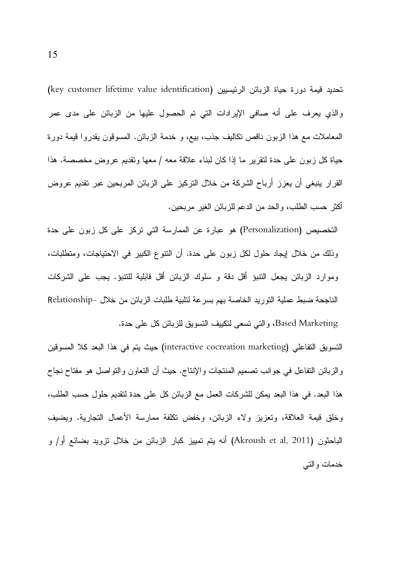تحديد قيمة دورة حياة الزبائن الرئيسيين (key customer lifetime value identification) والذي يعرف على أنه صافى الإيرادات التي تم الحصول عليها من الزبائن على مدى عمر المعاملات مع هذا الزبون ناقص نكاليف جذب، بيع، و خدمة الزبائن. المسوقون يقدروا قيمة دورة حياة كل زبون على حدة لنقرير ما إذا كان لبناء علاقة معه / معها وتقديم عروض مخصصة. هذا القرار ينبغي أن يعزز أرباح الشركة من خلال النركيز على الزبائن المربحين عبر تقديم عروض أكثر حسب الطلب، و الحد من الدعم للز بائن الغير ٍ مر بحين.

التخصيص (Personalization) هو عبارة عن الممارسة التي تركز على كل زبون على حدة وذلك من خلال إيجاد حلول لكل زبون على حدة. أن النتوع الكبير في الاحتياجات، ومتطلبات، وموارد الزبائن يجعل النتبؤ أقل دقة و سلوك الزبائن أقل قابلية للنتبؤ. يجب على الشركات الناجحة ضبط عملية التوريد الخاصة بهم بسرعة لتلبية طلبات الزبائن من خلال –Relationship Based Marketing، والتي تسعى لتكييف التسويق للزبائن كل على حدة.

النسويق التفاعلي (interactive cocreation marketing) حيث يتم في هذا البعد كلا المسوفين والزبائن النفاعل في جوانب نصميم المنتجات والإنتاج. حيث أن النعاون والنواصل هو مفتاح نجاح هذا البعد. في هذا البعد يمكن للشركات العمل مع الزبائن كل على حدة لتقديم حلول حسب الطلب، وخلق قبمة العلاقة، وتعزيز ولاء الزبائن، وخفض تكلفة ممارسة الأعمال التجاربة. وبضبف الباحثون (Akroush et al, 2011) أنه يتم تمييز كبار الزبائن من خلال نزويد بضائع أو/ و خدمات و التبي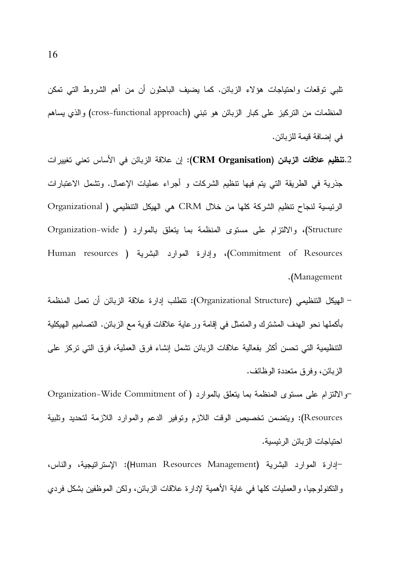تلبي توقعات واحتياجات هؤلاء الزبائن. كما يضيف الباحثون أن من أهم الشروط التبي تمكن المنظمات من التركيز على كبار الزبائن هو نبني (cross-functional approach) والذي يساهم في إضافة قيمة للز بائن.

- 2.**تنظيم علاقات الزبائن (CRM Organisation):** إن علاقة الزبائن في الأساس تعني تغيير ات جذرية في الطريقة التي يتم فيها نتظيم الشركات و أجراء عمليات الإعمال. وتشمل الاعتبارات الرئيسية لنجاح نتظيم الشركة كلها من خلال CRM هي الهيكل التنظيمي ( Organizational Structure)، والالتزام على مستوى المنظمة بما يتعلق بالموارد ( Organization-wide Human resources ) وإدارة المعوارد البشرية ( Human resources .(Management
- الهيكل التنظيمي (Organizational Structure): تتطلب إدار ة علاقة الزبائن أن تعمل المنظمة بأكملها نحو الهدف المشترك والمتمثل في إقامة ورعاية علاقات قوية مع الزبائن. التصاميم الهيكلية التنظيمية التي تحسن أكثر بفعالية علاقات الزبائن تشمل إنشاء فرق العملية، فرق التي تركز على الزبائن، وفرق متعددة الوظائف.
- -والالتزام على مستوى المنظمة بما يتعلق بالموارد ( Organization-Wide Commitment of Resources): ويتضمن تخصيص الوقت اللازم وتوفير الدعم والموارد اللازمة لتحديد وتلبية احتباجات الزبائن الرئبسبة.
- -إدارة الموارد البشرية (Human Resources Management): الإستراتيجية، والناس، و النكنولوجيا، و العمليات كلَّها في غاية الأهمية لإدارة علاقات الزبائن، ولكن الموظَّفين بشكل فردي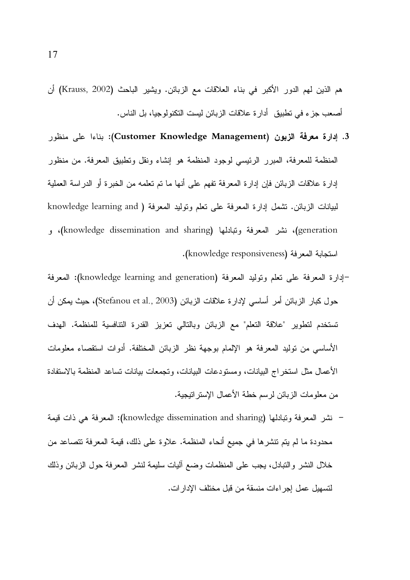هم الذين لمهم الدور الأكبر في بناء العلاقات مع الزبائن. ويشير الباحث (Krauss, 2002) أن أصعب جز ء في تطبيق أدار ة علاقات الز بائن ليست التكنو لو جيا، بل الناس.

- 3. إدارة معرفة الزبون (Customer Knowledge Management): بناءا على منظور المنظمة للمعرفة، المبرر الرئيسي لوجود المنظمة هو إنشاء ونقل وتطبيق المعرفة. من منظور إدار ة علاقات الزبائن فإن إدار ة المعرفة تفهم على أنها ما تم تعلمه من الخبر ة أو الدر اسة العملية لبيانات الزبائن. نشمل إدارة المعرفة على نعلم ونوليد المعرفة ( knowledge learning and generation)، نشر المعرفة وتبادلها (knowledge dissemination and sharing)، و استجابة المعرفة (knowledge responsiveness).
- -إدارة المعرفة على تعلم وتوليد المعرفة (knowledge learning and generation): المعرفة حول كبار الزبائن أمر أساسي لإدارة علاقات الزبائن (Stefanou et al., 2003)، حيث يمكن أن تستخدم لتطوير "علاقة التعلم" مع الزبائن وبالتالي تعزيز القدرة التنافسية للمنظمة. الهدف الأساسي من توليد المعرفة هو الإلمام بوجهة نظر الزبائن المختلفة. أدوات استقصاء معلومات الأعمال مثل استخراج البيانات، ومستودعات البيانات، وتجمعات بيانات تساعد المنظمة بالاستفادة من معلومات الزبائن لرسم خطة الأعمال الإستر انيجية.
- نشر المعرفة وتبادلها (knowledge dissemination and sharing): المعرفة هي ذات قيمة محدودة ما لم يتم تتشرها في جميع أنحاء المنظمة. علاوة على ذلك، قيمة المعرفة تتصاعد من خلال النشر والنبادل، يجب على المنظمات وضع أليات سليمة لنشر المعرفة حول الزبائن وذلك لتسهيل عمل اجر اءات منسقة من قبل مختلف الإدار ات.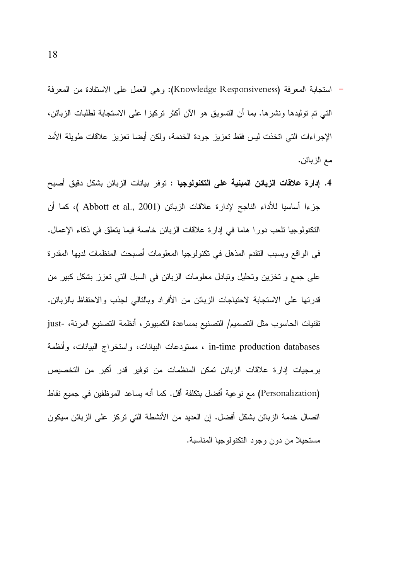- استجابة المعرفة (Knowledge Responsiveness): وهي العمل على الاستفادة من المعرفة التي تم توليدها ونشرها. بما أن التسويق هو الآن أكثر تركيزا على الاستجابة لطلبات الزبائن، الإجراءات التي اتخذت ليس فقط تعزيز جودة الخدمة، ولكن أيضا تعزيز علاقات طويلة الأمد مع الزبائن.
- 4. إ**دارة علاقات الزبائن المبنية على التكنولوجيا :** توفر بيانات الزبائن بشكل دقيق أصبح جزءا أساسيا للأداء الناجح لإدارة علاقات الزبائن (Abbott et al., 2001 )، كما أن النكنولوجيا نلعب دورًا هاما في إدارة علاقات الزبائن خاصة فيما يتعلق في ذكاء الإعمال. في الواقع وبسبب النقدم المذهل في تكنولوجيا المعلومات أصبحت المنظمات لديها المقدرة على جمع و نخزين وتحليل ونبادل معلومات الزبائن في السبل التي نعزز بشكل كبير من قدرتها على الاستجابة لاحتياجات الزبائن من الأفراد وبالتالي لجذب والاحتفاظ بالزبائن. تقنيات الحاسوب مثل التصميم/ التصنيع بمساعدة الكمبيوتر ، أنظمة التصنيع المرنة، -just in-time production databases ، مستودعات البيانات، واستخراج البيانات، وأنظمة برمجيات إدارة علاقات الزبائن تمكن المنظمات من توفير قدر أكبر من التخصيص (Personalization) مع نوعية أفضل بتكلفة أقل. كما أنه يساعد الموظفين في جميع نقاط اتصال خدمة الزبائن بشكل أفضل. إن العديد من الأنشطة التي تركز على الزبائن سيكون مستحبلا من دون وجود التكنولوجيا المناسبة.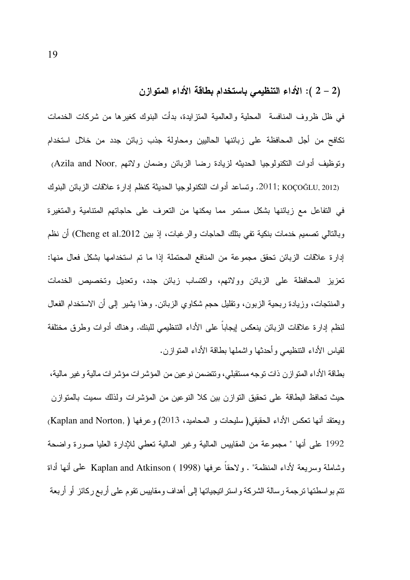#### (2 – 2 ): الأداء التنظيمي باستخدام بطاقة الأداء المتوازن

في ظل ظر وف المنافسة المحلية و العالمية المتز ايدة، بدأت البنوك كغير ها من شركات الخدمات تكافح من أجل المحافظة على زبائنها الحاليين ومحاولة جذب زبائن جدد من خلال استخدام وتوظيف أدوات النكنولوجيا الحديثه لزيادة رضا الزبائن وضمان ولائهم ,Azila and Noor

2011; KOÇOĞLU, 2012). وتساعد أدوات النكنولوجيا الحديثة كنظم إدارة علاقات الزبائن البنوك في النفاعل مع زبائنها بشكل مستمر مما يمكنها من النعرف على حاجاتهم المتنامية والمتغيرة وبالنالي نصميم خدمات بنكية نفي بنلك الحاجات والرغبات، إذ بين Cheng et al.2012) أن نظم إدارة علاقات الزبائن نحقق مجموعة من المنافع المحتملة إذا ما نم استخدامها بشكل فعال منها: تعزيز المحافظة على الزبائن وولائهم، واكتساب زبائن جدد، وتعديل وتخصيص الخدمات والمنتجات، وزيادة ربحية الزبون، ونقليل حجم شكاوى الزبائن. وهذا يشير إلى أن الاستخدام الفعال لنظم إدارة علاقات الزبائن ينعكس إيجابا على الأداء التنظيمي للبنك. وهناك أدوات وطرق مختلفة لقياس الأداء النتظيمي وأحدثها واشملها بطاقة الأداء المنوازن.

بطاقة الأداء المتوازن ذات توجه مستقبلي، وتتضمن نوعين من المؤشر ات مؤشر ات مالية و غير مالية، حيث تحافظ البطاقة على تحقيق التوازن بين كلا النوعين من المؤشرات ولذلك سميت بالمتوازن ويعتقد أنها نعكس الأداء الحقيقي( سليحات و المحاميد، 2013) وعرفها ( ,Kaplan and Norton) 1992 على أنها " مجموعة من المقابيس المالية وغير المالية نعطى للإدارة العليا صورة واضحة وشاملة وسريعة لأداء المنظمة" . ولاحقاً عرفها Kaplan and Atkinson ( 1998) على أنها أداة نتم بو اسطتها ترجمة رسالة الشركة و استر انيجياتها إلى أهداف ومقاييس نقوم على أربع ركائز أو أربعة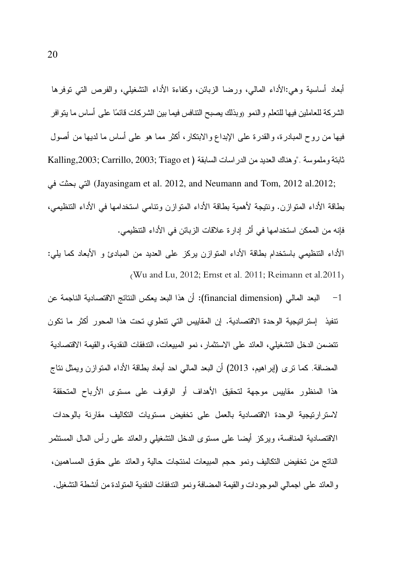أبعاد أساسية وهي:الأداء المالي، ورضا الزبائن، وكفاءة الأداء التشغيلي، والفرص التبي نوفرها الشركة للعاملين فيها للتعلم والنمو (وبذلك يصبح النتافس فيما بين الشركات قائمًا على أساس ما يتوافر فيها من روح المبادرة، والقدرة على الإبداع والابتكار ، أكثر مما هو على أساس ما لديها من أصول ثابتة وملموسة ."وهناك العديد من الدر اسات السابقة ( Kalling,2003; Carrillo, 2003; Tiago et

(Jayasingam et al. 2012, and Neumann and Tom, 2012 al.2012; التي بحثت في بطاقة الأداء المنواز ن. ونتبجة لأهمية بطاقة الأداء المتواز ن ونتامي استخدامها في الأداء التنظيمي، فإنه من الممكن استخدامها في أثر ٍ إدارِ ة علاقات الزبائن في الأداء التنظيمي.

الأداء التنظيمي باستخدام بطاقة الأداء المتوازن بركز على العديد من المبادئ و الأبعاد كما بلي: (Wu and Lu, 2012; Ernst et al. 2011; Reimann et al.  $2011$ )

البعد المالي (financial dimension): أن هذا البعد يعكس النتائج الاقتصادية الناجمة عن  $-1$ نتفيذ إستر اتيجية الوحدة الاقتصادية. إن المقاييس التي نتطوى تحت هذا المحور أكثر ما تكون تتضمن الدخل التشغيلي، العائد على الاستثمار ، نمو المبيعات، التدفقات النقدية، والقيمة الاقتصادية المضـافة. كمـا نز ي (إبراهيم، 2013) أن البعد المـالـي احد أبـعاد بطـاقة الأداء المـتوازن ويمثل نتاج هذا المنظور مقاييس موجهة لتحقيق الأهداف أو الوقوف على مستوى الأرباح المتحققة لاستزارتيجية الوحدة الاقتصادية بالعمل على تخفيض مستويات التكاليف مقارنة بالوحدات الاقتصادية المنافسة، ويركز أيضا على مستوى الدخل التشغيلي والعائد على رأس المال المستثمر الناتج من تخفيض التكاليف ونمو حجم المبيعات لمنتجات حالية والعائد على حقوق المساهمين، والعائد على اجمالي الموجودات والقيمة المضافة ونمو التدفقات النقدية المتولدة من أنشطة التشغيل.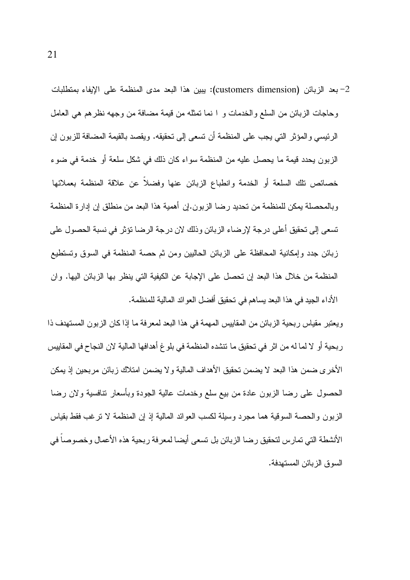2– بعد الزبائن (customers dimension): يبين هذا البعد مدى المنظمة على الإيفاء بمنطلبات وحاجات الزبائن من السلع والخدمات و ١ نما نمثله من قيمة مضافة من وجهه نظرهم هي العامل الرئيسي و المؤثر التي يجب على المنظمة أن تسعى إلى تحقيقه. ويقصد بالقيمة المضافة للزبون إن الزبون يحدد قيمة ما يحصل عليه من المنظمة سواء كان ذلك في شكل سلعة أو خدمة في ضوء خصائص نلك السلعة أو الخدمة وانطباع الزبائن عنها وفضلاً عن علاقة المنظمة بعملائها وبالمحصلة يمكن للمنظمة من تحديد رضا الزبون.إن أهمية هذا البعد من منطلق إن إدار ة المنظمة تسعى إلى تحقيق أعلى درجة لإرضاء الزبائن وذلك لان درجة الرضا تؤثر في نسبة الحصول على زبائن جدد وإمكانية المحافظة على الزبائن الحاليين ومن ثم حصة المنظمة في السوق وتستطيع المنظمة من خلال هذا البعد إن تحصل على الإجابة عن الكيفية التي ينظر بها الزبائن اليها. وإن الأداء الجيد في هذا البعد يساهم في تحقيق أفضل العوائد المالية للمنظمة.

ويعتبر مقياس ربحية الزبائن من المقابيس المهمة في هذا البعد لمعرفة ما إذا كان الزبون المستهدف ذا ربحية أو لا لما له من اثر في تحقيق ما تتشده المنظمة في بلو غ أهدافها المالية لان النجاح في المقاييس الأخرى ضمن هذا البعد لا يضمن تحقيق الأهداف المالية و لا يضمن امتلاك زبائن مربحين إذ يمكن الحصول علىى رضا الزبون عادة من بيع سلع وخدمات عالية الجودة وبأسعار نتافسية ولان رضا الزبون والحصة السوقية هما مجرد وسيلة لكسب العوائد المالية إذ إن المنظمة لا نرغب فقط بقياس الأنشطة التي تمارس لتحقيق رضا الزبائن بل تسعى أيضا لمعرفة ربحية هذه الأعمال وخصوصاً في السوق الزبائن المستهدفة.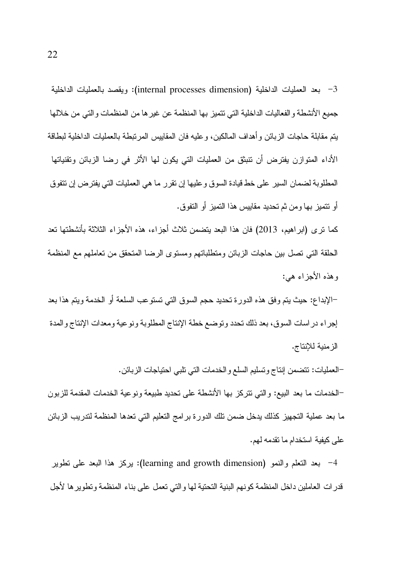بعد العمليات الداخلية (internal processes dimension): ويقصد بالعمليات الداخلية جميع الأنشطة و الفعاليات الداخلية التي تتميز بها المنظمة عن غير ها من المنظمات والتي من خلالها يتم مقابلة حاجات الزبائن و أهداف المالكين، و عليه فان المقاييس المربنطة بالعمليات الداخلية لبطاقة الأداء المتوازن يفترض أن نتبثق من العمليات التي يكون لمها الأثر في رضا الزبائن وتقنياتها المطلوبة لضمان السير على خط قيادة السوق وعليها إن نقرر ما هي العمليات التي يفترض إن نتفوق أو نتميز بها ومن ثم تحديد مقاييس هذا التميز أو التفوق.

كما نرى (ابراهيم، 2013) فان هذا البعد بنضمن ثلاث أجزاء، هذه الأجزاء الثلاثة بأنشطتها نعد الحلقة التي نصل بين حاجات الزبائن ومنطلباتهم ومستوى الرضا المنحقق من نعاملهم مع المنظمة وهذه الأجزاء هي:

–الإبداع: حيث يتم وفق هذه الدورة تحديد حجم السوق التبي تستوعب السلعة أو الخدمة ويتم هذا بعد إجراء دراسات السوق، بعد ذلك تحدد وتوضع خطة الإنتاج المطلوبة ونوعية ومعدات الإنتاج والمدة الز منية للإنتاج.

–العمليات: نتضمن إنتاج وتسليم السلع والخدمات التي تلبي احتياجات الزبائن. –الخدمات ما بعد البيع: والتي نتركز بها الأنشطة على نحديد طبيعة ونوعية الخدمات المقدمة للزبون ما بعد عملية التجهيز كذلك يدخل ضمن نلك الدورة برامج التعليم التي تعدها المنظمة لتدريب الزبائن على كيفية استخدام ما تقدمه لهم.

4– بعد النعلم والنمو (learning and growth dimension): يركز هذا البعد على نطوير قدر ات العاملين داخل المنظمة كو نهم البنية التحتية لها و التي تعمل على بناء المنظمة و تطوير ها لأجل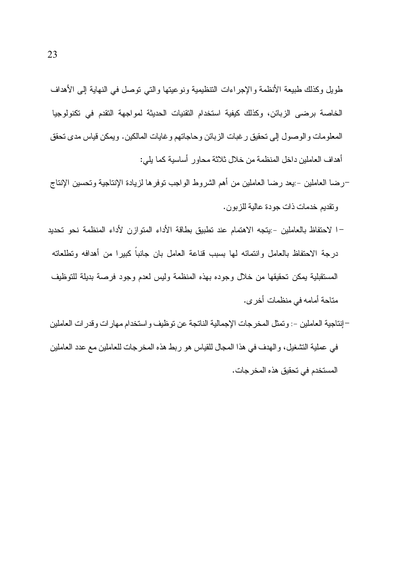طويل وكذلك طبيعة الأنظمة والإجراءات النتظيمية ونوعيتها والتي نوصل في النهاية إلى الأهداف الخاصة برضي الزبائن، وكذلك كيفية استخدام التقنيات الحديثة لمواجهة التقدم في تكنولوجيا المعلومات والوصول إلى تحقيق رغبات الزبائن وحاجاتهم وغايات المالكين. ويمكن قياس مدى تحقق أهداف العاملين داخل المنظمة من خلال ثلاثة محاور أساسية كما يلي:

- –رضا العاملين –:يعد رضا العاملين من أهم الشروط الواجب نوفرها لزيادة الإنتاجية وتحسين الإنتاج و نقديم خدمات ذات جو دة عالية للز بو ن.
- –ا لاحتفاظ بالعاملين –:يتجه الاهتمام عند تطبيق بطاقة الأداء المتوازن لأداء المنظمة نحو تحديد درجة الاحتفاظ بالعامل وانتمائه لها بسبب قناعة العامل بان جانباً كبيرا من أهدافه وتطلعاته المستقبلية يمكن تحقيقها من خلال وجوده بهذه المنظمة وليس لعدم وجود فرصة بديلة للتوظيف متاحة أمامه في منظمات أخر ي.
- –إنتاجية العاملين –: وتمثل المخرجات الإجمالية الناتجة عن توظيف و استخدام مهار ات وقدر ات العاملين في عملية التشغيل، والهدف في هذا المجال للقياس هو ربط هذه المخرجات للعاملين مع عدد العاملين المستخدم في تحقيق هذه المخر جات.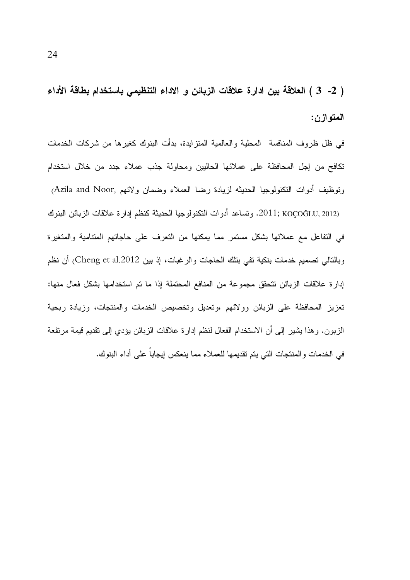( 2- 3 ) العلاقة بين ادارة علاقات الزبائن و الاداء التنظيمي باستخدام بطاقة الأداء المتوازن:

في ظل ظروف المنافسة المحلية والعالمية المتزايدة، بدأت البنوك كغيرها من شركات الخدمات تكافح من إجل المحافظة على عملائها الحاليين ومحاولة جذب عملاء جدد من خلال استخدام ونوظيف أدوات النكنولوجيا الحديثه لزيادة رضا العملاء وضمان ولائهم ,Azila and Noor 2011; KOÇOĞLU, 2012). وتساعد أدوات النكنولوجيا الحديثة كنظم إدارة علاقات الزبائن البنوك في النفاعل مع عملائها بشكل مستمر مما بمكنها من النعرف على حاجاتهم المنتامية والمتغيرة وبالتالي تصميم خدمات بنكية تفي بتلك الحاجات والرغبات، إذ بين Cheng et al.2012) أن نظم إدارة علاقات الزبائن نتحقق مجموعة من المنافع المحتملة إذا ما تم استخدامها بشكل فعال منها: تعزيز المحافظة على الزبائن وولائهم ،وتعديل وتخصيص الخدمات والمنتجات، وزيادة ربحية الزبون. وهذا يشير إلى أن الاستخدام الفعال لنظم إدارة علاقات الزبائن يؤدي إلى تقديم قيمة مرتفعة في الخدمات والمنتجات التي يتم تقديمها للعملاء مما ينعكس إيجاباً على أداء البنوك.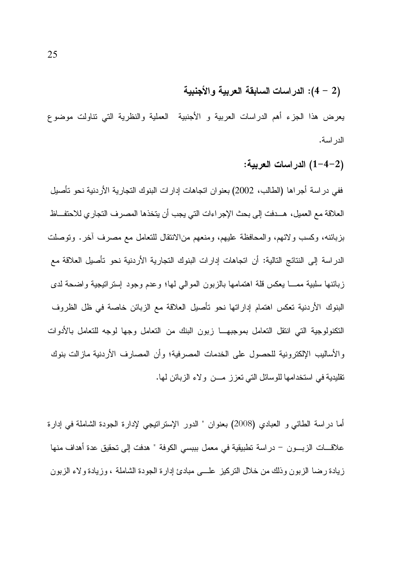## (2 – 4): الدراسات السابقة العربية والأجنبية

يعرض هذا الجزء أهم الدراسات العربية و الأجنبية العملية والنظرية التي تناولت موضوع الدر اسة.

(2–4–1) الدر اسات العربية:

ففي در اسة أجراها (الطالب، 2002) بعنوان اتجاهات إدارات البنوك التجارية الأردنية نحو تأصيل العلاقة مع العميل، هـــدفت إلى بحث الإجر اءات التي يجب أن يتخذها المصر ف التجار ي للاحتفـــاظ بزبائنه، وكسب ولائهم، والمحافظة عليهم، ومنعهم من|لانتقال للتعامل مع مصرف أخرٍ. ونوصلت الدر اسة إلى النتائج التالية: أن اتجاهات إدارات البنوك التجارية الأردنية نحو تأصيل العلاقة مع زبائنها سلبية ممـــا يعكس قلة اهتمامها بالزبون الموالي لمها؛ وعدم وجود إستراتيجية واضحة لدى البنوك الأردنية تعكس اهتمام إداراتها نحو تأصيل العلاقة مع الزبائن خاصة في ظل الظروف النكنولوجية التي انتقل التعامل بموجبهـــا زبون البنك من التعامل وجها لوجه للتعامل بالأدوات والأساليب الإلكترونية للحصول على الخدمات المصرفية؛ وأن المصارف الأردنية مازالت بنوك تقليدية في استخدامها للوسائل التي تعزز مسن ولاء الزبائن لها.

أما دراسة الطائبي و العبادي (2008) بعنوان " الدور الإسترانتيجي لإدارة الجودة الشاملة في إدارة علاقــــات الزبــــون – در اسة تطبيقية في معمل بببسي الكوفة " هدفت إلى تحقيق عدة أهداف منها زيادة رضا الزبون وذلك من خلال النركيز علـــي مبادئ إدارة الجودة الشاملة ، وزيادة ولاء الزبون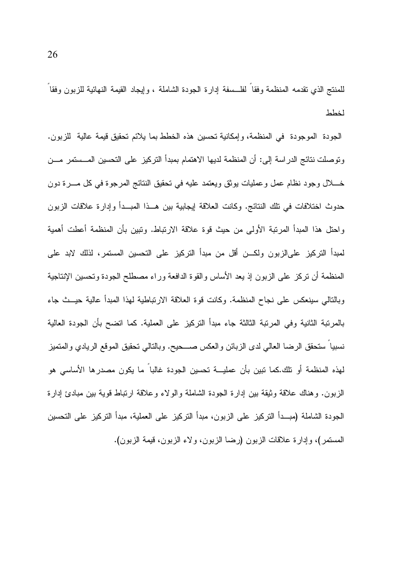للمنتج الذي نقدمه المنظمة وفقا لفلسلفة إدارة الجودة الشاملة ، وإيجاد القيمة النهائية للزبون وفقا لخطط

الجودة الموجودة في المنظمة، وإمكانية تحسين هذه الخطط بما يلائم تحقيق قيمة عالية للزبون. ونوصلت نتائج الدراسة إلى: أن المنظمة لديها الاهتمام بمبدأ التركيز على التحسين المـــستمر مـــن خــــلال وجود نظام عمل وعمليات بوثق ويعتمد عليه في تحقيق النتائج المرجوة في كل مــــرة دون حدوث اختلافات في تلك النتائج. وكانت العلاقة إيجابية بين هــذا المبــدأ وإدارة علاقات الزبون واحتل هذا المبدأ المرتبة الأولى من حيث قوة علاقة الارتباط. وتبين بأن المنظمة أعطت أهمية لمبدأ التركيز علىالزبون ولكـــن أقل من مبدأ التركيز على التحسين المستمر، لذلك لابد على المنظمة أن نركز على الزبون إذ يعد الأساس والقوة الدافعة وراء مصطلح الجودة وتحسين الإنتاجية وبالتالي سينعكس على نجاح المنظمة. وكانت قوة العلاقة الارتباطية لهذا المبدأ عالية حيــث جاء بالمرتبة الثانية وفي المرتبة الثالثة جاء مبدأ التركيز على العملية. كما اتضح بأن الجودة العالية نسبيا سنحقق الرضا العالمي لدى الزبائن والعكس صـــحيح. وبالنالمي نحقيق الموقع الريادي والمنميز لهذه المنظمة أو نلك.كما نبين بأن عمليـــة نحسين الجودة غالبا ما يكون مصدرِها الأساسي هو الزبون. وهناك علاقة وثيقة بين إدارة الجودة الشاملة والولاء وعلاقة ارتباط قوية بين مبادئ إدارة الجودة الشاملة (مبــدأ النركيز علـى الزبون، مبدأ النركيز علـى العملية، مبدأ النركيز علـى النحسين المستمر)، وإدارة علاقات الزبون (رضا الزبون، ولاء الزبون، قيمة الزبون).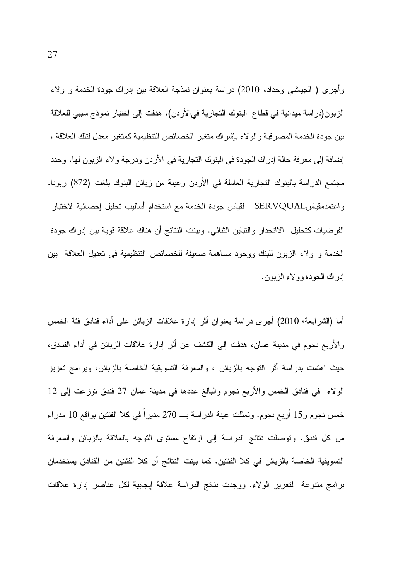وأُجرى ( الجياشي وحداد، 2010) دراسة بعنوان نمذجة العلاقة بين إدراك جودة الخدمة و ولاء الزبون(دراسة ميدانية في قطاع البنوك التجارية فيالأردن)، هدفت إلى اختبار نموذج سببي للعلاقة بين جودة الخدمة المصرفية والولاء بإشراك متغير الخصائص التنظيمية كمتغير معدل لتلك العلاقة ، إضافة إلى معرفة حالة إدراك الجودة في البنوك النجارية في الأردن ودرجة ولاء الزبون لها. وحدد مجتمع الدراسة بالبنوك التجارية العاملة في الأردن وعينة من زبائن البنوك بلغت (872) زبونا. واعتمدمقياسSERVQUAL لقياس جودة الخدمة مع استخدام أساليب تحليل إحصائية لاختبار الفرضيات كتحليل الاانحدار والتباين الثنائي. وبينت النتائج أن هناك علاقة قوية بين إدراك جودة الخدمة و ولاء الزبون للبنك ووجود مساهمة ضعيفة للخصائص التنظيمية في نعديل العلاقة بين إدر آك الجودة وو لاء الزبون.

أما (الشرايعة، 2010) أجرى دراسة بعنوان أثر إدارة علاقات الزبائن على أداء فنادق فئة الخمس والأربع نجوم في مدينة عمان، هدفت إلى الكشف عن أثر إدارة علاقات الزبائن في أداء الفنادق، حيث اهتمت بدراسة أثر التوجه بالزبائن ، والمعرفة التسويقية الخاصة بالزبائن، وبرامج نعزيز الولاء في فنادق الخمس والأربع نجوم والبالغ عددها في مدينة عمان 27 فندق توزعت إلى 12 خمس نجوم و15 أربع نجوم. وتمثلت عينة الدراسة بــــ 270 مديرًا في كلا الفئتين بواقع 10 مدراء من كل فندق. ونوصلت نتائج الدراسة إلى ارتفاع مستوى التوجه بالعلاقة بالزبائن والمعرفة النسويقية الخاصـة بالزبائن في كلا الفئتين. كما بينت النتائج أن كلا الفئتين من الفنادق يستخدمان برامج متنوعة لتعزيز الولاء. ووجدت نتائج الدراسة علاقة ليجابية لكل عناصر إدارة علاقات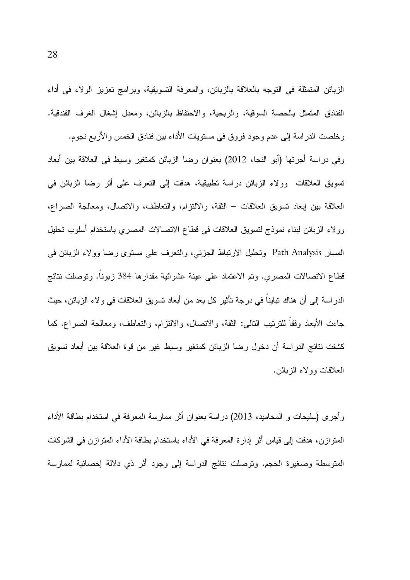الزبائن المنمثلة في النوجه بالعلاقة بالزبائن، والمعرفة النسويقية، وبرامج نعزيز الولاء في أداء الفنادق المنمثل بالحصة السوقية، والربحية، والاحتفاظ بالزبائن، ومعدل إشغال الغرف الفندقية.

وخلصت الدراسة إلى عدم وجود فروق في مستويات الأداء بين فنادق الخمس والأربع نجوم. وفي دراسة أجرتها (أبو النجا، 2012) بعنوان رضا الزبائن كمتغير وسيط في العلاقة بين أبعاد تسويق العلاقات وولاء الزبائن دراسة نطبيقية، هدفت إلى النعرف على أثر رضا الزبائن في العلاقة بين إبعاد تسويق العلاقات – الثقة، والالتزام، والتعاطف، والاتصال، ومعالجة الصراع، وولاء الزبائن لبناء نموذج لتسويق العلاقات في قطاع الاتصالات المصري باستخدام أسلوب تحليل المسار Path Analysis وتحليل الارتباط الجزئبي، والنعرف على مستوى رضا وولاء الزبائن في قطاع الاتصالات المصري. ونم الاعتماد على عينة عشوائية مقدارها 384 زبونا. ونوصلت نتائج الدراسة إلى أن هناك نبايناً في درجة نأثير كل بعد من أبعاد نسويق العلاقات في ولاء الزبائن، حيث جاءت الأبعاد وفقا للنرنيب النالبي: النقة، والانصال، والالنزام، والنعاطف، ومعالجة الصراع. كما كشفت نتائج الدر اسة أن دخول رضا الزبائن كمتغير وسيط غير من قوة العلاقة بين أبعاد تسويق العلاقات وولاء الزبائن.

وأجرى (سليحات و المحاميد، 2013) دراسة بعنوان أثر ممارسة المعرفة في استخدام بطاقة الأداء المنوازن، هدفت إلى قياس أثر إدارة المعرفة في الأداء باستخدام بطافة الأداء المنوازن في الشركات المنوسطة وصغيرة الحجم. ونوصلت نتائج الدراسة إلى وجود أثر ذي دلالة إحصائية لممارسة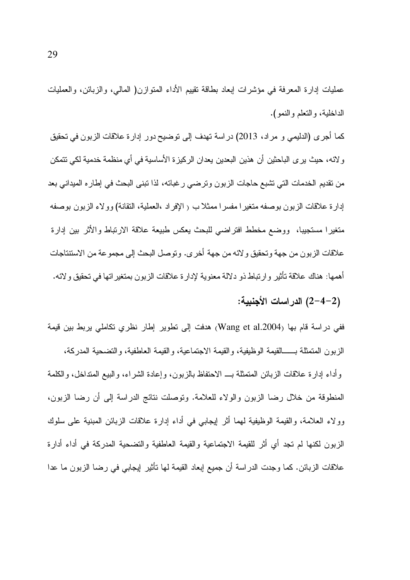عمليات إدارة المعرفة في مؤشرات إبعاد بطاقة نقيبم الأداء المنوازن( المالبي، والزبائن، والعمليات الداخلية، والنعلم والنمو).

كما أجرى (الدليمي و مراد، 2013) دراسة تهدف إلى نوضيح دور إدارة علاقات الزبون في تحقيق و لائه، حيث ير ي الباحثين أن هذين البعدين يعدان الركيزة الأساسية في أي منظمة خدمية لكي نتمكن من نقديم الخدمات التي نشبع حاجات الزبون ونرضبي رغبانه، لذا نبني البحث في إطاره الميداني بعد إدارة علاقات الزبون بوصفه منغيرا مفسرا ممثلاب ( الإفراد ،العملية، النقانة) وولاء الزبون بوصفه متغيرا مستجيبا، ووضع مخطط افتراضبي للبحث يعكس طبيعة علاقة الارتباط والأثر بين إدارة علاقات الزيون من جهة وتحقيق و لائه من جهة أخر ي. وتوصل البحث إلى مجمو عة من الاستتتاجات أهمها: هناك علاقة تأثير وارتباط ذو دلالة معنوية لإدارة علاقات الزبون بمتغير اتها في تحقيق ولائه.

(2–4–2) الدر اسات الأجنبية:

ففي دراسة قام بها (Wang et al.2004) هدفت إلى نطوير إطار نظري نكاملي يربط بين قيمة الز بون المتمثلة بــــــالقيمة الوظيفية، والقيمة الاجتماعية، والقيمة العاطفية، والتضحية المدركة، وأداء إدارة علاقات الزبائن المتمثلة بــ الاحتفاظ بالزبون، وإعادة الشراء، والبيع المتداخل، والكلمة المنطوقة من خلال رضا الزبون والولاء للعلامة. ونوصلت نتائج الدراسة إلى أن رضا الزبون، وولاء العلامة، والقيمة الوظيفية لمهما أثر إيجابي في أداء إدارة علاقات الزبائن المبنية على سلوك الزبون لكنها لم تجد أي أثر للقيمة الاجتماعية والقيمة العاطفية والتضحية المدركة في أداء أدارة علاقات الزبائن. كما وجدت الدراسة أن جميع إبعاد القيمة لـها نأنثير إيجابـي فـي رضـا الزبون مـا عدا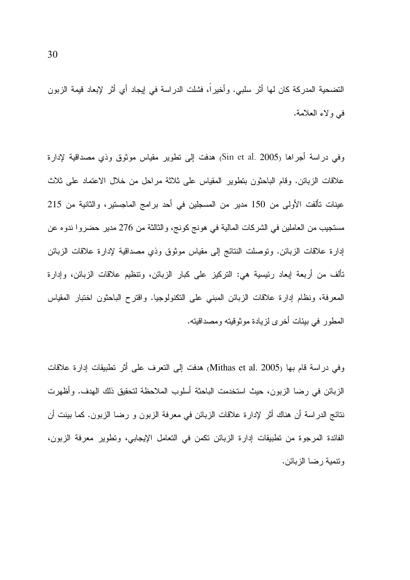التضحية المدركة كان لها أثر سلبي. وأخيراً، فشلت الدراسة في إيجاد أي أثر لإبعاد قيمة الزبون في ولاء العلامة.

وفي دراسة أجراها (Sin et al. 2005) هدفت إلى نطوير مقياس موثوق وذي مصداقية لإدارة علاقات الزبائن. وقام الباحثون بتطوير المقياس على ثلاثة مراحل من خلال الاعتماد على ثلاث عينات تألفت الأولى من 150 مدير من المسجلين في أحد برامج الماجستير، والثانية من 215 مستجيب من العاملين في الشركات المالية في هونج كونج، والثالثة من 276 مدير حضروا ندوه عن إدارة علاقات الزبائن. ونوصلت النتائج إلى مقياس موثوق وذي مصداقية لإدارة علاقات الزبائن تألف من أربعة إبعاد رئيسية هي: التركيز على كبار الزبائن، ونتظيم علاقات الزبائن، وإدارة المعرفة، ونظام إدارة علاقات الزبائن المبنى على التكنولوجيا. واقترح الباحثون اختبار المقياس المطور في بيئات أخرى لزيادة موثوقيته ومصداقيته.

وفي دراسة قام بها (Mithas et al. 2005) هدفت إلى التعرف على أثر تطبيقات إدارة علاقات الزبائن في رضا الزبون، حيث استخدمت الباحثة أسلوب الملاحظة لتحقيق ذلك الهدف. وأظهرت نتائج الدراسة أن هناك أثر لإدارة علاقات الزبائن في معرفة الزبون و رضا الزبون. كما بينت أن الفائدة المرجوة من تطبيقات إدارة الزبائن تكمن في التعامل الإيجابي، وتطوير معرفة الزبون، وتنمية رضا الزبائن.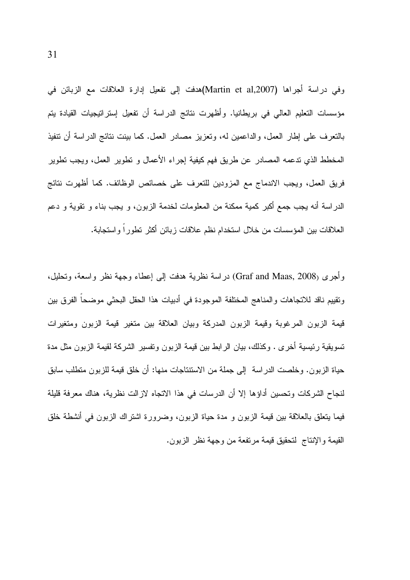وفي دراسة أجراها (Martin et al,2007)هدفت إلى تفعيل إدارة العلاقات مع الزبائن في مؤسسات التعليم العالي في بريطانيا. وأظهرت نتائج الدراسة أن تفعيل إستراتيجيات القيادة يتم بالنعرف على إطار العمل، والداعمين له، ونعزيز مصادر العمل. كما بينت ننائج الدراسة أن نتفيذ المخطط الذي ندعمه المصادر عن طريق فهم كيفية إجراء الأعمال و نطوير العمل، ويجب نطوير فريق العمل، ويجب الاندماج مع المزودين للتعرف على خصائص الوظائف. كما أظهرت نتائج الدر اسة أنه يجب جمع أكبر كمية ممكنة من المعلومات لخدمة الزبون، و يجب بناء و نقوية و دعم العلاقات بين المؤسسات من خلال استخدام نظم علاقات زبائن أكثر تطوراً واستجابة.

وأجرى (Graf and Maas, 2008) دراسة نظرية هدفت إلى إعطاء وجهة نظر واسعة، وتحليل، ونقييم ناقد للاتجاهات والمناهج المختلفة الموجودة في أدبيات هذا الحقل البحثي موضحا الفرق بين قيمة الزبون المرغوبة وقيمة الزبون المدركة وبيان العلاقة بين متغير قيمة الزبون ومتغيرات تسويقية رئيسية أخرى . وكذلك، بيان الرابط بين قيمة الزبون ونفسير الشركة لقيمة الزبون مثل مدة حياة الزبون. وخلصت الدراسة ۖ إلى جملة من الاستنتاجات منها: أن خلق قيمة للزبون منطلب سابق لنجاح الشركات وتحسين أداؤها إلا أن الدرسات في هذا الاتجاه لازالت نظرية، هناك معرفة قليلة فيما ينعلق بالعلاقة بين قيمة الزبون و مدة حياة الزبون، وضرورة اشتراك الزبون في أنشطة خلق القيمة والإنتاج لتحقيق قيمة مرتفعة من وجهة نظر الزبون.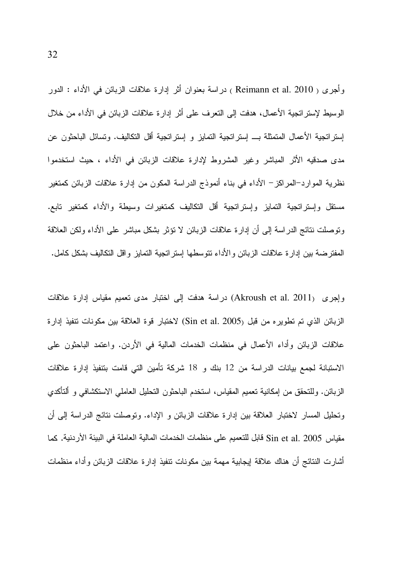وأجرى ( Reimann et al. 2010 ) دراسة بعنوان أثر إدارة علاقات الزبائن في الأداء : الدور الوسيط لإستر اتجية الأعمال، هدفت إلى التعرف على أثر إدارة علاقات الزبائن في الأداء من خلال إستر اتجية الأعمال المتمثلة بـــ إستر اتجية التمايز و إستر اتجية أقل التكاليف. وتسائل الباحثون عن مدى صدقيه الأثر المباشر وغير المشروط لإدارة علاقات الزبائن في الأداء ، حيث استخدموا نظرية الموارد–المراكز – الأداء في بناء أنموذج الدراسة المكون من إدارة علاقات الزبائن كمتغير مستقل وإستراتجية التمايز وإستراتجية أقل التكاليف كمتغيرات وسيطة والأداء كمتغير تابع. ونوصلت نتائج الدراسة إلى أن إدارة علاقات الزبائن لا نؤثر بشكل مباشر على الأداء ولكن العلاقة المفترضة بين إدارة علاقات الزبائن والأداء نتوسطها إستراتجية التمايز وإقل التكاليف بشكل كامل.

وإجرى (Akroush et al. 2011) دراسة هدفت إلى اختبار مدى نعميم مقياس إدارة علاقات الزبائن الذي تم تطويره من قبل (Sin et al. 2005) لاختبار قوة العلاقة بين مكونات تتفيذ إدارة علاقات الزبائن وأداء الأعمال في منظمات الخدمات المالية في الأردن. واعتمد الباحثون على الاستبانة لجمع بيانات الدراسة من 12 بنك و 18 شركة تأمين التي قامت بتنفيذ إدارة علاقات الزبائن. وللتحقق من إمكانية تعميم المقياس، استخدم الباحثون التحليل العاملـي الاستكشافـي و ألتأكدي وتحليل المسار لاختبار العلاقة بين إدارة علاقات الزبائن و الإداء. وتوصلت نتائج الدراسة إلى أن مقياس Sin et al. 2005 قابل للتعميم على منظمات الخدمات المالية العاملة في البيئة الأردنية. كما أشارت النتائج أن هناك علاقة إيجابية مهمة بين مكونات نتفيذ إدارة علاقات الزبائن وأداء منظمات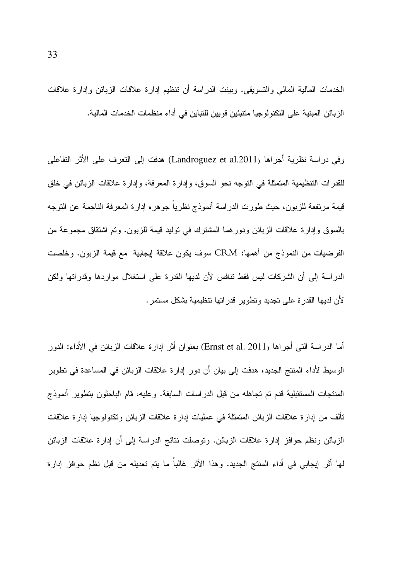الخدمات المالية المالي والتسويقي. وبينت الدراسة أن نتظيم إدارة علاقات الزبائن وإدارة علاقات الزبائن المبنية على التكنولوجيا متتبئين قويين للتباين في أداء منظمات الخدمات المالية.

وفي دراسة نظرية أجراها (Landroguez et al.2011) هدفت إلى التعرف على الأثر التفاعلي للقدرات التنظيمية المنمثلة في النوجه نحو السوق، وإدارة المعرفة، وإدارة علاقات الزبائن في خلق قيمة مرتفعة للزبون، حيث طورت الدراسة أنموذج نظريا جوهره إدارة المعرفة الناجمة عن التوجه بالسوق وإدارة علاقات الزبائن ودورهما المشترك في نوليد قيمة للزبون. وتم اشتقاق مجموعة من الفرضيات من النموذج من أهمها: CRM سوف يكون علاقة لِيجابية مع قيمة الزبون. وخلصت الدراسة إلى أن الشركات ليس فقط نتافس لأن لديها القدرة على استغلال مواردها وقدراتها ولكن لأن لديها القدرة على تجديد وتطوير قدراتها تنظيمية بشكل مستمر .

أما الدراسة التي أجراها (Ernst et al. 2011) بعنوان أثر إدارة علاقات الزبائن في الأداء: الدور الوسيط لأداء المنتج الجديد، هدفت إلى بيان أن دور إدارة علاقات الزبائن في المساعدة في تطوير الْمَنْتَجَاتُ الْمَسْتَقْبِلِيَةَ قَدْمٍ تَمْ تَجَاهَلُهُ مِنْ قَبْلَ الدراساتِ السابقة. وعليه، قام الباحثون بتطوير أنموذج تالف من إدار ة علاقات الزبائن المتمثلة في عمليات إدار ة علاقات الزبائن وتكنولوجيا إدار ة علاقات الزبائن ونظم حوافز إدارة علاقات الزبائن. ونوصلت نتائج الدراسة إلى أن إدارة علاقات الزبائن لَّها أثَّر لِيجابي في أداء المنتج الجديد. وهذا الأثر غالباً ما يتم تعديله من قبل نظم حوافز إدارة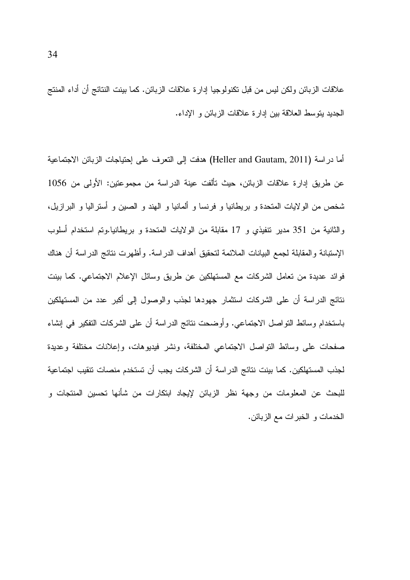علاقات الزبائن ولكن ليس من قبل تكنولوجيا إدارة علاقات الزبائن. كما بينت النتائج أن أداء المنتج الجديد يتوسط العلاقة بين إدارة علاقات الزبائن و الإداء.

أما دراسة (Heller and Gautam, 2011) هدفت إلى التعرف على إحتياجات الزبائن الاجتماعية عن طريق إدارة علاقات الزبائن، حيث نألفت عينة الدراسة من مجموعتين: الأولى من 1056 شخص من الولايات المتحدة و بريطانيا و فرنسا و ألمانيا و الـهند و الصين و أستراليا و البرازيل، والثانية من 351 مدير نتفيذي و 17 مقابلة من الولايات المتحدة و بريطانيا.وتم استخدام أسلوب الإستبانة والمقابلة لجمع البيانات الملائمة لتحقيق أهداف الدراسة. وأظهرت نتائج الدراسة أن هناك فوائد عديدة من تعامل الشركات مع المستهلكين عن طريق وسائل الإعلام الاجتماعي. كما بينت نتائج الدراسة أن على الشركات استثمار جهودها لجذب والوصول إلى أكبر عدد من المستهلكين باستخدام وسائط النواصل الاجتماعي. وأوضحت نتائج الدراسة أن على الشركات التفكير في إنشاء صفحات على وسائط النواصل الاجتماعي المختلفة، ونشر فيديوهات، وإعلانات مختلفة وعديدة لجذب المستهلكين. كما بينت نتائج الدراسة أن الشركات يجب أن تستخدم منصات نتقيب اجتماعية للبحث عن المعلومات من وجهة نظر الزبائن لإيجاد ابتكارات من شأنها تحسين المنتجات و الخدمات و الخبر ات مع الزبائن.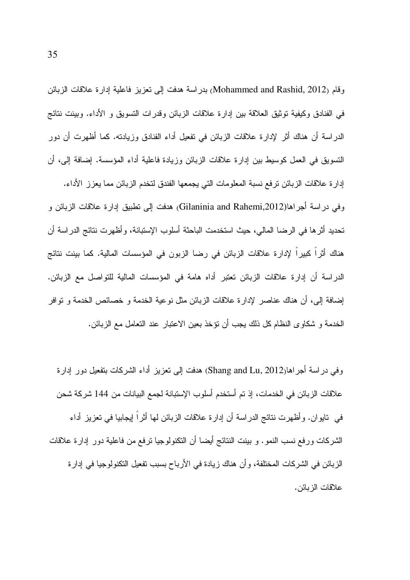وقام (Mohammed and Rashid, 2012) بدر اسة هدفت إلى تعزيز فاعلية إدارة علاقات الزبائن في الفنادق وكيفية توثيق العلاقة بين إدارة علاقات الزبائن وقدرات التسويق و الأداء. وبينت نتائج الدراسة أن هناك أثر لإدارة علاقات الزبائن في تفعيل أداء الفنادق وزيادته. كما أظهرت أن دور النسويق في العمل كوسيط بين إدارة علاقات الزبائن وزيادة فاعلية أداء المؤسسة. إضافة إلى، أن إدار ة علاقات الزبائن ترفع نسبة المعلومات التي يجمعها الفندق لتخدم الزبائن مما يعزز الأداء. وفي دراسة أجراها(Gilaninia and Rahemi,2012) هدفت إلى نطبيق إدارة علاقات الزبائن و تحديد أثرها في الرضا المالي، حيث استخدمت الباحثة أسلوب الإستبانة، وأظهرت نتائج الدراسة أن هناك أثراً كبيراً لإدارة علاقات الزبائن في رضا الزبون في المؤسسات المالية. كما بينت نتائج الدراسة أن إدارة علاقات الزبائن تعتبر أداه هامة في المؤسسات المالية للتواصل مع الزبائن. إضافة إلى، أن هناك عناصر لإدار ة علاقات الزبائن مثل نوعية الخدمة و خصائص الخدمة و نوافر الخدمة و شكاوى النظام كل ذلك يجب أن نؤخذ بعين الاعتبار عند التعامل مع الزبائن.

وفي دراسة أجراهار2012 ,Shang and Lu) هدفت إلى تعزيز أداء الشركات بتفعيل دور إدارة علاقات الزبائن في الخدمات، إذ تم أستخدم أسلوب الإستبانة لجمع البيانات من 144 شركة شحن في تابو ان . و أظهر ت نتائج الدر اسة أن إدار ة علاقات الز بائن لها أثر اً إيجابيا في تعز بز أداء الشركات ورفع نسب النمو . و بينت النتائج أيضا أن النكنولوجيا ترفع من فاعلية دور إدارة علاقات الزبائن في الشركات المختلفة، و أن هناك زيادة في الأرباح بسبب تفعيل التكنولوجيا في إدار ة علاقات الز بائن.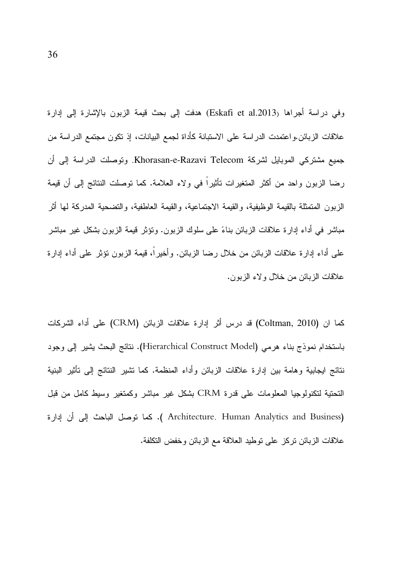وفي دراسة أجراها (Eskafi et al.2013) هدفت إلى بحث قيمة الزبون بالإشارة إلى إدارة علاقات الزبائن.واعتمدت الدراسة على الاستبانة كأداة لجمع البيانات، إذ تكون مجتمع الدراسة من جميع مشتركي الموبايل لشركة Khorasan-e-Razavi Telecom. وتوصلت الدراسة إلى أن رضا الزبون واحد من أكثر المتغيرات تأثيراً في ولاء العلامة. كما توصلت النتائج إلى أن قيمة الزبون المتمثلة بالقيمة الوظيفية، والقيمة الاجتماعية، والقيمة العاطفية، والتضحية المدركة لها أثر مباشر في أداء إدارة علاقات الزبائن بناءً على سلوك الزبون. وتؤثر قيمة الزبون بشكل غير مباشر علمي أداء إدارة علاقات الزبائن من خلال رضا الزبائن. وأخيراً، قيمة الزبون نؤثر علمي أداء إدارة علاقات الزبائن من خلال و لاء الزبون.

كما ان (Coltman, 2010) قد درس أثر إدارة علاقات الزبائن (CRM) على أداء الشركات باستخدام نموذج بناء هرمي (Hierarchical Construct Model). نتائج البحث يشير إلى وجود نتائج ايجابية وهامة بين إدارة علاقات الزبائن وأداء المنظمة. كما تشير النتائج إلى نأثير البنية النحتية لتكنولوجيا المعلومات على قدرة CRM بشكل غير مباشر وكمتغير وسيط كامل من قبل (Architecture. Human Analytics and Business). كما نوصل الباحث إلى أن إدارة علاقات الزبائن نركز على نوطيد العلاقة مع الزبائن وخفض النكلفة.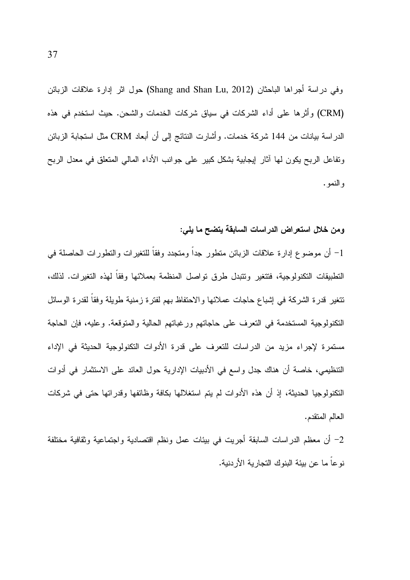وفي دراسة أجراها الباحثان (Shang and Shan Lu, 2012) حول اثر إدارة علاقات الزبائن (CRM) وأثَّرها على أداء الشركات في سياق شركات الخدمات والشحن. حيث استخدم في هذه الدراسة بيانات من 144 شركة خدمات. وأشارت النتائج إلى أن أبعاد CRM مثل استجابة الزبائن ونفاعل الربح يكون لها أثار إيجابية بشكل كبير على جوانب الأداء المالي المنعلق في معدل الربح و النمو .

#### ومن خلال استعراض الدراسات السابقة يتضح ما يلي:

1– أن موضوع إدارة علاقات الزبائن متطور جداً ومتجدد وفقاً للتغيرات والتطورات الحاصلة في التطبيقات التكنولوجية، فتتغير وتتبدل طرق تواصل المنظمة بعملائها وفقا لهذه التغيرات. لذلك، تتغير قدرة الشركة في إشباع حاجات عملائها والاحتفاظ بهم لفترة زمنية طويلة وفقا لقدرة الوسائل النكنولوجية المستخدمة في النعرف على حاجاتهم ورغباتهم الحالية والمتوقعة. وعليه، فإن الحاجة مستمرة لإجراء مزيد من الدراسات للتعرف على قدرة الأدوات التكنولوجية الحديثة في الإداء التنظيمي، خاصة أن هناك جدل واسع في الأدبيات الإدارية حول العائد على الاستثمار في أدوات النكنولوجيا الحديثة، إذ أن هذه الأدوات لم يتم استغلالها بكافة وظائفها وقدراتها حتى في شركات العالم المتقدم.

2– أن معظم الدر اسات السابقة أجريت في بيئات عمل ونظم اقتصادية واجتماعية وثقافية مختلفة نوعاً ما عن بيئة البنوك التجارية الأردنية.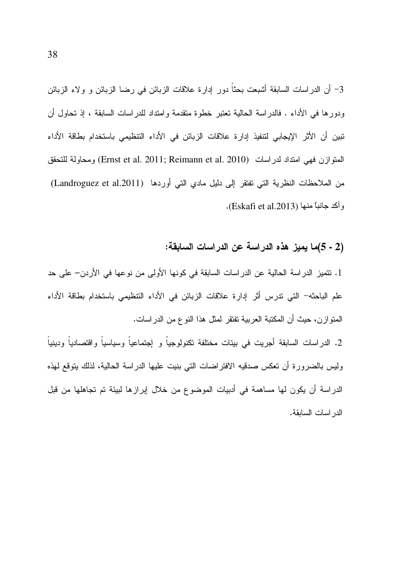3– أن الدراسات السابقة أشبعت بحثاً دور إدارة علاقات الزبائن في رضا الزبائن و ولاء الزبائن ودورها في الأداء . فالدراسة الحالية تعتبر خطوة متقدمة وامتداد للدراسات السابقة ، إذ تحاول أن تبين أن الأثر الإيجابي لتنفيذ إدارة علاقات الزبائن في الأداء التنظيمي باستخدام بطاقة الأداء المتوازن فهي امتداد لدراسات (Ernst et al. 2011; Reimann et al. 2010) ومحاولة للتحقق من الملاحظات النظرية التي تفتقر إلى دليل مادي التي أوردها (Landroguez et al.2011) وأكد جانباً منها (Eskafi et al.2013).

## (2 - 5)ما يميز هذه الدراسة عن الدراسات السابقة:

1. تتميز الدراسة الحالية عن الدراسات السابقة في كونها الأولى من نوعها في الأردن– على حد علم الباحثه– التي ندرس أثر إدارة علاقات الزبائن في الأداء التنظيمي باستخدام بطاقة الأداء المنوازن، حيث أن المكتبة العربية تفتقر لمثل هذا النوع من الدراسات.

2. الدراسات السابقة أجريت في بيئات مختلفة تكنولوجياً و إجتماعياً وسياسياً واقتصادياً ودينياً وليس بالضرورة أن تعكس صدقيه الافتراضات التي بنيت عليها الدراسة الحالية، لذلك يتوقع لهذه الدراسة أن يكون لها مساهمة في أدبيات الموضوع من خلال إبرازها لبيئة تم تجاهلها من قبل الدر اسات السابقة.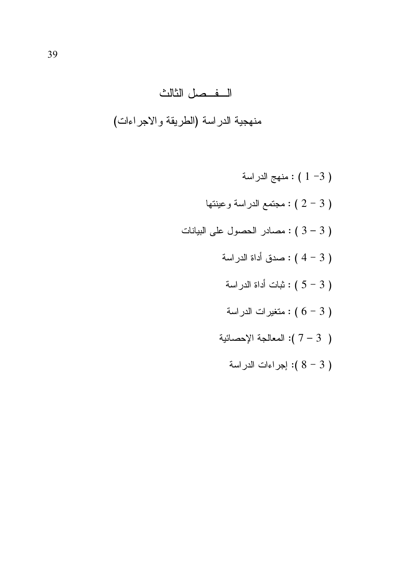# الفصل الثالث منهجية الدراسة (الطريقة والاجراءات)

نهج الدراسة : ( 1 -3 ) وعينتها : ( 2 - 3 ) مجتمع الدراسة وعينتها حصادر الحصول على البيانات : ( 3 - 3 ) عدق أداة الدراسة  $(4-3)$ : ثبات أداة الدراسة  $(5-3)$ : متغيرات الدراسة ) : متغيرات الدراسة المعالجة الإحصائية ( $7-3$  ): ( 3 - 8 ): إجراءات الدراسة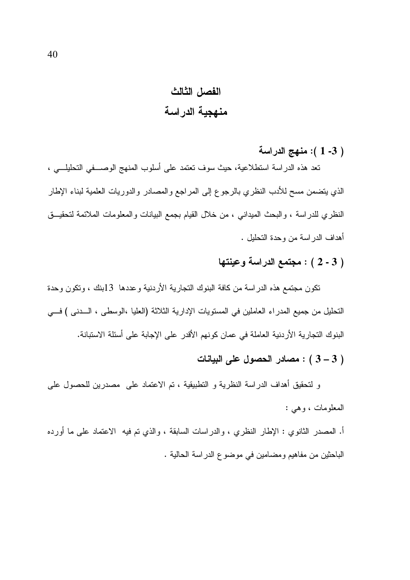## الفصل الثالث منهجية الدراسة

( 3- 1 ): منهج الدراسة

نعد هذه الدراسة استطلاعية، حيث سوف نعتمد على أسلوب المنهج الوصـــفي التحليلـــي ، الذي يتضمن مسح للأدب النظري بالرجوع إلى المراجع والمصادر والدوريات العلمية لبناء الإطار النظري للدراسة ، والبحث الميداني ، من خلال القيام بجمع البيانات والمعلومات الملائمة لتحقيـــق أهداف الدر اسة من وحدة التحليل .

## ( 3 - 2 ) : مجتمع الدراسة وعينتها

تكون مجتمع هذه الدراسة من كافة البنوك التجارية الأردنية وعددها 13بنك ، وتكون وحدة التحليل من جميع المدراء العاملين في المستويات الإدارية الثلاثة (العليا ،الوسطى ، الـــدنى ) فـــي البنوك التجارية الأردنية العاملة في عمان كونهم الأقدر على الإجابة على أسئلة الاستبانة.

## ( 3 – 3 ) : مصادر الحصول على البيانات

و لتحقيق أهداف الدراسة النظرية و النطبيقية ، تم الاعتماد على ًمصدرين للحصول على المعلومات ، وهي :

أ. المصدر الثانوي : الإطار النظري ، والدراسات السابقة ، والذي نم فيه الاعتماد على ما أورده الباحثين من مفاهيم ومضامين في موضوع الدراسة الحالية .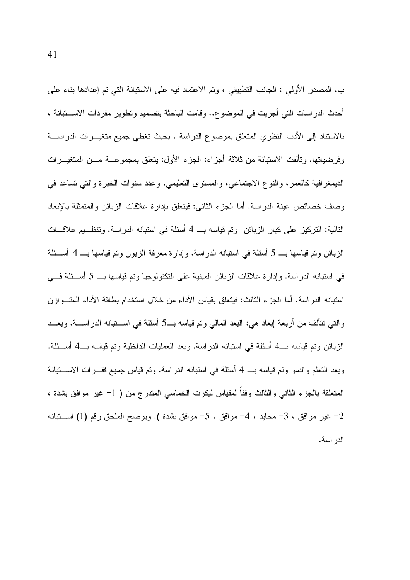ب. المصدر الأولى : الجانب النطبيقي ، وتم الاعتماد فيه على الاستبانة التي تم إعدادها بناء على أحدث الدر اسات التي أجريت في الموضوع.. وقامت الباحثة بتصميم وتطوير مفردات الاســــتبانـة ، بالاستناد إلى الأدب النظري المنعلق بموضوع الدراسة ، بحيث تغطي جميع متغيـــرات الدراســــة وفرضياتها. وتألفت الاستبانة من ثلاثة أجزاء: الجزء الأول: يتعلق بمجموعـــة مـــن المتغيـــرات الديمغرافية كالعمر، والنوع الاجتماعي، والمستوى التعليمي، وعدد سنوات الخبرة والتبي تساعد في وصف خصائص عينة الدراسة. أما الجزء الثاني: فينعلق بإدارة علاقات الزبائن والمتمثلة بالإبعاد التالية: التركيز على كبار الزبائن ۖ وتم قياسه بــ 4 أسئلة في استبانه الدراسة. وتنظـــيم علاقـــات الزبائن وتم قياسها بـــ 5 أسئلة في استبانه الدراسة. وإدارة معرفة الزبون وتم قياسها بـــ 4 أســـئلة في استبانه الدر اسة. وإدار ة علاقات الزبائن المبنية على التكنولوجيا ونم قياسها بـــ 5 أســئلة فـــي استبانه الدر اسة. أما الجزء الثالث: فيتعلق بقياس الأداء من خلال استخدام بطاقة الأداء المتـــوازن والتبي نتألف من أربعة إبعاد هي: البعد المالي وتم قياسه بــ5 أسئلة في اســـتبانه الدراســـة. وبعـــد الزبائن وتم قياسه بــــ4 أسئلة فـي استبانـه الدراسة. وبعد الـعمليات الداخلية وتم قياسه بـــ4 أســـئلة. وبعد النعلم والنمو وتم قياسه بـــ 4 أسئلة في استبانه الدراسة. وتم قياس جميع فقـــرات الاســــتبانة المتعلقة بالجزء الثانبي والثالث وفقا لمقياس ليكرت الخماسي المندرج من ( 1– غير موافق بشدة ، غير موافق ، 3- محايد ، 4- موافق ، 5- موافق بشدة ). ويوضح الملحق رقم (1) اســـتبانه  $-2$ الدر اسة.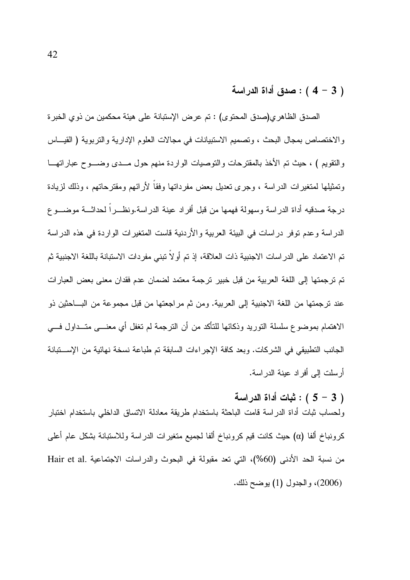## $(4-3)$  : صدق أداة الدراسة

الصدق الظاهري(صدق المحتوى) : تم عرض الإستبانة على هيئة محكمين من ذوي الخبرة والاختصاص بمجال البحث ، وتصميم الاستبيانات في مجالات العلوم الإدارية والتربوية ( القيـــاس والنقويم ) ، حيث تم الأخذ بالمقترحات والتوصيات الواردة منهم حول مـــدى وضــــوح عباراتهـــا وتمثيلها لمتغيرات الدراسة ، وجرى تعديل بعض مفرداتها وفقاً لأرائهم ومقترحاتهم ، وذلك لزيادة درجة صدقيه أداة الدر اسة وسهولة فهمها من قبل أفراد عينة الدراسة ونظـــراً لحداثـــة موضــــو ع الدراسة وعدم توفر دراسات في البيئة العربية والأردنية قاست المتغيرات الواردة في هذه الدراسة تم الاعتماد على الدراسات الاجنبية ذات العلاقة، إذ تم أولاً تبني مفردات الاستبانة باللغة الاجنبية ثم تم ترجمتها إلى اللغة العربية من قبل خبير ترجمة معتمد لضمان عدم فقدان معنى بعض العبارات عند ترجمتها من اللغة الاجنبية إلى العربية. ومن ثم مراجعتها من قبل مجموعة من البـــاحثين ذو الاهتمام بموضوع سلسلة النوريد وذكائها للتأكد من أن النرجمة لم نغفل أي معنـــي متـــداول فـــي الجانب التطبيقي في الشر كات. وبعد كافة الإجر اءات السابقة تم طباعة نسخة نهائية من الإســـتبانة أر سلت إلى أفر اد عينة الدر اسة.

: ثبات أداة الدر اسة

ولحساب ثبات أداة الدراسة قامت الباحثة باستخدام طريقة معادلة الاتساق الداخلي باستخدام اختبار كرونباخ ألفا (α) حيث كانت قيم كرونباخ ألفا لجميع متغيرات الدراسة وللاستبانة بشكل عام أعلى من نسبة الحد الأدنى (60%)، التي تعد مقبولة في البحوث والدراسات الاجتماعية .Hair et al (2006)، والجدول (1) يوضح ذلك.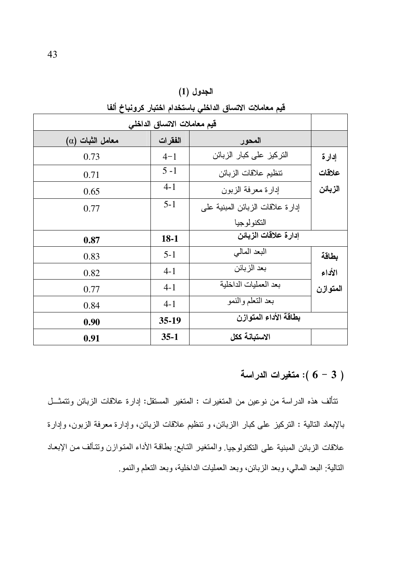| قيم معاملات الاتساق الداخلي |         |                                  |          |  |  |  |
|-----------------------------|---------|----------------------------------|----------|--|--|--|
| $(\alpha)$ معامل الثبات     | الفقرات | المحور                           |          |  |  |  |
| 0.73                        | $4 - 1$ | التركيز على كبار الزبائن         | إدارة    |  |  |  |
| 0.71                        | $5-1$   | تنظيم علاقات الزبائن             | علاقات   |  |  |  |
| 0.65                        | $4 - 1$ | إدارة معرفة الزبون               | الزبائن  |  |  |  |
| 0.77                        | $5 - 1$ | إدارة علاقات الزبائن المبنية على |          |  |  |  |
|                             |         | التكنولوجيا                      |          |  |  |  |
| 0.87                        | $18-1$  | إدارة علاقات الزبائن             |          |  |  |  |
| 0.83                        | $5 - 1$ | البعد المالي                     | بطاقة    |  |  |  |
| 0.82                        | $4 - 1$ | بعد الزبائن                      | الأداء   |  |  |  |
| 0.77                        | $4 - 1$ | بعد العمليات الداخلية            | المتوازن |  |  |  |
| 0.84                        | $4 - 1$ | بعد التعلم والنمو                |          |  |  |  |
| 0.90                        | $35-19$ | بطاقة الأداء المتوازن            |          |  |  |  |
| 0.91                        | $35-1$  | الاستبانة ككل                    |          |  |  |  |

الجدول (1) قيم معاملات الاتساق الداخلي باستخدام اختبار كرونباخ ألفا

ا : متغيرات الدراسة ): متغيرات

نتألف هذه الدراسة من نوعين من المتغيرات : المتغير المستقل: إدارة علاقات الزبائن ونتمثـــل بالإبعاد النالية : النركيز على كبار االزبائن، و نتظيم علاقات الزبائن، وإدارة معرفة الزبون، وإدارة علاقات الزبائن المبنية على النكنولوجيا. والمتغير التـابع: بطاقـة الأداء المتوازن وتتـألف من الإبعـاد النالية: البعد المالي، وبعد الزبائن، وبعد العمليات الداخلية، وبعد النعلم والنمو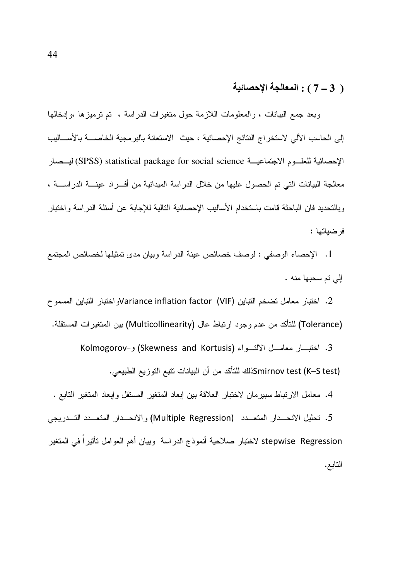## ( 3 – 7 ) : المعالجة الإحصائية

وبعد جمع البيانات ، والمعلومات اللازمة حول متغيرات الدراسة ، تم نرميزها ،وإدخالها إلى الحاسب الآلي لاستخراج النتائج الإحصائية ، حيث الاستعانة بالبر مجية الخاصــــة بالأســــاليب الإحصائية للعلـــوم الاجتماعيـــة SPSS) statistical package for social science) ليـــصار معالجة البيانات التي تم الحصول عليها من خلال الدراسة الميدانية من أفـــراد عينــــة الدراســـة ، وبالتحديد فان الباحثة قامت باستخدام الأساليب الإحصائية التالية للإجابة عن أسئلة الدر اسة و اختبار فر ضباتها :

1. الإحصاء الوصفي : لوصف خصائص عينة الدراسة وبيان مدى تمثيلها لخصائص المجتمع إلى تم سحبها منه .

2. اختبار معامل تضخم التباين Variance inflation factor (VIF)و اختبار التباين المسمو ح (Tolerance) للتأكد من عدم وجود ارتباط عال (Multicollinearity) بين المتغيرات المستقلة.

3. اختبار معامــل الالتــواء (Skewness and Kortusis) و-Kolmogorov

Smirnov test (K–S test)كذلك للتأكد من أن البيانات تتبع التوزيع الطبيعي.

4. معامل الارتباط سبيرمان لاختبار العلاقة بين إبعاد المتغير المستقل وإبعاد المتغير التابع .

5. تحليل الانحــدار المتعــدد (Multiple Regression) والانحــدار المتعــدد التــدريجي stepwise Regression لاختبار صلاحية أنموذج الدراسة وبيان أهم العوامل تأثيراً في المتغير التابع.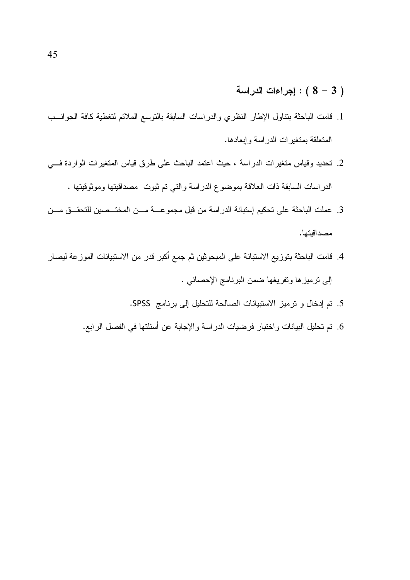## اجراءات الدراسة ( 3 - 8) )

- 1. فامت الباحثة بنتاول الإطار النظري والدراسات السابقة بالتوسع الملائم لتغطية كافة الجوانسب المتعلقة بمتغيرات الدراسة وإبعادها.
- 2. تحديد وقياس متغيرات الدراسة ، حيث اعتمد الباحث على طرق قياس المتغيرات الواردة فسي الدراسات السابقة ذات العلاقة بموضوع الدراسة والتي تم ثبوت ً مصداقيتها وموثوقيتها .
- 3. عملت الباحثة على تحكيم إستبانة الدراسة من قبل مجموعـــة مـــن المختـــصين للتحقـــق مـــن مصداقيتها.
- 4. قامت الباحثة بتوزيع الاستبانة على المبحوثين ثم جمع أكبر قدر من الاستبيانات الموزعة ليصار إلى نرميزها ونفريغها ضمن البرنامج الإحصائي .
	- 5. تم إدخال و ترميز الاستبيانات الصالحة للتحليل إلى برنامج SPSS.
	- 6. تم تحليل البيانات واختبار فرضيات الدراسة والإجابة عن أسئلتها في الفصل الرابع.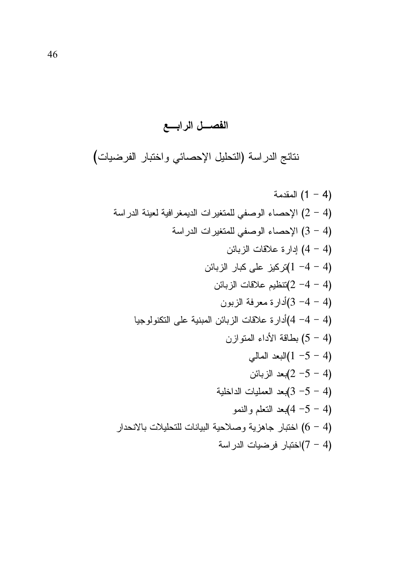# الفصال الرابع

نتائج الدراسة (التحليل الإحصائي واختبار الفرضيات)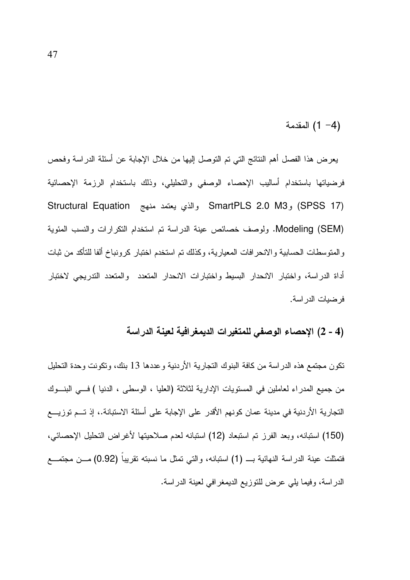(4− 1) المقدمة

يعرض هذا الفصل أهم النتائج التي تم التوصل إليها من خلال الإجابة عن أسئلة الدراسة وفحص فرضياتها باستخدام أساليب الإحصاء الوصفى والتحليلي، وذلك باستخدام الرزمة الإحصائية Structural Equation والذي يعتمد منهج SmartPLS 2.0 M3 و Structural Equation Modeling (SEM). ولوصف خصائص عينة الدراسة تم استخدام النكرارات والنسب المئوية والمنوسطات الحسابية والانحرافات المعيارية، وكذلك نم استخدم اختبار كرونباخ ألفا للتأكد من ثبات أداة الدراسة، واختبار الانحدار البسيط واختبارات الانحدار المتعدد والمتعدد التدريجي لاختبار فر ضبات الدر اسة.

#### (4 - 2) الإحصاء الوصفي للمتغيرات الديمغرافية لعينة الدراسة

نكون مجتمع هذه الدر اسة من كافة البنوك التجارية الأردنية و عددها 13 بنك، وتكونت وحدة التحليل من جميع المدراء لعاملين في المستويات الإدارية لثلاثة (العليا ، الوسطى ، الدنيا ) فـــي البنـــوك التجارية الأردنية في مدينة عمان كونهم الأقدر على الإجابة على أسئلة الاستبانة.، إذ تــم توزيـــع (150) استبانه، وبعد الفرز تم استبعاد (12) استبانه لعدم صلاحيتها لأغراض التحليل الإحصائي، فتمثلت عينة الدراسة النهائية بـــ (1) استبانه، والتي تمثل ما نسبته نقريباً (0.92) مـــن مجتمــــع الدر اسة، وفيما يلي عرض للتوزيع الديمغر افي لعينة الدر اسة.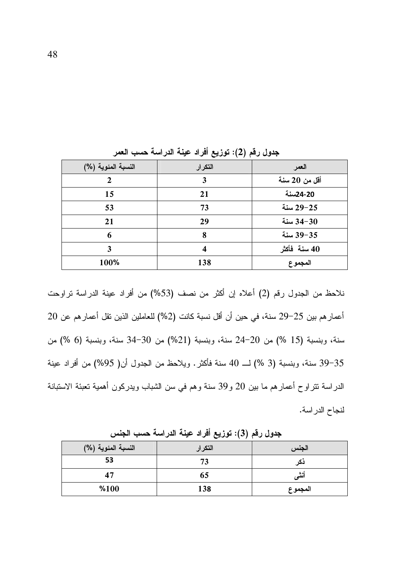| النسبة المئوية (%) | التكرار | العمر         |
|--------------------|---------|---------------|
| 2                  | 3       | أقل من 20 سنة |
| 15                 | 21      | 20-24سنة      |
| 53                 | 73      | 29−25 سنة     |
| 21                 | 29      | 34-30 سنة     |
| 6                  | 8       | 39-35 سنة     |
| 3                  | 4       | 40 سنة فأكثر  |
| 100%               | 138     | المجموع       |

جدول رقم (2): توزيع أفراد عينة الدراسة حسب العمر

نلاحظ من الجدول رقم (2) أعلاه إن أكثر من نصف (53%) من أفراد عينة الدراسة تراوحت أعمار هم بين 25–29 سنة، في حين أن أقل نسبة كانت (2%) للعاملين الذين نقل أعمار هم عن 20 سنة، وبنسبة (15 %) من 20-24 سنة، وبنسبة (21%) من 30-34 سنة، وبنسبة (6 %) من 39–39 سنة، وبنسبة (3 %) لـــ 40 سنة فأكثر . ويلاحظ من الجدول أن( 95%) من أفراد عينة الدراسة نتراوح أعمارهم ما بين 20 و39 سنة وهم في سن الشباب ويدركون أهمية نعبئة الاستبانة لنجاح الدر اسة.

| النسبة المئوية (%) | التكرار | الجنس   |
|--------------------|---------|---------|
| 53                 | 73      | دحر     |
| 47                 | 65      |         |
| %100               | 138     | المجموع |

جدول رقم (3): توزيع أفراد عينة الدراسة حسب الجنس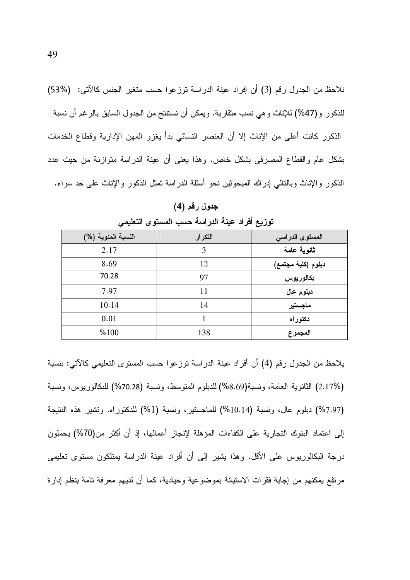نلاحظ من الجدول رقم (3) أن إفراد عينة الدراسة توزعوا حسب متغير الجنس كالآتي: (%53) للذكور و(47%) للإناث وهي نسب متقاربة. ويمكن أن نستتنج من الجدول السابق بالرغم أن نسبة الذكور كانت أعلى من الإناث إلا أن العنصر النسائي بدأ يغزو المهن الإدارية وقطاع الخدمات بشكل عام والقطاع المصرفى بشكل خاص. وهذا يعنى أن عينة الدراسة متوازنة من حيث عدد الذكور والإناث وبالنالبي إدراك المبحوثين نحو أسئلة الدراسة تمثل الذكور والإناث علىي حد سواء.

| $\ddot{\phantom{1}}$ |         | سی                 |
|----------------------|---------|--------------------|
| النسبة المئوية (%)   | التكرار | المستوى الدراسي    |
| 2.17                 | 3       | ثانوية عامة        |
| 8.69                 | 12      | دبلوم (كلية مجتمع) |
| 70.28                | 97      | بكالوريوس          |
| 7.97                 | 11      | دبلوم عال          |
| 10.14                | 14      | ماجستير            |
| 0.01                 |         | دكتوراه            |
| %100                 | 138     | المجموع            |

جدول رقم (4)

توزيع أفراد عينة الدراسة حسب المستوى التعليمي

يلاحظ من الجدول رقم (4) أن أفراد عينة الدراسة توزعوا حسب المستوى التعليمي كالآتي: بنسبة (2.17%) الثانوية العامة، ونسبة(8.69%) للدبلوم المتوسط، ونسبة (70.28%) للبكالوريوس، ونسبة (7.97%) دبلوم عال، ونسبة (10.14%) للماجستير ، ونسبة (1%) للدكتوراه. وتشير هذه النتيجة إلى اعتماد البنوك التجارية على الكفاءات المؤهلة لإنجاز أعمالها، إذ أن أكثر من(70%) يحملون درجة البكالوريوس على الأقل. وهذا بشير إلى أن أفراد عينة الدراسة بمتلكون مستوى تعليمي مرتفع يمكنهم من إجابة فقرات الاستبانة بموضوعية وحيادية، كما أن لديهم معرفة تامة بنظم إدارة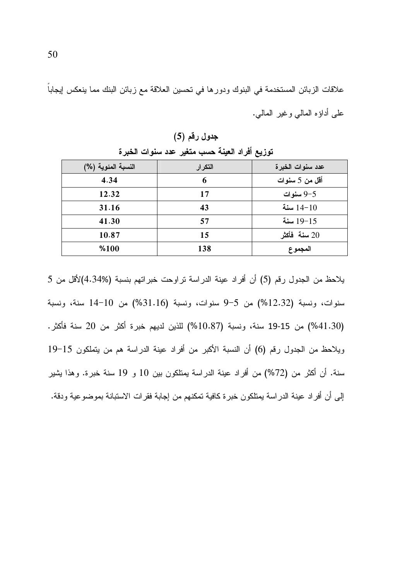علاقات الزبائن المستخدمة في البنوك ودورها في تحسين العلاقة مع زبائن البنك مما ينعكس إيجاباً على أداؤه المالي وغير المالي.

| ⊸<br>◡             | ∽       | $\sim$ $\sim$    |
|--------------------|---------|------------------|
| النسبة المئوية (%) | التكرار | عدد سنوات الخبرة |
| 4.34               | 6       | أقل من 5 سنوات   |
| 12.32              | 17      | 9-5 سنوات        |
| 31.16              | 43      | سنة $14 - 10$    |
| 41.30              | 57      | 19-15 سنة        |
| 10.87              | 15      | سنة فأكثر $20\,$ |
| %100               | 138     | المجموع          |

جدول رقم (5) تورْيع أفر اد العينة حسب متغير عدد سنوات الخبر ة

يلاحظ من الجدول رقم (5) أن أفراد عينة الدراسة تراوحت خبراتهم بنسبة (4.34%)لأقل من 5 سنوات، ونسبة (12.32%) من 5-9 سنوات، ونسبة (31.16%) من 10-14 سنة، ونسبة (41.30%) من 15-19 سنة، ونسبة (10.87%) للذين لديهم خبرة أكثر من 20 سنة فأكثر. ويلاحظ من الجدول رقم (6) أن النسبة الأكبر من أفراد عينة الدراسة هم من يتملكون 15-19 سنة. أن أكثر من (72%) من أفراد عينة الدراسة يمتلكون بين 10 و 19 سنة خبرة. وهذا يشير إلى أن أفراد عينة الدراسة يمتلكون خبرة كافية تمكنهم من إجابة فقرات الاستبانة بموضوعية ودقة.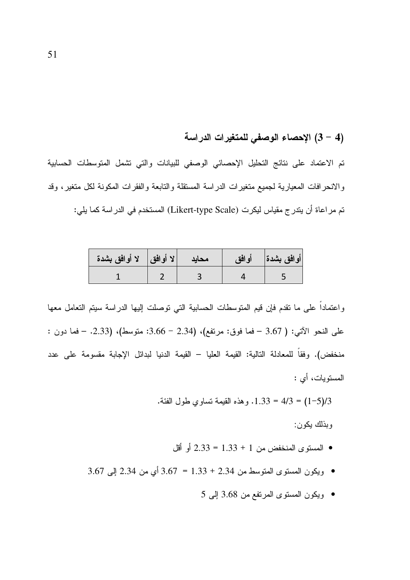## (4 – 3) الإحصاء الوصفى للمتغيرات الدراسة

تم الاعتماد على نتائج التحليل الإحصائي الوصفى للبيانات والتي تشمل المتوسطات الحسابية والانحرافات المعيارية لجميع متغيرات الدراسة المستقلة والتابعة والفقرات المكونة لكل متغير، وقد تم مراعاة أن يتدرج مقياس ليكرت (Likert-type Scale) المستخدم في الدر اسة كما يلي:

| لا أوافق    لا أوافق بشدة | محايد | أوافق بشدة     أوافق |
|---------------------------|-------|----------------------|
|                           |       |                      |

واعتماداً على ما نقدم فإن قيم المتوسطات الحسابية التي نوصلت إليها الدراسة سيتم التعامل معها على النحو الأتبي: ( 3.67 – فما فوق: مرتفع)، (2.34 – 3.66: متوسط)، (2.33. – فما دون : منخفض). وفقاً للمعادلة التالية: القيمة العليا – القيمة الدنيا لبدائل الإجابة مقسومة على عدد المسنوبات، أي :

1/3(1-5) = 4/3 = 1.33. وهذه القيمة تساوي طول الفئة.

وبذلك يكون:

- المستوى المنخفض من 1 + 1.33 = 2.33 أو أقل
- ويكون المستوى المتوسط من 2.34 + 3.33 = 3.67 أي من 2.34 إلى 3.67
	- ويكون المستوى المرتفع من 3.68 إلى 5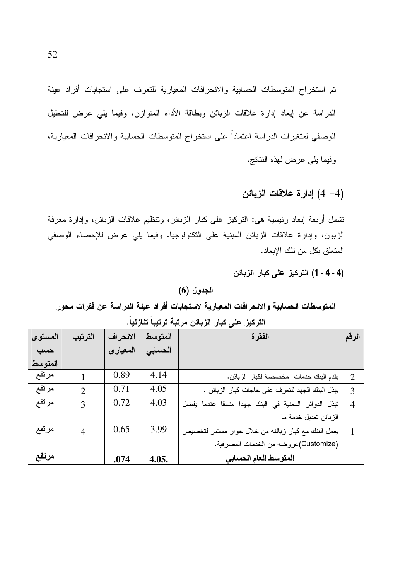تم استخراج المتوسطات الحسابية والانحرافات المعيارية للتعرف على استجابات أفراد عينة الدراسة عن إبعاد إدارة علاقات الزبائن وبطاقة الأداء المنوازن، وفيما يلي عرض للتحليل الوصفى لمتغيرات الدراسة اعتماداً على استخراج المتوسطات الحسابية والانحرافات المعيارية، وفيما يلي عرض لهذه النتائج.

(4 – 4) إدارة علاقات الزبائن

نشمل أربعة إبعاد رئيسية هي: النركيز على كبار الزبائن، ونتظيم علاقات الزبائن، وإدارة معرفة الزبون، وإدارة علاقات الزبائن المبنية على التكنولوجيا. وفيما يلي عرض للإحصاء الوصفى المتعلق بكل من نلك الإبعاد.

(4 - 4 - 1) التركيز على كبار الزبائن

#### الجدول (6)

المتوسطات الحسابية والانحرافات المعيارية لاستجابات أفراد عينة الدراسة عن فقرات محور

| المستوى | الترتيب        | الانحراف | المتوسط | الفقرة                                              | الرقم          |
|---------|----------------|----------|---------|-----------------------------------------------------|----------------|
| حسب     |                | المعياري | الحسابى |                                                     |                |
| المتوسط |                |          |         |                                                     |                |
| مرتفع   |                | 0.89     | 4.14    | يقدم البنك خدمات مخصصة لكبار الزبائن.               | $\overline{2}$ |
| مرتفع   | $\overline{2}$ | 0.71     | 4.05    | يبذل البنك الجهد للتعرف على حاجات كبار الزبائن .    | 3              |
| مرتفع   | 3              | 0.72     | 4.03    | تبذل الدوائر المعنية في البنك جهدا منسقا عندما يفضل | $\overline{4}$ |
|         |                |          |         | الزبائن تعديل خدمة ما                               |                |
| مرتفع   | $\overline{4}$ | 0.65     | 3.99    | يعمل البنك مع كبار زبائنه من خلال حوار مستمر لتخصيص |                |
|         |                |          |         | (Customize)عروضه من الخدمات المصرفية.               |                |
| مرتفع   |                | .074     | 4.05.   | المتوسط العام الحسابي                               |                |

التركيز على كبار الزبائن مرتبة ترتيباً تنازلياً.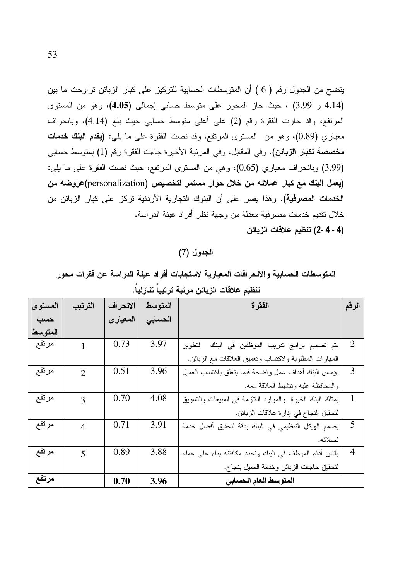يتضح من الجدول رقم ( 6 ) أن المتوسطات الحسابية للتركيز على كبار الزبائن تراوحت ما بين (4.14 و 3.99) ، حيث حاز المحور على متوسط حسابي إجمالي (4.05)، وهو من المستوى المرتفع، وقد حازت الفقرة رقم (2) على أعلى متوسط حسابي حيث بلغ (4.14)، وبانحراف معياري (0.89)، وهو من المستوى المرتفع، وقد نصت الفقرة على ما بلي: (يقدم البنك خدمات مخصصة لكبار الزبائن). وفي المقابل، وفي المرنبة الأخيرة جاءت الفقرة رقم (1) بمتوسط حسابي (3.99) وبانحراف معياري (0.65)، وهي من المستوى المرتفع، حيث نصت الفقرة على ما يلي: (يعمل البنك مع كبار عملائه من خلال حوار مستمر لتخصيص (personalization)عروضه من ا**لخدمات المصرفية).** وهذا يفسر على أن البنوك التجارية الأردنية تركز على كبار الزبائن من خلال نقديم خدمات مصر فية معدلة من وجهة نظر أفر اد عينة الدر اسة. (4 - 4 -2) تنظيم علاقات الزبائن

الجدول (7)

المتوسطات الحسابية والانحرافات المعيارية لاستجابات أفراد عينة الدراسة عن فقرات محور تنظيم علاقات الزيائن مرتبة ترتيباً تنازلياً.

| المستوى | الترتيب        | الانحراف | المتوسط | الفقرة                                                   | الرقم          |
|---------|----------------|----------|---------|----------------------------------------------------------|----------------|
| حسب     |                | المعياري | الحسابى |                                                          |                |
| المتوسط |                |          |         |                                                          |                |
| مرتفع   |                | 0.73     | 3.97    | يتم تصميم برامج تدريب الموظفين في البنك<br>لتطو پر       | $\overline{2}$ |
|         |                |          |         | المهارات المطلوبة ولاكتساب وتعميق العلاقات مع الزبائن.   |                |
| مرتفع   | $\overline{2}$ | 0.51     | 3.96    | يؤسس البنك أهداف عمل واضحة فيما يتعلق باكتساب العميل     | 3              |
|         |                |          |         | والمحافظة عليه ونتشيط العلاقة معه.                       |                |
| مرتفع   | 3              | 0.70     | 4.08    | يمثلك البنك الخبرة والموارد اللازمة في المبيعات والتسويق | 1              |
|         |                |          |         | لتحقيق النجاح في إدارة علاقات الزبائن.                   |                |
| مرتفع   | $\overline{4}$ | 0.71     | 3.91    | يصمم الهيكل التنظيمي في البنك بدقة لتحقيق أفضل خدمة      | 5              |
|         |                |          |         | لعملائه.                                                 |                |
| مرتفع   | 5              | 0.89     | 3.88    | يقاس أداء الموظف في البنك وتحدد مكافئته بناء على عمله    | $\overline{4}$ |
|         |                |          |         | لنحقيق حاجات الزبائن وخدمة العميل بنجاح.                 |                |
| مرتفع   |                | 0.70     | 3.96    | المتوسط العام الحسابي                                    |                |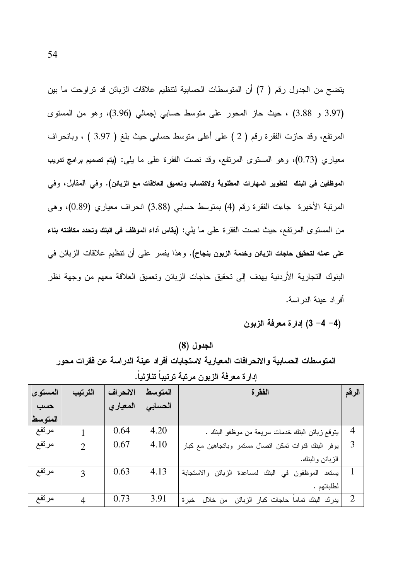يتضح من الجدول رقم ( 7) أن المتوسطات الحسابية لتنظيم علاقات الزبائن قد تراوحت ما بين (3.97 و 3.88) ، حيث حاز المحور على متوسط حسابي إجمالي (3.96)، وهو من المستوى المرتفع، وقد حازت الفقرة رقم ( 2 ) على أعلى متوسط حسابي حيث بلغ ( 3.97 ) ، وبانحراف معياري (0.73)، وهو المستوى المرتفع، وقد نصت الفقرة على ما يلي: (يتم تصميم برامج تدريب الموظفين في البنك لتطوير المهارات المطلوبة ولاكتساب وتعميق العلاقات مع الزبائن). وفي المقابل، وفي المرتبة الأخيرة جاءت الفقرة رقم (4) بمتوسط حسابي (3.88) انحراف معياري (0.89)، وهي من المستوى المرتفع، حيث نصت الفقرة على ما يلي: (يقاس أداء الموظف في البنك وتحدد مكافئته بناء على عمله لتحقيق حاجات الزبائن وخدمة الزبون بنجاح). وهذا يفسر على أن تنظيم علاقات الزبائن في البنوك التجارية الأردنية يهدف إلى تحقيق حاجات الزبائن وتعميق العلاقة معهم من وجهة نظر أفر اد عبنة الدر اسة.

(4- 4- 3) إدارة معرفة الزبون

الجدول (8)

المتوسطات الحسابية والانحرافات المعيارية لاستجابات أفراد عينة الدراسة عن فقرات محور إدار ة معرفة الزيون مرتبة ترتيباً تنازلياً.

| المستوى | الترتيب                     | الانحراف | المتوسط | الفقرة                                              | الرقم          |
|---------|-----------------------------|----------|---------|-----------------------------------------------------|----------------|
| حسب     |                             | المعياري | الحسابى |                                                     |                |
| المتوسط |                             |          |         |                                                     |                |
| مرتفع   |                             | 0.64     | 4.20    | يتوقع زبائن البنك خدمات سريعة من موظفو البنك .      | $\overline{4}$ |
| مرتفع   | $\mathcal{D}_{\mathcal{L}}$ | 0.67     | 4.10    | يوفر البنك قنوات تمكن اتصال مستمر وباتجاهين مع كبار | 3              |
|         |                             |          |         | الزبائن والبنك.                                     |                |
| مرتفع   | 3                           | 0.63     | 4.13    | يستعد الموظفون في البنك لمساعدة الزبائن والاستجابة  |                |
|         |                             |          |         | لطلباتهم .                                          |                |
| مرتفع   | 4                           | 0.73     | 3.91    | يدرك البنك تماما حاجات كبار الزبائن من خلال خبرة    | $\overline{2}$ |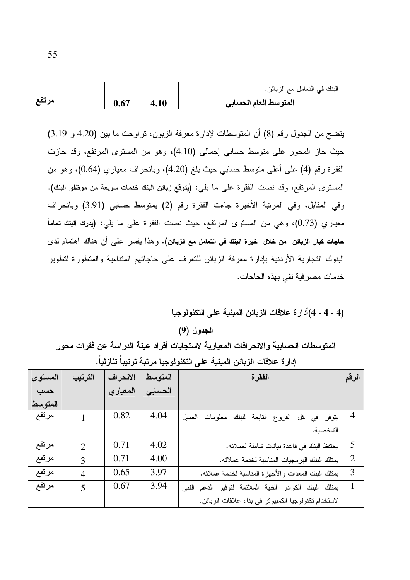|       |      |      | البنك في النعامل مع الزبائن. |  |
|-------|------|------|------------------------------|--|
| مرتفع | 0.67 | 4.10 | المتوسط العام الحسابي        |  |

يتضح من الجدول رقم (8) أن المتوسطات لإدارة معرفة الزبون، تراوحت ما بين (4.20 و 3.19) حيث حاز المحور على منوسط حسابي إجمالي (4.10)، وهو من المسنوى المرتفع، وقد حازت الفقرة رقم (4) على أعلى متوسط حسابي حيث بلغ (4.20)، وبانحراف معياري (0.64)، وهو من المستوى المرتفع، وقد نصت الفقرة على ما يلي: (يتوقع زبائن البنك خدمات سريعة من موظفو البنك). وفي المقابل، وفي المرتبة الأخيرة جاءت الفقرة رقم (2) بمتوسط حسابي (3.91) وبانحراف معياري (0.73)، وهي من المستوى المرتفع، حيث نصت الفقرة على ما يلي: (يدرك البنك تماماً حاجات كبار الزبائن من خلال خبرة البنك في التعامل مع الزبائن). و هذا يفسر على أن هناك اهتمام لدى البنوك النجارية الأردنية بإدارة معرفة الزبائن للنعرف على حاجاتهم المتنامية والمنطورة لنطوير خدمات مصرفية تفي بهذه الحاجات.

## (4 - 4 - 4)أدار ة علاقات الزبائن المبنية على التكنولوجيا

#### الجدول (9)

المتوسطات الحسابية والانحرافات المعيارية لاستجابات أفراد عينة الدراسة عن فقرات محور إدار ة علاقات الزبائن المبنية على التكنولوجيا مرتبة ترتيباً تنازلياً.

| المستوى | الترتيب        | الانحراف  | المتوسط | الفقرة                                                 | الرقم          |
|---------|----------------|-----------|---------|--------------------------------------------------------|----------------|
| حسب     |                | المعيار ي | الحسابى |                                                        |                |
| المتوسط |                |           |         |                                                        |                |
| مرتفع   |                | 0.82      | 4.04    | الفروع النابعة للبنك معلومات العميل<br>کل<br>يتوفر في  | $\overline{4}$ |
|         |                |           |         | الشخصية.                                               |                |
| مرتفع   | $\overline{2}$ | 0.71      | 4.02    | يحتفظ البنك في قاعدة بيانات شاملة لعملائه.             | 5              |
| مرتفع   | 3              | 0.71      | 4.00    | يمتلك البنك البرمجيات المناسبة لخدمة عملائه.           | $\overline{2}$ |
| مرتفع   | $\overline{4}$ | 0.65      | 3.97    | يمتلك البنك المعدات والأجهزة المناسبة لخدمة عملائه.    | 3              |
| مرتفع   | 5              | 0.67      | 3.94    | يمتلك البنك الكوادر الفنية الملائمة لتوفير الدعم الفنى |                |
|         |                |           |         | لاستخدام تكنولوجيا الكمبيوتر في بناء علاقات الزبائن.   |                |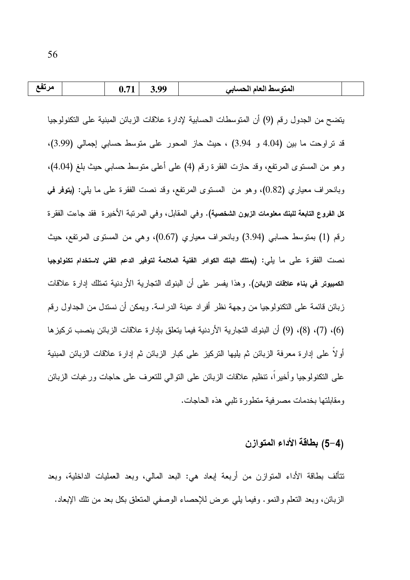| مرتفع |  | 0.71 | 3.99 | المتوسط العام الحسابي |  |
|-------|--|------|------|-----------------------|--|
|-------|--|------|------|-----------------------|--|

يتضح من الجدول رقم (9) أن المتوسطات الحسابية لإدارة علاقات الزبائن المبنية على التكنولوجيا قد نراوحت ما بين (4.04 و 3.94) ، حيث حاز المحور على متوسط حسابي إجمالي (3.99)، وهو من المستوى المرتفع، وقد حازت الفقرة رقم (4) على أعلـي متوسط حسابـي حيث بلـغ (4.04)، وبانحراف معياري (0.82)، وهو من المستوى المرتفع، وقد نصت الفقرة على ما يلي: (يتوفر في **كل الفروع التابعة للبنك معلومات الزبون الشخصية).** وفي المقابل، وفي المرتبة الأخيرة فقد جاءت الفقرة رفع (1) بمنوسط حسابي (3.94) وبانحراف معياري (0.67)، وهي من المسنوي المرتفع، حيث نصت الفقر ة على ما يلي: (يمتلك البنك الكوادر الفنية الملائمة لتوفير الدعم الفنى لاستخدام تكنولوجيا الكمبيوتر في بناء علاقات الزبائن). وهذا يفسر على أن البنوك النجارية الأردنية تمتلك إدارة علاقات زبائن قائمة على النكنولوجيا من وجهة نظر أفراد عينة الدراسة. ويمكن أن نستدل من الجداول رقم (6)، (7)، (8)، (9) أن البنوك التجارية الأردنية فيما يتعلق بإدار ة علاقات الزبائن ينصب تركيز ها أولًا على إدارة معرفة الزبائن ثم يليها التركيز على كبار الزبائن ثم إدارة علاقات الزبائن المبنية على النكنولوجيا وأخيراً، نتظيم علاقات الزبائن على النوالي للنعرف على حاجات ورغبات الزبائن ومقابلتها بخدمات مصرفية متطورة تلبي هذه الحاجات.

## (4–5) بطاقة الأداء المتوازن

تتألف بطاقة الأداء المنوازن من أربعة إبعاد هي: البعد المالي، وبعد العمليات الداخلية، وبعد الزبائن، وبعد النعلم والنمو. وفيما يلَّى عرض للإحصاء الوصفي المنعلق بكل بعد من نلك الإبعاد.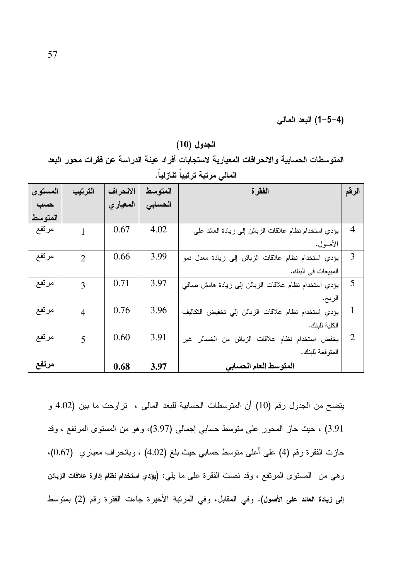(4−5−4) البعد المالي

المتوسط | الفقر ة المستوى الترتيب الانحراف الرقم الحسابى حسب المعيارى المتوسط مرتفع 0.67 4.02  $\overline{4}$ بؤدي استخدام نظام علاقات الزبائن إلى زيادة العائد على  $\mathbf{1}$ الأصول. مرتفع 0.66 3.99 3 بؤدي استخدام نظام علاقات الزبائن إلى زيادة معدل نمو  $\overline{2}$ المبيعات في البنك. مرتفع 0.71 3.97 5 بؤدي استخدام نظام علاقات الزبائن إلى زيادة هامش صافى 3 الربح. مرتفع 0.76 3.96  $\mathbf{1}$  $\overline{4}$ يؤدي استخدام نظام علاقات الزبائن إلى تخفيض التكاليف الكلية للبنك. 0.60 3.91 مرتفع  $\overline{2}$ 5 يخفض استخدام نظام علاقات الزبائن من الخسائر غير المتو قعة للبنك. مرتفع المتوسط العام الحسابي 3.97 0.68

المتوسطات الحسابية والانحرافات المعيارية لاستجابات أفراد عينة الدراسة عن فقرات محور البعد المالي مرتبة ترتيباً تنازلياً.

الجدول (10)

يتضح من الجدول رقم (10) أن المتوسطات الحسابية للبعد المالي ، تراوحت ما بين (4.02 و 3.91) ، حيث حاز المحور على منوسط حسابي إجمالي (3.97)، وهو من المستوى المرتفع ، وقد حازت الفقرة رقم (4) على أعلى متوسط حسابي حيث بلغ (4.02) ، وبانحراف معياري (0.67). وهي من المسنوى المرتفع ، وقد نصت الفقرة على ما يلي: (يؤدي استخدام نظام إدارة علاقات الزبائن إلى زيادة العائد على الأصول). وفي المقابل، وفي المرتبة الأخيرة جاءت الفقرة رقم (2) بمتوسط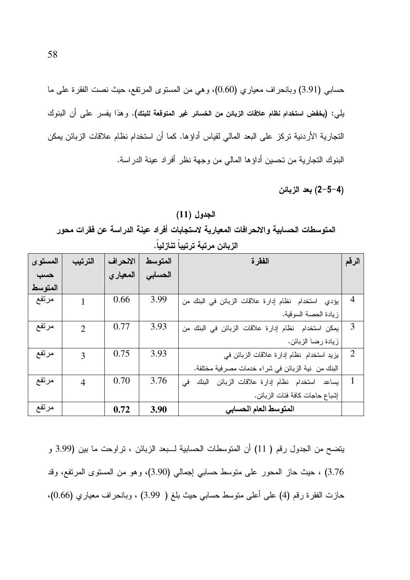حسابي (3.91) وبانحراف معياري (0.60)، وهي من المستوى المرتفع، حيث نصت الفقرة على ما يلي: (يغفض استخدام نظام علاقات الزبائن من الخسائر غير المتوقعة للبنك). وهذا يفسر على أن البنوك النجارية الأردنية تركز على البعد المالي لقياس أداؤها. كما أن استخدام نظام علاقات الزبائن يمكن البنوك التجارية من تحسين أداؤها المالي من وجهة نظر أفراد عينة الدراسة.

(4–5–2) بعد الزبائن

الجدول (11) المتوسطات الحسابية والإنحرافات المعيارية لاستجابات أفراد عينة الدراسة عن فقرات محور الزيائن مرتبة ترتيباً تنازلياً.

| المستوى | الترتيب                     | الانحراف | المتوسط | الفقرة                                                    | الرقم          |
|---------|-----------------------------|----------|---------|-----------------------------------------------------------|----------------|
| حسب     |                             | المعيارى | الحسابى |                                                           |                |
| المتوسط |                             |          |         |                                                           |                |
| مرتفع   | 1                           | 0.66     | 3.99    | يؤدي استخدام نظام إدارة علاقات الزبائن في البنك من        | $\overline{4}$ |
|         |                             |          |         | زيادة الحصة السوقية.                                      |                |
| مرتفع   | $\mathcal{D}_{\mathcal{L}}$ | 0.77     | 3.93    | يمكن استخدام نظام إدارة علاقات الزبائن في البنك من        | 3              |
|         |                             |          |         | زيادة رضا الزبائن.                                        |                |
| مرتفع   | 3                           | 0.75     | 3.93    | يزيد استخدام نظام إدارة علاقات الزبائن في                 | $\overline{2}$ |
|         |                             |          |         | البنك من  نية الزبائن في شراء خدمات مصرفية مختلفة.        |                |
| مرتفع   | $\overline{4}$              | 0.70     | 3.76    | في<br>استخدام نظام إدارة علاقات الزبائن<br>البنك<br>يساعد |                |
|         |                             |          |         | إشباع حاجات كافة فئات الزبائن.                            |                |
| مرتفع   |                             | 0.72     | 3.90    | المتوسط العام الحسابي                                     |                |

يتضح من الجدول رقم ( 11) أن المتوسطات الحسابية لــبعد الزبائن ، تراوحت ما بين (3.99 و 3.76) ، حيث حاز المحور على متوسط حسابي إجمالي (3.90)، وهو من المستوى المرتفع، وقد حازت الفقرة رقم (4) على أعلى متوسط حسابي حيث بلغ ( 3.99) ، وبانحراف معياري (0.66)،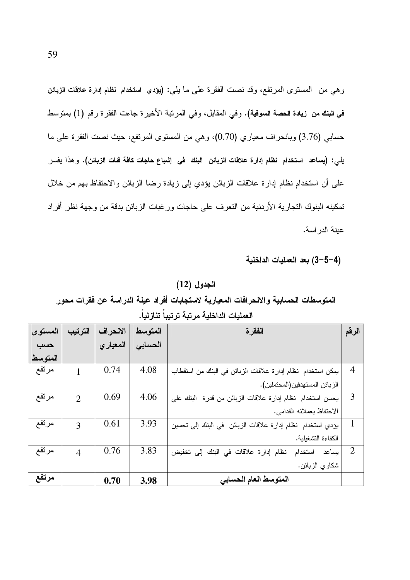وهي من المستوى المرتفع، وقد نصت الفقرة على ما يلي: (يؤدي استخدام نظام إدارة علاقات الزبائن في البنك من زيادة الحصة السوقية). وفي المقابل، وفي المرتبة الأخيرة جاءت الفقرة رقم (1) بمتوسط حسابي (3.76) وبانحراف معياري (0.70)، وهي من المستوى المرتفع، حيث نصت الفقرة على ما يلي: (يساعد استخدام نظام إدارة علاقات الزبائن البنك في إشباع حاجات كافة فئات الزبائن). و هذا يفسر على أن استخدام نظام إدارة علاقات الزبائن يؤدي إلى زيادة رضا الزبائن والاحتفاظ بهم من خلال تمكينه البنوك التجار ية الأر دنية من التعر ف على حاجات و ر غبات الز بائن بدقة من و جهة نظر أفر اد عبنة الدر اسة.

#### (4–5–3) بعد العمليات الداخلية

#### الجدول (12)

المتوسطات الحسابية والانحرافات المعيارية لاستجابات أفراد عينة الدراسة عن فقرات محور العمليات الداخلية مرتبة ترتيباً تنازلياً.

| المستوى | الترتيب                     | الانحراف | المتوسط | الفقر ة                                                    | الرقم          |
|---------|-----------------------------|----------|---------|------------------------------------------------------------|----------------|
| حسب     |                             | المعيارى | الحسابى |                                                            |                |
| المتوسط |                             |          |         |                                                            |                |
| مرتفع   | 1                           | 0.74     | 4.08    | يمكن استخدام نظام إدارة علاقات الزبائن في البنك من استقطاب | $\overline{4}$ |
|         |                             |          |         | الزبائن المستهدفين(المحتملين).                             |                |
| مرتفع   | $\mathcal{D}_{\mathcal{L}}$ | 0.69     | 4.06    | يحسن استخدام نظام إدارة علاقات الزبائن من قدرة البنك على   | 3              |
|         |                             |          |         | الاحتفاظ بعملائه القدامي.                                  |                |
| مرتفع   | $\mathcal{E}$               | 0.61     | 3.93    | يؤدي استخدام نظام إدارة علاقات الزبائن  في البنك إلى تحسين | 1              |
|         |                             |          |         | الكفاءة التشغلبة.                                          |                |
| مرتفع   | $\overline{4}$              | 0.76     | 3.83    | نظام إدارة علاقات في البنك إلى تخفيض<br>استخدام<br>بساعد   | $\overline{2}$ |
|         |                             |          |         | شكاوي الزبائن.                                             |                |
| مرتفع   |                             | 0.70     | 3.98    | المتوسط العام الحسابي                                      |                |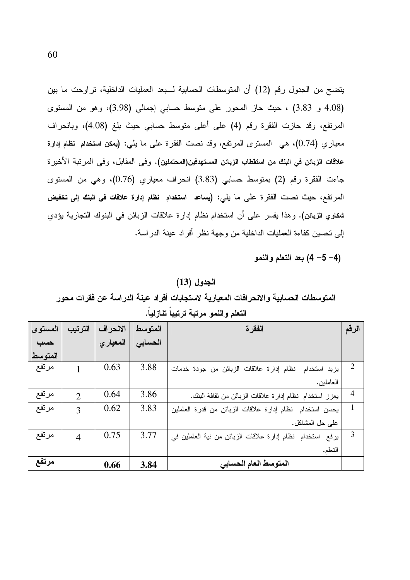يتضح من الجدول رقم (12) أن المتوسطات الحسابية لـــبعد العمليات الداخلية، تراوحت ما بين (4.08 و 3.83) ، حيث حاز المحور على متوسط حسابي إجمالي (3.98)، وهو من المستوى المرتفع، وقد حازت الفقرة رقم (4) على أعلى متوسط حسابي حيث بلغ (4.08)، وبانحراف معياري (0.74)، هي المستوى المرتفع، وقد نصت الفقرة على ما يلي: (يمكن استخدام نظام إدارة علاقات الزبائن في البنك من استقطاب الزبائن المستهدفين(المحتملين). وفي المقابل، وفي المرتبة الأخير ة جاءت الفقرة رقم (2) بمنوسط حسابي (3.83) انحراف معياري (0.76)، وهي من المسنوى المرتفع، حيث نصت الفقرة على ما يلي: (يساعد استخدام نظام إدارة علاقات في البنك إلى تخفيض شكاوي الزبائن). وهذا يفسر على أن استخدام نظام إدارة علاقات الزبائن في البنوك النجارية يؤدي إلى تحسين كفاءة العمليات الداخلية من وجهة نظر أفراد عينة الدراسة.

بعد التعلم والنمو) (4- $5-4$ )

#### الجدول (13)

المتوسطات الحسابية والانحرافات المعيارية لاستجابات أفراد عينة الدراسة عن فقرات محور

| المستوى | الترتيب                     | الانحراف | المتوسط | الفقر ة                                                   | الرقم          |
|---------|-----------------------------|----------|---------|-----------------------------------------------------------|----------------|
| حسب     |                             | المعياري | الحسابي |                                                           |                |
| المتوسط |                             |          |         |                                                           |                |
| مرتفع   |                             | 0.63     | 3.88    | نظام إدارة علاقات الزبائن من جودة خدمات<br>يزيد استخدام   | 2              |
|         |                             |          |         | العاملين.                                                 |                |
| مرتفع   | $\mathcal{D}_{\mathcal{L}}$ | 0.64     | 3.86    | يعزز استخدام نظام إدارة علاقات الزبائن من ثقافة البنك.    | $\overline{4}$ |
| مرتفع   | 3                           | 0.62     | 3.83    | يحسن استخدام نظام إدارة علاقات الزبائن من قدرة العاملين   | 1              |
|         |                             |          |         | على حل المشاكل.                                           |                |
| مرتفع   | $\overline{4}$              | 0.75     | 3.77    | يرفع استخدام نظام إدارة علاقات الزبائن من نية العاملين في | 3              |
|         |                             |          |         | التعلم.                                                   |                |
| مرتفع   |                             | 0.66     | 3.84    | المتوسط العام الحسابي                                     |                |

|  |  | التعلم والنمو مرتبه ترتيبا تنازليا |  |
|--|--|------------------------------------|--|
|  |  |                                    |  |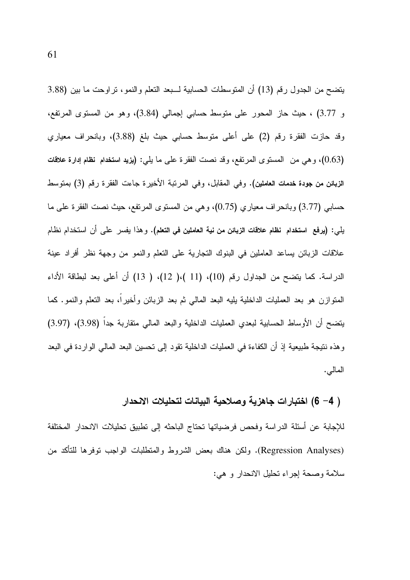يتضح من الجدول رقم (13) أن المتوسطات الحسابية لـــبعد التعلم والنمو، تراوحت ما بين (3.88 و 3.77) ، حيث حاز المحور على منوسط حسابي إجمالي (3.84)، وهو من المستوى المرتفع، وقد حازت الفقرة رقم (2) على أعلى متوسط حسابي حيث بلغ (3.88)، وبانحراف معياري (0.63)، وهي من المستوى المرتفع، وقد نصت الفقرة على ما يلي: (يزيد استخدام نظام إدارة علاقات الزبائن من جودة خدمات العاملين). وفي المقابل، وفي المرنبة الأخيرة جاءت الفقرة رقم (3) بمنوسط حسابي (3.77) وبانحراف معياري (0.75)، وهي من المستوى المرتفع، حيث نصت الفقرة على ما بلي: (يرفع استخدام نظام علاقات الزبائن من نية العاملين في التعلم). و هذا يفسر علي أن استخدام نظام علاقات الزبائن يساعد العاملين في البنوك التجارية على التعلم والنمو من وجهة نظر أفراد عينة الدراسة. كما يتضح من الجداول رقم (10)، (11 )،( 12)، ( 13) أن أعلى بعد لبطاقة الأداء المتوازن هو بعد العمليات الداخلية يليه البعد المالي ثم بعد الزبائن وأخيرا، بعد النعلم والنمو. كما يتضح أن الأوساط الحسابية لبعدي العمليات الداخلية والبعد المالي منقاربة جدا (3.98)، (3.97) و هذه نتيجة طبيعية إذ أن الكفاءة في العمليات الداخلية تقود إلى تحسين البعد المالي الواردة في البعد المالي.

# ( 4– 6) اختبارات جاهزية وصلاحية البيانات لتحليلات الانحدار

للإجابة عن أسئلة الدراسة وفحص فرضياتها تحتاج الباحثه إلى نطبيق تحليلات الانحدار المختلفة (Regression Analyses). ولكن هناك بعض الشروط والمنطلبات الواجب نوفرها للنأكد من سلامة وصحة إجراء تحليل الانحدار و هي: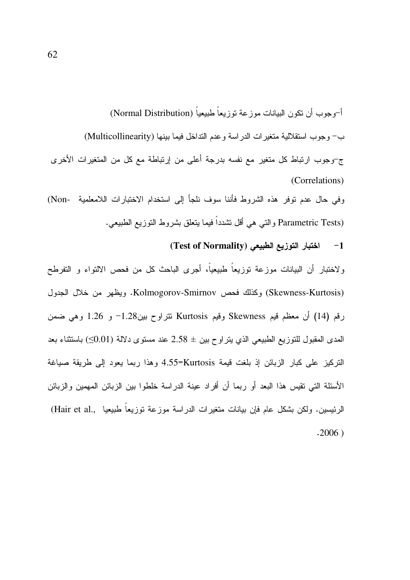أ-وجوب أن نكون البيانات موز عة توزيعاً طبيعياً (Normal Distribution) ب- وجوب استقلالية متغيرات الدراسة وعدم التداخل فيما بينها (Multicollinearity) ج-وجوب ارتباط كل متغير مع نفسه بدرجة أعلى من إرتباطة مع كل من المتغيرات الأخرى (Correlations) وفي حال عدم نوفر هذه الشروط فأننا سوف نلجأ إلى استخدام الاختبارات اللامعلمية -Non) Parametric Tests) والتي هي أقل تشدداً فيما يتعلق بشروط النوزيع الطبيعي.

> اختبار التوزيع الطبيعى (Test of Normality)  $-1$

ولاختبار أن البيانات موزعة توزيعاً طبيعياً، أجرى الباحث كل من فحص الالتواء و التفرطح (Skewness-Kurtosis) وكذلك فحص Kolmogorov-Smirnov. ويظهر من خلال الجدول رقم (14) أن معظم قيم Skewness وقيم Kurtosis نتراوح بين1.28- و 1.26 وهي ضمن المدى المقبول للتوزيع الطبيعي الذي يتراوح بين ± 2.58 عند مستوى دلالة (0.01) باستثناء بعد التركيز على كبار الزبائن إذ بلغت قيمة 4.55=Kurtosis وهذا ربما يعود إلى طريقة صياغة الأسئلة التي تقيس هذا البعد أو ربما أن أفراد عينة الدراسة خلطوا بين الزبائن المهمين والزبائن الرئيسين. ولكن بشكل عام فإن بيانات متغيرات الدراسة موزعة توزيعاً طبيعيا ,Hair et al.)  $.2006)$ 

62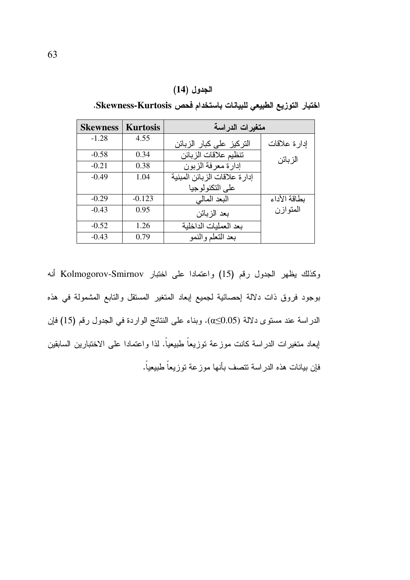|  | الجدول (14) |
|--|-------------|
|--|-------------|

| <b>Skewness</b> | <b>Kurtosis</b> | متغيرات الدراسة                |              |  |  |  |
|-----------------|-----------------|--------------------------------|--------------|--|--|--|
| $-1.28$         | 4.55            | التركيز على كبار الزبائن       | إدارة علاقات |  |  |  |
| $-0.58$         | 0.34            | تنظيم علاقات الزبائن           | الز بائن     |  |  |  |
| $-0.21$         | 0.38            | إدارة معرفة الزبون             |              |  |  |  |
| $-0.49$         | 1.04            | إدار ة علاقات الز بائن المبنية |              |  |  |  |
|                 |                 | على التكنولوجيا                |              |  |  |  |
| $-0.29$         | $-0.123$        | البعد المالي                   | بطاقة الأداء |  |  |  |
| $-0.43$         | 0.95            | بحد الز بائن                   | المتوازن     |  |  |  |
| $-0.52$         | 1.26            | يعد العمليات الداخلية          |              |  |  |  |
| $-0.43$         | 0.79            | بعد التعلم والنمو              |              |  |  |  |

اختبار التوزيع الطبيعي للبيانات باستخدام فحص Skewness-Kurtosis.

وكذلك يظهر الجدول رقم (15) واعتمادا على اختبار Kolmogorov-Smirnov أنه بوجود فروق ذات دلالة إحصائية لجميع إبعاد المتغير المسنقل والتابع المشمولة في هذه الدراسة عند مستوى دلالة (0.05). وبناء على النتائج الواردة في الجدول رقم (15) فإن إبعاد متغيرات الدراسة كانت موزعة توزيعاً طبيعياً. لذا واعتمادا على الاختبارين السابقين فإن بيانات هذه الدراسة تتصف بأنها موزعة توزيعاً طبيعياً.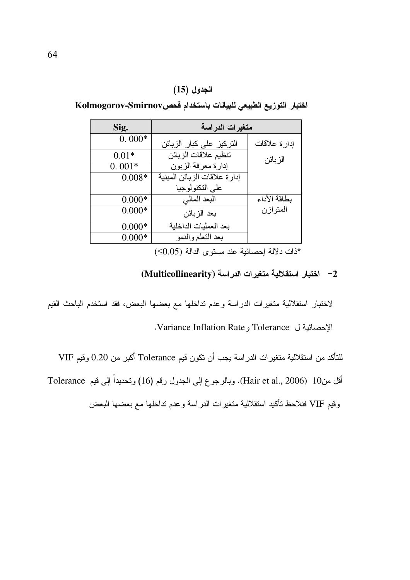### الجدول (15)

اختبار التوزيع الطبيعي للبيانات باستخدام فحصHolmogorov-Smirnov

| Sig.     | متغيرات الدراسة              |              |
|----------|------------------------------|--------------|
| $0.000*$ | النركيز على كبار الزبائن     | إدارة علاقات |
| $0.01*$  | تنظيم علاقات الزبائن         | الز بائن     |
| $0.001*$ | إدارة معرفة الزبون           |              |
| $0.008*$ | إدارة علاقات الزبائن المبنية |              |
|          | على التكنو لوجيا             |              |
| $0.000*$ | البعد المالي                 | بطاقة الأداء |
| $0.000*$ | بعد الزبائن                  | المتوازن     |
| $0.000*$ | بعد العمليات الداخلية        |              |
| $0.000*$ | بعد التعلم والنمو            |              |

\*ذات دلالة إحصائية عند مستوى الدالة (0.05)

# 2- اختبار استقلالية متغيرات الدراسة (Multicollinearity)

لاختبار استقلالية متغيرات الدراسة وعدم نداخلها مع بعضها البعض، فقد استخدم الباحث القيم

الإحصائية ل Tolerance و Variance Inflation Rate.

للتأكد من استقلالية متغيرات الدراسة يجب أن نكون قيم Tolerance أكبر من 0.20 وقيم VIF

أقل من10 (Hair et al., 2006). وبالرجوع إلى الجدول رقم (16) وتحديداً إلى قيم Tolerance

وقيم VIF فنلاحظ تأكيد استقلالية متغيرات الدراسة وعدم تداخلها مع بعضها البعض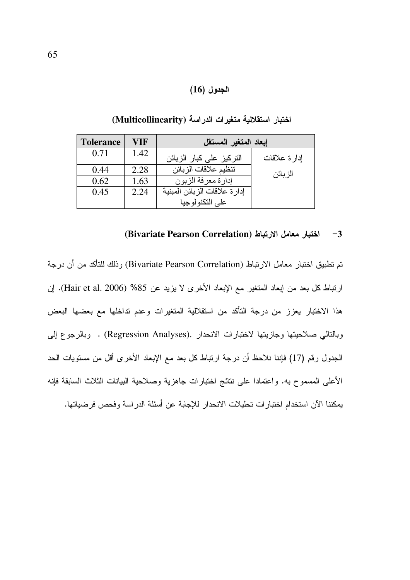### الجدول (16)

| <b>Tolerance</b> | VIF  | إبعاد المتغير المستقل         |               |  |  |  |
|------------------|------|-------------------------------|---------------|--|--|--|
| 0.71             | 1.42 | النركيز على كبار الزبائن      | إدار ة علاقات |  |  |  |
| 0.44             | 2.28 | تنظيم علاقات الزبائن          | الز بائن      |  |  |  |
| 0.62             | 1.63 | إدارة معرفة الزبون            |               |  |  |  |
| 0.45             | 2.24 | إدار ة علاقات الزبائن المبنية |               |  |  |  |
|                  |      | على التكنولوجيا               |               |  |  |  |

اختبار استقلالية متغيرات الدراسة (Multicollinearity)

#### (Bivariate Pearson Correlation) اختبار معامل الارتباط  $-3$

تم تطبيق اختبار معامل الارتباط (Bivariate Pearson Correlation) وذلك للتأكد من أن درجة ارتباط كل بعد من إبعاد المتغير مع الإبعاد الأخرى لا يزيد عن 85% (Hair et al. 2006). إن هذا الاختبار يعزز من درجة التأكد من استقلالية المتغيرات وعدم تداخلها مع بعضها البعض وبالتالي صلاحيتها وجازيتها لاختبارات الانحدار .(Regression Analyses) . وبالرجوع إلى الجدول رقم (17) فإننا نلاحظ أن درجة ارتباط كل بعد مع الإبعاد الأخرى أقل من مستويات الحد الأعلى المسموح به. واعتمادا على نتائج اختبارات جاهزية وصلاحية البيانات الثلاث السابقة فإنه يمكننا الآن استخدام اختبارات تحليلات الانحدار للإجابة عن أسئلة الدراسة وفحص فرضياتها.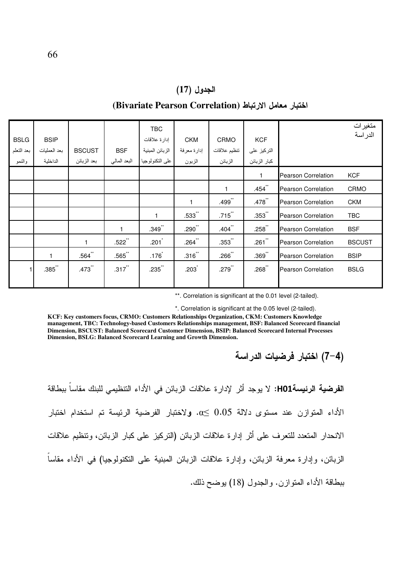#### الجدول (17)

#### اختبار معامل الارتباط (Bivariate Pearson Correlation)

| <b>BSLG</b><br>بعد التعلم<br>والنمو | <b>BSIP</b><br>بعد العمليات<br>الداخلية | <b>BSCUST</b><br>بعد الزبائن | <b>BSF</b><br>البعد المالي | TBC<br>إدار ة علاقات<br>الزبائن المبنية<br>على التكنولوجيا | <b>CKM</b><br>إدارة معرفة<br>الزبون | <b>CRMO</b><br>تنظيم علاقات<br>الزبائن | <b>KCF</b><br>التركيز على<br>كبار الزبائن |                            | متغيرات<br>الدر اسة |
|-------------------------------------|-----------------------------------------|------------------------------|----------------------------|------------------------------------------------------------|-------------------------------------|----------------------------------------|-------------------------------------------|----------------------------|---------------------|
|                                     |                                         |                              |                            |                                                            |                                     |                                        | $\mathbf{1}$                              | <b>Pearson Correlation</b> | <b>KCF</b>          |
|                                     |                                         |                              |                            |                                                            |                                     |                                        | $.454$ <sup>**</sup>                      | <b>Pearson Correlation</b> | CRMO                |
|                                     |                                         |                              |                            |                                                            | $\mathbf{1}$                        | .499**                                 | $.478$ <sup>**</sup>                      | <b>Pearson Correlation</b> | <b>CKM</b>          |
|                                     |                                         |                              |                            | 1                                                          | $.533$ "                            | $.715$ **                              | $.353$ **                                 | <b>Pearson Correlation</b> | TBC                 |
|                                     |                                         |                              | $\mathbf{1}$               | $.349^{-}$                                                 | $.290$ <sup>**</sup>                | $.404$ <sup>**</sup>                   | $.258$ **                                 | <b>Pearson Correlation</b> | <b>BSF</b>          |
|                                     |                                         | 1                            | $.522$ **                  | .201                                                       | $.264$ **                           | $.353$ **                              | $.261$ **                                 | <b>Pearson Correlation</b> | <b>BSCUST</b>       |
|                                     | 1                                       | $.564$ **                    | $.565$ "                   | .176                                                       | $.316$ "                            | $.266$ <sup>**</sup>                   | $.369$ **                                 | <b>Pearson Correlation</b> | <b>BSIP</b>         |
| 1 <sup>1</sup>                      | $.385$ "                                | .473**                       | $.317$ <sup>**</sup>       | $.235$ "                                                   | $.203$ <sup>*</sup>                 | $.279$ <sup>**</sup>                   | $.268$ **                                 | <b>Pearson Correlation</b> | <b>BSLG</b>         |

\*\*. Correlation is significant at the 0.01 level (2-tailed).

\*. Correlation is significant at the 0.05 level (2-tailed).

KCF: Key customers focus, CRMO: Customers Relationships Organization, CKM: Customers Knowledge management, TBC: Technology-based Customers Relationships management, BSF: Balanced Scorecard financial Dimension, BSCUST: Balanced Scorecard Customer Dimension, BSIP: Balanced Scorecard Internal Processes Dimension, BSLG: Balanced Scorecard Learning and Growth Dimension.

ا**لفرضية الرئيسةH01:** لا يوجد أثر لإدار ة علاقات الزبائن في الأداء التنظيمي للبنك مقاساً ببطاقة الأداء المتوازن عند مستوى دلالة 0.05  $\alpha \leq 0.05$ . ولاختبار الفرضية الرئيسة تم استخدام اختبار الانحدار المتعدد للتعرف على أثر إدارة علاقات الزبائن (التركيز على كبار الزبائن، ونتظيم علاقات الزبائن، وإدارة معرفة الزبائن، وإدارة علاقات الزبائن المبنية على النكنولوجيا) في الأداء مقاساً ببطاقة الأداء المتوازن. والجدول (18) يوضح ذلك.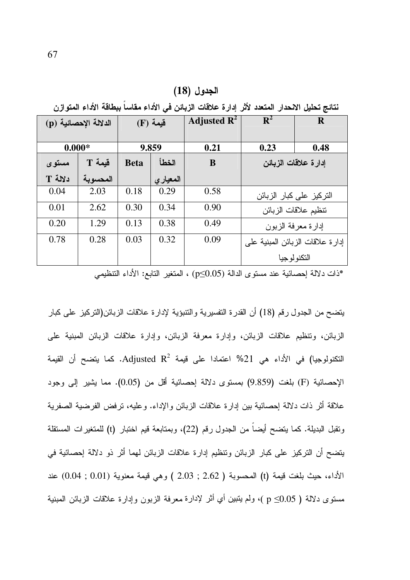الجدول (18)

نتائج تحليل الانحدار المتعدد لأثر إدارة علاقات الزبائن في الأداء مقاساً ببطاقة الأداء المتوازن

| الدلالة الإحصائية (p) |          | فَيِمة (F)  |          | Adjusted $\mathbb{R}^2$ | $\mathbf{R}^2$       | R                                |
|-----------------------|----------|-------------|----------|-------------------------|----------------------|----------------------------------|
| $0.000*$              |          |             | 9.859    | 0.21                    | 0.23                 | 0.48                             |
| مستوى                 | قيمة T   | <b>Beta</b> | الخطأ    | B                       | إدارة علاقات الزبائن |                                  |
| دلالة T               | المحسوية |             | المعياري |                         |                      |                                  |
| 0.04                  | 2.03     | 0.18        | 0.29     | 0.58                    |                      | التركيز على كبار الزبائن         |
| 0.01                  | 2.62     | 0.30        | 0.34     | 0.90                    |                      | نتظيم علاقات الزبائن             |
| 0.20                  | 1.29     | 0.13        | 0.38     | 0.49                    |                      | إدارة معرفة الزبون               |
| 0.78                  | 0.28     | 0.03        | 0.32     | 0.09                    |                      | إدارة علاقات الزبائن المبنية على |
|                       |          |             |          |                         |                      | التكنو لو جيا                    |

ذات دلالة إحصائية عند مستوى الدالة (p≤0.05) ، المتغير التابع: الأداء التنظيميُّ"

يتضح من الجدول رقم (18) أن القدرة النفسيرية والنتبؤية لإدارة علاقات الزبائن(التركيز على كبار الزبائن، وتنظيم علاقات الزبائن، وإدارة معرفة الزبائن، وإدارة علاقات الزبائن المبنية على النكنولوجيا) في الأداء هي 21% اعتمادا على قيمة Adjusted R<sup>2</sup>. كما يتضح أن القيمة الإحصائية (F) بلغت (9.859) بمستوى دلالة إحصائية أقل من (0.05). مما يشير إلى وجود علاقة أثر ذات دلالة إحصائية بين إدارة علاقات الزبائن والإداء. وعليه، ترفض الفرضية الصفرية ونقبل البديلة. كما يتضح أيضاً من الجدول رقم (22)، وبمتابعة قيم لختبار (t) للمتغيرات المستقلة يتضح أن التركيز على كبار الزبائن ونتظيم إدارة علاقات الزبائن لهما أثر ذو دلالة إحصائية في الأداء، حيث بلغت قيمة (t) المحسوبة ( 2.62 ; 2.03 ) وهي قيمة معنوية (0.01 ; 0.04) عند مستوى دلالة ( p ≤0.05 )، ولم يتبين أي أثر لإدارة معرفة الزبون وإدارة علاقات الزبائن المبنية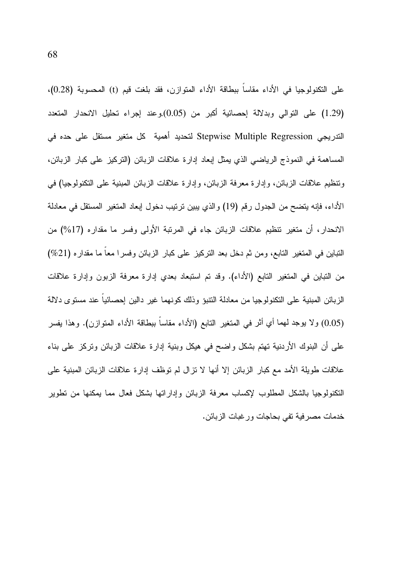على التكنولوجيا في الأداء مقاساً ببطاقة الأداء المتوازن، فقد بلغت قيم (t) المحسوبة (0.28)، (1.29) على التوالي وبدلالة إحصائية أكبر من (0.05).وعند إجراء تحليل الانحدار المتعدد الندريجي Stepwise Multiple Regression لتحديد أهمية كل متغير مستقل على حده في المساهمة في النموذج الرياضيي الذي يمثل إبعاد إدارة علاقات الزبائن (التركيز على كبار الزبائن، ونتظيم علاقات الزبائن، وإدارة معرفة الزبائن، وإدارة علاقات الزبائن المبنية على التكنولوجيا) في الأداء، فإنه يتضح من الجدول رقم (19) والذي يبين ترتيب دخول إبعاد المتغير المستقل في معادلة الانحدار، أن منغير نتظيم علاقات الزبائن جاء في المرتبة الأولى وفسر ما مقداره (17%) من التباين في المتغير التابع، ومن ثم دخل بعد التركيز على كبار الزبائن وفسرًا معا ما مقداره (21%) من النباين في المتغير التابع (الأداء). وقد تم استبعاد بعدي إدارة معرفة الزبون وإدارة علاقات الزبائن المبنية على التكنولوجيا من معادلة النتبو وذلك كونهما غير دالين إحصائيا عند مستوى دلالة (0.05) ولا يوجد لهما أي أثر في المتغير النابع (الأداء مقاساً ببطاقة الأداء المتوازن). وهذا يفسر علَّـى أن البنوك الأردنية نهتم بشكل واضـح فـي هيكل وبنية إدارة علاقات الزبائن وتركز علـي بناء علاقات طويلة الأمد مع كبار الزبائن إلا أنها لا نزال لم نوظف إدارة علاقات الزبائن المبنية على النكنولوجيا بالشكل المطلوب لإكساب معرفة الزبائن وإداراتها بشكل فعال مما بمكنها من نطوير خدمات مصرفية تفي بحاجات ورغبات الزبائن.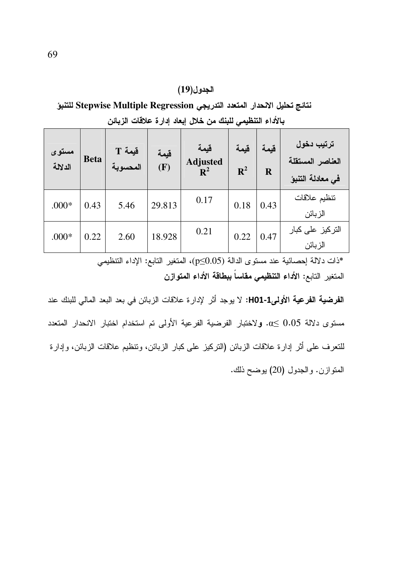#### الجدول(19)

نتائج تحليل الانحدار المتعدد التدريجي Stepwise Multiple Regression للتنبؤ بالأداء التنظيمي للبنك من خلال إبعاد إدارة علاقات الزبائن

| مستوى<br>الدلالة | <b>Beta</b> | Eيمة T<br>المحسوية | قيمة<br>(F) | قيمة<br><b>Adjusted</b><br>${\bf R}^2$ | قيمة<br>$\mathbf{R}^2$ | قيمة<br>$\mathbf R$ | ترتيب دخول<br>العناصر المستقلة<br>في معادلة التنبؤ |
|------------------|-------------|--------------------|-------------|----------------------------------------|------------------------|---------------------|----------------------------------------------------|
| $.000*$          | 0.43        | 5.46               | 29.813      | 0.17                                   | 0.18                   | 0.43                | تنظيم علاقات<br>الزبائن                            |
| $.000*$          | 0.22        | 2.60               | 18.928      | 0.21                                   | 0.22                   | 0.47                | التركيز على كبار<br>الزبائن                        |

\*ذات دلالة إحصائية عند مستوى الدالة (p≤0.05)، المتغير التابع: الإداء التنظيمي المتغير التابع: الأداء التنظيمي مقاساً ببطاقة الأداء المتوازن

ا**لفرضية الفرعية الأولىFIO1-1:** لا يوجد أثر الإدار ة علاقات الزبائن في بعد البعد المالي للبنك عند مستوى دلالة 0.05 ــ 0x. ولاختبار الفرضية الفرعية الأولى تم استخدام اختبار الانحدار المتعدد للنعرف على أثر إدارة علاقات الزبائن (النركيز على كبار الزبائن، ونتظيم علاقات الزبائن، وإدارة المنوازن. والجدول (20) يوضح ذلك.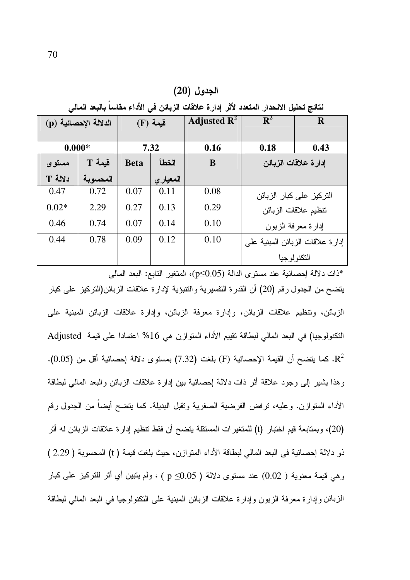نتائج تحليل الانحدار المتعدد لأثر إدارة علاقات الزبائن في الأداء مقاساً بالبعد المالي

| الدلالة الإحصائية (p) |          | $(F)$ قَيمة |          | Adjusted $\mathbb{R}^2$ | $R^2$                | $\mathbf R$                      |
|-----------------------|----------|-------------|----------|-------------------------|----------------------|----------------------------------|
| $0.000*$              |          | 7.32        |          | 0.16                    | 0.18                 | 0.43                             |
| مستوى                 | قيمة T   | <b>Beta</b> | الخطأ    | B                       | إدارة علاقات الزبائن |                                  |
| دلالة T               | المحسوية |             | المعيارى |                         |                      |                                  |
| 0.47                  | 0.72     | 0.07        | 0.11     | 0.08                    |                      | التركيز على كبار الزبائن         |
| $0.02*$               | 2.29     | 0.27        | 0.13     | 0.29                    |                      | نتظيم علاقات الزبائن             |
| 0.46                  | 0.74     | 0.07        | 0.14     | 0.10                    |                      | إدارة معرفة الزبون               |
| 0.44                  | 0.78     | 0.09        | 0.12     | 0.10                    |                      | إدارة علاقات الزبائن المبنية على |
|                       |          |             |          |                         |                      | التكنو لو جيا                    |

\*ذات دلالة إحصـائية عند مستوى الدالة (p≤0.05)، المتغير التابـع: البـعد المـالـي يتضح من الجدول رقم (20) أن القدرة التفسيرية والتتبؤية لإدارة علاقات الزبائن(التركيز على كبار الزبائن، ونتظيم علاقات الزبائن، وإدارة معرفة الزبائن، وإدارة علاقات الزبائن المبنية على النكنولوجيا) في البعد المالي لبطاقة تقييم الأداء المتوازن هي 16% اعتمادا على قيمة Adjusted R2. كما يتضح أن القيمة الإحصائية (F) بلغت (7.32) بمستوى دلالة إحصائية أقل من (0.05). وهذا يشير إلى وجود علاقة أثر ذات دلالة إحصائية بين إدارة علاقات الزبائن والبعد المالي لبطاقة الأداء المنوازن. وعليه، نرفض الفرضية الصفرية ونقبل البديلة. كما يتضح أيضاً من الجدول رقم (20)، وبمنابعة قيم اختبار (t) للمتغيرات المستقلة يتضح أن فقط تتظيم إدارة علاقات الزبائن له أثر ذو دلالة إحصائية في البعد المالي لبطاقة الأداء المتوازن، حيث بلغت قيمة ( t) المحسوبة ( 2.29 ) وهي قيمة معنوية ( 0.02) عند مستوى دلالة ( 0.05≥ p ) ، ولم يتبين أي أثر للتركيز على كبار الزبائن وإدارة معرفة الزبون وإدارة علاقات الزبائن المبنية على التكنولوجيا في البعد المالي لبطاقة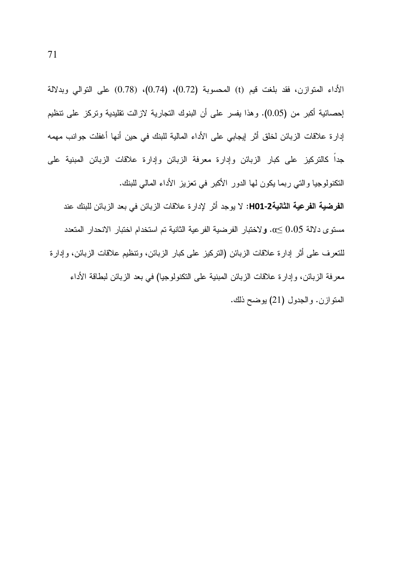الأداء المتوازن، فقد بلغت قيم (t) المحسوبة (0.72)، (0.74)، (0.78) على التوالي وبدلالة إحصائية أكبر من (0.05). وهذا يفسر على أن البنوك التجارية لازالت نقليدية وتركز على تنظيم إدار ة علاقات الزبائن لخلق أثر إيجابي على الأداء المالية للبنك في حين أنها أغفلت جوانب مهمه جداً كالنركيز على كبار الزبائن وإدارة معرفة الزبائن وإدارة علاقات الزبائن المبنية على النكنولوجيا والتي ربما يكون لها الدور الأكبر في تعزيز الأداء المالي للبنك.

ا**لفرضية الفرعية الثانية2-H01:** لا يوجد أثر لإدار ة علاقات الزبائن في بعد الزبائن للبنك عند مستوى دلالة 0.05  $\alpha$ . ولاختبار الفرضية الفرعية الثانية تم استخدام اختبار الانحدار المتعدد للنعرف على أثر إدارة علاقات الزبائن (التركيز على كبار الزبائن، ونتظيم علاقات الزبائن، وإدارة معرفة الزبائن، وإدارة علاقات الزبائن المبنية على التكنولوجيا) في بعد الزبائن لبطاقة الأداء المنوازن. والجدول (21) يوضح ذلك.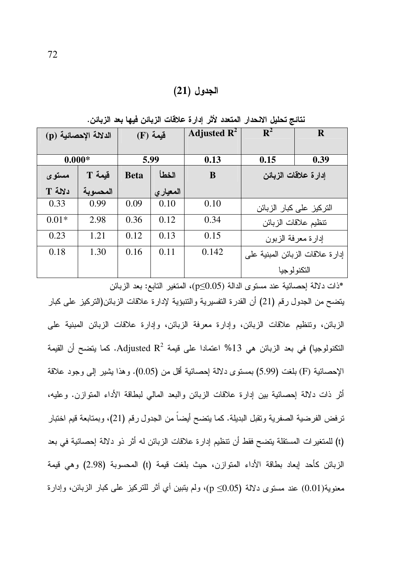### الجدول (21)

| الدلالة الإحصائية (p) |          | فَيِمة (F)  |           | Adjusted $\mathbf{R}^2$ | $\mathbf{R}^2$       | R                                |
|-----------------------|----------|-------------|-----------|-------------------------|----------------------|----------------------------------|
| $0.000*$              |          | 5.99        |           | 0.13                    | 0.15                 | 0.39                             |
| مستوى                 | قيمة T   | <b>Beta</b> | الخطأ     | B                       | إدارة علاقات الزبائن |                                  |
| دلالة T               | المحسوية |             | المعيار ي |                         |                      |                                  |
| 0.33                  | 0.99     | 0.09        | 0.10      | 0.10                    |                      | التركيز على كبار الزبائن         |
| $0.01*$               | 2.98     | 0.36        | 0.12      | 0.34                    |                      | نتظيم علاقات الزبائن             |
| 0.23                  | 1.21     | 0.12        | 0.13      | 0.15                    |                      | إدارة معرفة الزبون               |
| 0.18                  | 1.30     | 0.16        | 0.11      | 0.142                   |                      | إدارة علاقات الزبائن المبنية على |
|                       |          |             |           |                         | التكنو لو جيا        |                                  |

نتائج تحليل الانحدار المتعدد لأثر إدارة علاقات الزبائن فيها بعد الزبائن.

ذات دلالة احصائية عند مستوى الدالة (p≤0.05)، المتغير التابع: بعد الزبائن \* يتضح من الجدول رقم (21) أن القدرة التفسيرية والتتبؤية لإدارة علاقات الزبائن(التركيز على كبار الزبائن، وتنظيم علاقات الزبائن، وإدارة معرفة الزبائن، وإدارة علاقات الزبائن المبنية على النكنولوجيا) في بعد الزبائن هي 13% اعتمادا على قيمة Adjusted R<sup>2</sup>. كما يتضح أن القيمة الإحصائية (F) بلغت (5.99) بمستوى دلالة إحصائية أقل من (0.05). وهذا يثمير إلى وجود علاقة أثر ذات دلالة اِحصائية بين اِدارة علاقات الزبائن والبعد المالي لبطاقة الأداء المنوازن. وعليه، ترفض الفرضية الصفرية وتقبل البديلة. كما يتضح أيضا من الجدول رقم (21)، وبمتابعة قيم اختبار (t) للمتغير ات المستقلة يتضح فقط أن تتظيم إدار ة علاقات الزبائن له أثر ذو دلالة إحصائية في بعد الزبائن كأحد إبعاد بطاقة الأداء المتوازن، حيث بلغت قيمة (t) المحسوبة (2.98) وهي قيمة معنوية(0.01) عند مستوى دلالة (0.05≥ p)، ولم يتبين أي أثر للتركيز على كبار الزبائن، وإدارة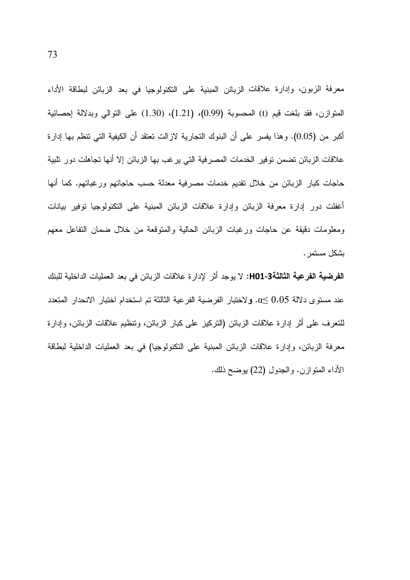معرفة الزبون، وإدارة علاقات الزبائن المبنية على النكنولوجيا في بعد الزبائن لبطاقة الأداء المتوازن، فقد بلغت قيم (t) المحسوبة (0.99)، (1.21)، (1.30) على التوالي وبدلالة احصائية أكبر من (0.05). وهذا يفسر على أن البنوك التجارية لازالت تعتقد أن الكيفية التي تنظم بها إدارة علاقات الزبائن تضمن توفير الخدمات المصرفية التي يرغب بها الزبائن إلا أنها تجاهلت دور نلبية حاجات كبار الزبائن من خلال تقديم خدمات مصرفية معدلة حسب حاجاتهم ورغباتهم. كما أنها أغفلت دور إدارة معرفة الزبائن وإدارة علاقات الزبائن المبنية على التكنولوجيا توفير بيانات ومعلومات دقيقة عن حاجات ورغبات الزبائن الحالية والمنوقعة من خلال ضمان التفاعل معهم بشكل مستمر .

ا**لفرضية الفرعية الثالثة3-H01:** لا يوجد أثر لإدارة علاقات الزبائن في بعد العمليات الداخلية للبنك عند مستوى دلالة 0.05  $\alpha$ . ولاختبار الفرضية الفرعية الثالثة تم استخدام اختبار الانحدار المتعدد للنعرف على أثر إدارة علاقات الزبائن (النركيز على كبار الزبائن، ونتظيم علاقات الزبائن، وإدارة معرفة الزبائن، وإدارة علاقات الزبائن المبنية على التكنولوجيا) في بعد العمليات الداخلية لبطاقة الأداء المنوازن. والجدول (22) يوضح ذلك.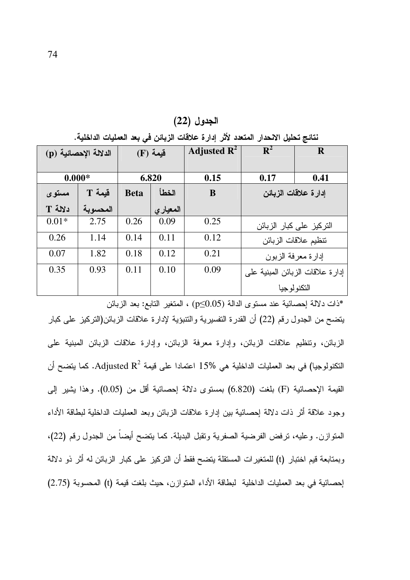| الدلالة الإحصائية (p) |          | $(F)$ قيمة  |          | Adjusted $\mathbb{R}^2$ | $\mathbf{R}^2$       | R                                |
|-----------------------|----------|-------------|----------|-------------------------|----------------------|----------------------------------|
| $0.000*$              |          | 6.820       |          | 0.15                    | 0.17                 | 0.41                             |
| مستوى                 | $T$ قبمة | <b>Beta</b> | الخطأ    | B                       | إدارة علاقات الزبائن |                                  |
| دلالة T               | المحسوية |             | المعياري |                         |                      |                                  |
| $0.01*$               | 2.75     | 0.26        | 0.09     | 0.25                    |                      | التركيز على كبار الزبائن         |
| 0.26                  | 1.14     | 0.14        | 0.11     | 0.12                    |                      | نتظيم علاقات الزبائن             |
| 0.07                  | 1.82     | 0.18        | 0.12     | 0.21                    |                      | إدارة معرفة الزبون               |
| 0.35                  | 0.93     | 0.11        | 0.10     | 0.09                    |                      | إدارة علاقات الزبائن المبنية على |
|                       |          |             |          |                         |                      | التكنو لوجيا                     |

الجدول (22)

نتائج تحليل الانحدار المتعدد لأثر إدارة علاقات الزبائن في بعد العمليات الداخلية.

\*ذات دلالة إحصـائية عند مستوى الدالة (p≤0.05) ، المتغير التابـع: بـعد الزبـائن يتضح من الجدول رقم (22) أن القدرة النفسيرية والنتبؤية لإدارة علاقات الزبائن(التركيز على كبار الزبائن، ونتظيم علاقات الزبائن، وإدارة معرفة الزبائن، وإدارة علاقات الزبائن المبنية على النكنولوجيا) في بعد العمليات الداخلية هي %15 اعتمادا على قيمة Adjusted R<sup>2</sup>. كما يتضح أن القيمة الإحصائية (F) بلغت (6.820) بمستوى دلالة إحصائية أقل من (0.05). وهذا يشير إلى وجود علاقة أثر ذات دلالة إحصائية بين إدارة علاقات الزبائن وبعد العمليات الداخلية لبطاقة الأداء المنوازن. وعليه، نرفض الفرضية الصفرية ونقبل البديلة. كما يتضح أيضاً من الجدول رقم (22)، وبمتابعة قيم اختبار (t) للمتغيرات المستقلة يتضح فقط أن التركيز على كبار الزبائن له أثر ذو دلالة إحصائية في بعد العمليات الداخلية لبطاقة الأداء المتوازن، حيث بلغت قيمة (t) المحسوبة (2.75)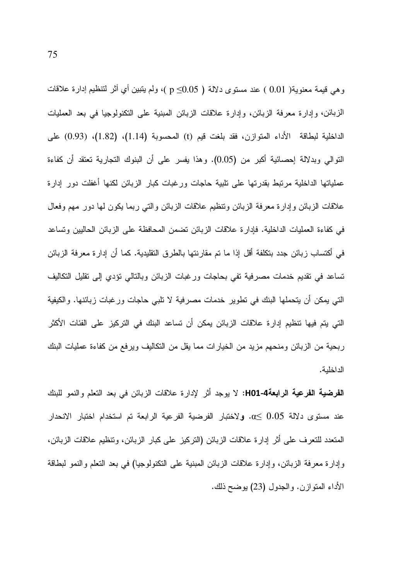وهي قيمة معنوية( 0.01 ) عند مستوى دلالة ( p≤0.05 )، ولم يتبين أي أثر لتنظيم إدارة علاقات الزبائن، وإدارة معرفة الزبائن، وإدارة علاقات الزبائن المبنية على التكنولوجيا في بعد العمليات الداخلية لبطاقة الأداء المنوازن، فقد بلغت قيم (t) المحسوبة (1.14)، (1.82)، (0.93) على النَّوالي وبدلالة إحصائية أكبر من (0.05). وهذا يفسر على أن البنوك النجارية نعتقد أن كفاءة عملياتها الداخلية مرتبط بقدرتها على تلبية حاجات ورغبات كبار الزبائن لكنها أغفلت دور إدارة علاقات الزبائن وإدارة معرفة الزبائن ونتظيم علاقات الزبائن والتبي ربما يكون لمها دور مهم وفعال في كفاءة العمليات الداخلية. فإدارة علاقات الزبائن تضمن المحافظة على الزبائن الحاليين ونساعد في أكتساب زبائن جدد بتكلفة أقل إذا ما تم مقارنتها بالطرق التقليدية. كما أن إدارة معرفة الزبائن تساعد في نقديم خدمات مصرفية تفي بحاجات ورغبات الزبائن وبالتالي نؤدي إلى نقليل التكاليف التي يمكن أن يتحملها البنك في نطوير خدمات مصرفية لا تلبي حاجات ورغبات زبائنها. والكيفية التي يتم فيها تنظيم إدارة علاقات الزبائن يمكن أن تساعد البنك في التركيز على الفئات الأكثر ربحية من الزبائن ومنحهم مزيد من الخيارات مما يقل من التكاليف ويرفع من كفاءة عمليات البنك الداخلية.

ا**لفرضية الفرعية الرابعة4-H01:** لا يوجد أثر لإدارة علاقات الزبائن في بعد النعلم والنمو للبنك عند مستوى دلالة 0.05 €0. ولاختبار الفرضية الفرعية الرابعة تم استخدام اختبار الانحدار المتعدد للتعرف على أثر إدارة علاقات الزبائن (التركيز على كبار الزبائن، ونتظيم علاقات الزبائن، وإدارة معرفة الزبائن، وإدارة علاقات الزبائن المبنية على النكنولوجيا) في بعد النعلم والنمو لبطاقة الأداء المنوازن. والجدول (23) يوضح ذلك.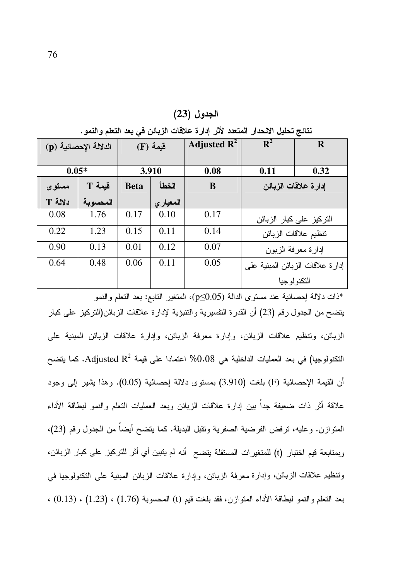| تتابيج بحليل الانحدار. المتعدد لابل إدارة علاقات الريابي في بعد التعلم والنمو . |          |             |          |                         |                                  |                          |
|---------------------------------------------------------------------------------|----------|-------------|----------|-------------------------|----------------------------------|--------------------------|
| الدلالة الإحصائية (p)                                                           |          | $(F)$ قيمة  |          | Adjusted $\mathbf{R}^2$ | $\mathbf{R}^2$                   | $\mathbf R$              |
| $0.05*$                                                                         |          | 3.910       |          | 0.08                    | 0.11                             | 0.32                     |
| مستوى                                                                           | قيمة T   | <b>Beta</b> | الخطأ    | B                       | إدارة علاقات الزبائن             |                          |
| دلالة T                                                                         | المحسوية |             | المعياري |                         |                                  |                          |
| 0.08                                                                            | 1.76     | 0.17        | 0.10     | 0.17                    |                                  | التركيز على كبار الزبائن |
| 0.22                                                                            | 1.23     | 0.15        | 0.11     | 0.14                    | نتظيم علاقات الزبائن             |                          |
| 0.90                                                                            | 0.13     | 0.01        | 0.12     | 0.07                    | إدارة معرفة الزبون               |                          |
| 0.64                                                                            | 0.48     | 0.06        | 0.11     | 0.05                    | إدارة علاقات الزبائن المبنية على |                          |
|                                                                                 |          |             |          |                         | التكنو لو جيا                    |                          |

الجدول (23)

ذات دلالة احصائية عند مستوى الدالة (p≤0.05)، المتغير التابع: بعد النعلم والنمو" يتضح من الجدول رقم (23) أن القدرة النفسيرية والنتبؤية لإدارة علاقات الزبائن(النركيز على كبار الزبائن، وتنظيم علاقات الزبائن، وإدارة معرفة الزبائن، وإدارة علاقات الزبائن المبنية على النكنولوجيا) في بعد العمليات الداخلية هي 0.08% اعتمادا على قيمة Adjusted R<sup>2</sup>. كما يتضح أن القيمة الإحصائية (F) بلغت (3.910) بمستوى دلالة إحصائية (0.05). وهذا يشير إلى وجود علاقة أثر ذات ضعيفة جداً بين إدارة علاقات الزبائن وبعد العمليات النعلم والنمو لبطاقة الأداء المتوازن. وعليه، نرفض الفرضية الصفرية ونقبل البديلة. كما يتضح أيضاً من الجدول رقم (23)، وبمتابعة قيم اختبار (t) للمتغيرات المستقلة يتضح أنه لم يتبين أي أثر للتركيز على كبار الزبائن، وتنظيم علاقات الزبائن، وإدارة معرفة الزبائن، وإدارة علاقات الزبائن المبنية على التكنولوجيا في بعد النعلم والنمو لبطاقة الأداء المتوازن، فقد بلغت قيم (t) المحسوبة (1.76) ، (1.23) ، (0.13) ،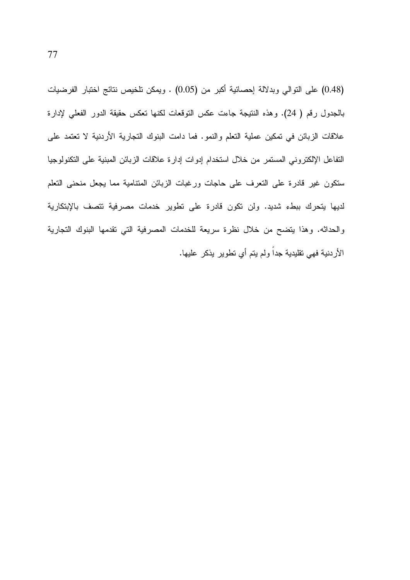(0.48) على النوالي وبدلالة إحصائية أكبر من (0.05) . ويمكن تلخيص نتائج اختبار الفرضيات بالجدول رقم ( 24). وهذه النتيجة جاءت عكس النوقعات لكنها نعكس حقيقة الدور الفعلى لإدارة علاقات الزبائن في نمكين عملية النعلم والنمو. فما دامت البنوك النجارية الأردنية لا نعتمد على التفاعل الإلكتروني المستمر من خلال استخدام إدوات إدارة علاقات الزبائن المبنية على التكنولوجيا ستكون غير فادرة على النعرف على حاجات ورغبات الزبائن المتنامية مما يجعل منحنى النعلم لديها بتحرك ببطء شديد. ولن نكون قادرة على نطوير خدمات مصرفية نتصف بالإبتكارية والحداثه. وهذا يتضح من خلال نظرة سريعة للخدمات المصرفية التي نقدمها البنوك التجارية الأردنية فهي تقليدية جداً ولم يتم أي تطوير يذكر عليها.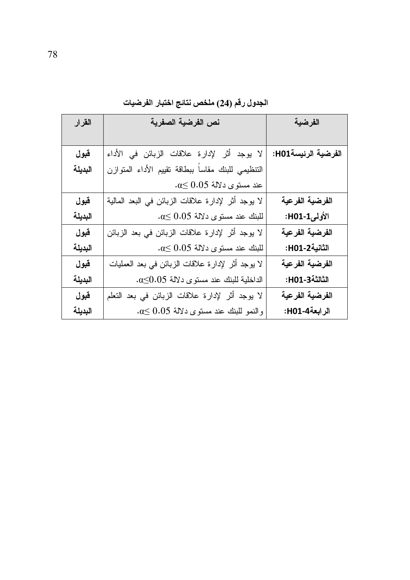| القرار  | نص الفرضية الصفرية                                  | الفرضية             |
|---------|-----------------------------------------------------|---------------------|
|         |                                                     |                     |
| قبول    | لا يوجد أثر لإدارة علاقات الزبائن في الأداء         | الفرضية الرئيسةH01: |
| البديلة | النتظيمي للبنك مقاساً ببطاقة نقيبم الأداء المنوازن  |                     |
|         | $\alpha \leq 0.05$ عند مستوى دلالة 0.5              |                     |
| قبول    | لا يوجد أثر لإدارة علاقات الزبائن في البعد المالية  | الفرضية الفرعية     |
| البديلة | $\alpha \leq 0.05$ للبنك عند مستوى دلالة 0.05       | الأولىI-H01-        |
| قبول    | لا يوجد أثر لإدارة علاقات الزبائن في بعد الزبائن    | الفرضية الفرعية     |
| البديلة | $0.05$ للبنك عند مستوى دلالة 0.05.                  | الثانية2-H01:       |
| قبول    | لا يوجد أثر لإدارة علاقات الزبائن في بعد العمليات   | الفرضية الفرعية     |
| البديلة | الداخلية للبنك عند مستوى دلالة 0.05٪.               | الثالثة3-H01:       |
| قبول    | لا يوجد أثر لإدارة علاقات الزبائن في بعد التعلم     | الفرضية الفرعية     |
| البديلة | $\alpha \leq 0.05$ والنمو للبنك عند مستوى دلالة 0.5 | الرابعة4-H01:       |

الجدول رقم (24) ملخص نتائج اختبار الفرضيات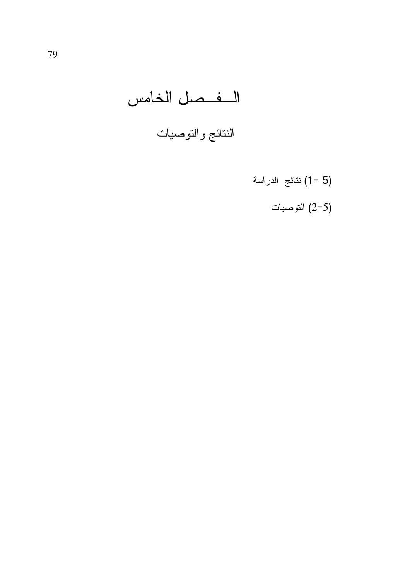# الفصل الخامس

# النتائج والتوصيات

- (5 –1) نتائج الدراسة
	- التوصيات  $(2\hbox{--}5)$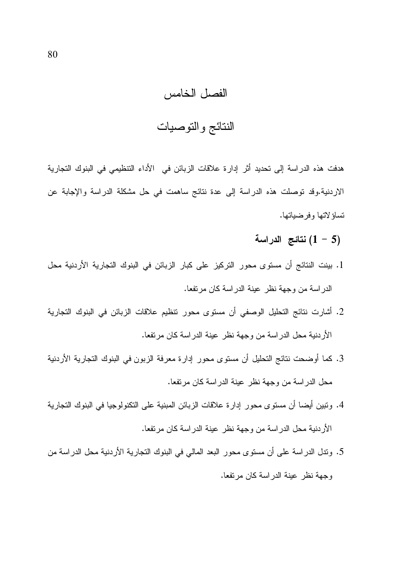# الفصل الخامس

# النتائج والتوصيات

هدفت هذه الدراسة إلى تحديد أثر إدارة علاقات الزبائن في الأداء التنظيمي في البنوك التجارية الاردنية.وقد نوصلت هذه الدراسة إلى عدة نتائج ساهمت في حل مشكلة الدراسة والإجابة عن تساؤ لاتها وفر ضباتها.

- (5 1) نتائج الدراسة
- 1. بينت النتائج أن مستوى محور التركيز على كبار الزبائن في البنوك التجارية الأردنية محل الدراسة من وجهة نظر عينة الدراسة كان مرتفعا.
- 2. أشارت نتائج التحليل الوصفى أن مستوى محور نتظيم علاقات الزبائن في البنوك التجارية الأردنية محل الدراسة من وجهة نظر عينة الدراسة كان مرتفعا.
- 3. كما أوضحت نتائج التحليل أن مستوى محور إدارة معرفة الزبون في البنوك التجارية الأردنية محل الدر اسة من وجهة نظر عينة الدر اسة كان مرتفعا.
- 4. ونبين أيضا أن مستوى محور إدارة علاقات الزبائن المبنية على التكنولوجيا في البنوك التجارية الأردنية محل الدراسة من وجهة نظر عينة الدراسة كان مرتفعا.
- 5. وندل الدراسة على أن مستوى محور البعد المالي في البنوك النجارية الأردنية محل الدراسة من وجهة نظر عينة الدراسة كان مرتفعا.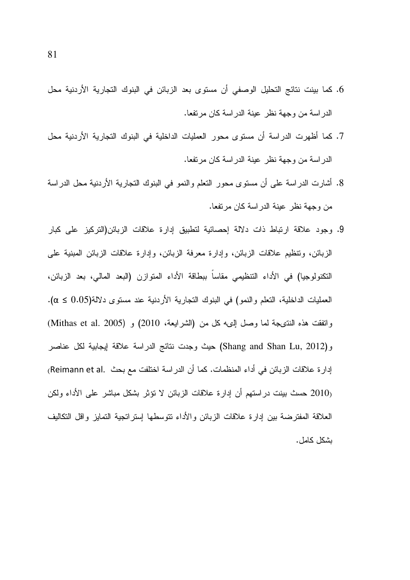- 6. كما بينت نتائج التحليل الوصفى أن مستوى بعد الزبائن في البنوك التجارية الأردنية محل الدراسة من وجهة نظر عينة الدراسة كان مرتفعا.
- 7. كما أظهرت الدراسة أن مستوى محور العمليات الداخلية في البنوك التجارية الأردنية محل الدراسة من وجهة نظر عينة الدراسة كان مرتفعا.
- 8. أشارت الدراسة على أن مستوى محور النعلم والنمو في البنوك النجارية الأردنية محل الدراسة من وجهة نظر عينة الدر اسة كان مرتفعا.
- 9. وجود علاقة ارتباط ذات دلالة إحصائية لتطبيق إدارة علاقات الزبائن(التركيز على كبار الزبائن، وتنظيم علاقات الزبائن، وإدارة معرفة الزبائن، وإدارة علاقات الزبائن المبنية على النكنولوجيا) في الأداء التنظيمي مقاساً ببطاقة الأداء المتوازن (البعد المالي، بعد الزبائن، العمليات الداخلية، التعلم والنمو) في البنوك التجارية الأردنية عند مستوى دلالة(0.05 ≥ α). وانفقت هذه النتيجة لما وصل إليه كل من (الشرايعة، 2010) و (Mithas et al. 2005) و(Shang and Shan Lu, 2012) حيث وجدت نتائج الدراسة علاقة إيجابية لكل عناصر إدار ة علاقات الزبائن في أداء المنظمات. كما أن الدر اسة اختلفت مع بحث .(Reimann et al) (2010 حسث بينت در استهم أن إدارة علاقات الزبائن لا نؤثر بشكل مباشر على الأداء ولكن العلاقة المفترضة بين إدارة علاقات الزبائن والأداء نتوسطها إستراتجية التمايز واقل التكاليف بشكل كامل.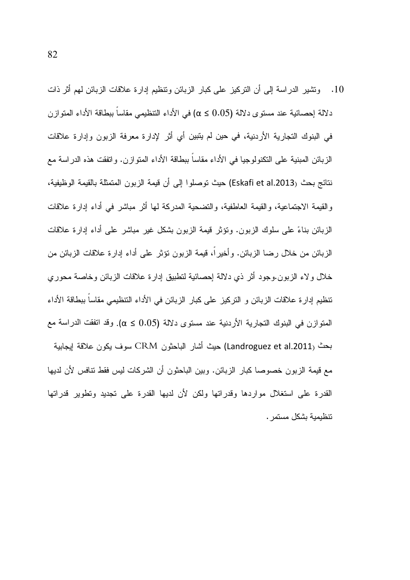10. وتشير الدراسة إلى أن النركيز على كبار الزبائن ونتظيم إدارة علاقات الزبائن لمهم أثر ذات دلالة إحصائية عند مستوى دلالة (0.05 \$ )) في الأداء التنظيمي مقاساً ببطاقة الأداء المتوازن في البنوك التجارية الأردنية، في حين لم يتبين أي أثر لإدارة معرفة الزبون وإدارة علاقات الزبائن المبنية على النكنولوجيا في الأداء مقاساً ببطاقة الأداء المتوازن. واتفقت هذه الدراسة مع نتائج بحث (Eskafi et al.2013) حيث توصلوا إلى أن قيمة الزبون المتمثلة بالقيمة الوظيفية، و القيمة الاجتماعية، و القيمة العاطفية، و التضحية المدركة لها أثر ٍ مباشرٍ في أداء إدارٍ ة علاقات الزبائن بناءً على سلوك الزبون. ونؤثر قيمة الزبون بشكل غير مباشر على أداء إدارة علاقات الزبائن من خلال رضا الزبائن. وأخير أ، قيمة الزبون تؤثِّر على أداء إدارة علاقات الزبائن من خلال ولاء الزبون.وجود أثر ذي دلالة إحصائية لنطبيق إدارة علاقات الزبائن وخاصة محوري نتظيم إدارة علاقات الزبائن و النركيز على كبار الزبائن في الأداء التنظيمي مقاساً ببطاقة الأداء المتوازن في البنوك التجارية الأردنية عند مستوى دلالة (0.05 ≤ α). وقد اتفقت الدراسة مع بحث (Landroguez et al.2011) حيث أشار الباحثون CRM سوف يكون علاقة إيجابية مع قيمة الزبون خصوصا كبار الزبائن. وبين الباحثون أن الشركات ليس فقط نتافس لأن لديها القدرة على استغلال مواردها وقدراتها ولكن لأن لديها القدرة على تجديد وتطوير قدراتها تتظيمية بشكل مستمر .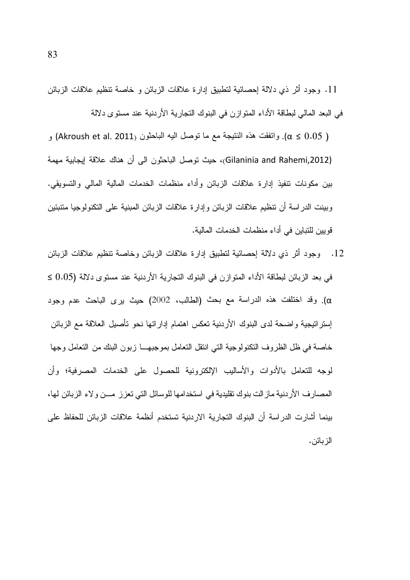11. وجود أثر ذي دلالة إحصائية لتطبيق إدارة علاقات الزبائن و خاصة تنظيم علاقات الزبائن في البعد المالي لبطاقة الأداء المتوازن في البنوك التجارية الأردنية عند مستوى دلالة

و النقوم الغقت هذه النتيجة مع ما توصل اليه الباحثون (Akroush et al. 2011) و (Akroush et al (Gilaninia and Rahemi,2012)، حيث توصل الباحثون الى أن هناك علاقة إيجابية مهمة بين مكونات تنفيذ إدارة علاقات الزبائن وأداء منظمات الخدمات المالية المالي والتسويقي. وبينت الدراسة أن نتظيم علاقات الزبائن وإدارة علاقات الزبائن المبنية على النكنولوجيا متنبئين قو بين للتباين في أداء منظمات الخدمات المالية.

12. وجود أثر ذي دلالة إحصائية لتطبيق إدارة علاقات الزبائن وخاصة نتظيم علاقات الزبائن في بعد الزبائن لبطاقة الأداء المتوازن في البنوك التجارية الأردنية عند مستوى دلالة (0.05  $\geq$ α). وقد اختلفت هذه الدراسة مع بحث (الطالب، 2002) حيث يرى الباحث عدم وجود إسترانيجية واضحة لدى البنوك الأردنية تعكس اهتمام إداراتها نحو نأصيل العلاقة مع الزبائن خاصة في ظل الظروف النكنولوجية التي انتقل النعامل بموجبهـــا زبون البنك من النعامل وجها لوجه للنعامل بالأدوات والأساليب الإلكترونية للحصول على الخدمات المصرفية؛ وأن المصـارف الأردنية مـاز الت بنوك نقليدية فـي استخدامـها للوسائل التـي تـعزز ـمـــن ولاء الزبـائن لـها، بينما أشارت الدراسة أن البنوك التجارية الاردنية تستخدم أنظمة علاقات الزبائن للحفاظ على الز بائن.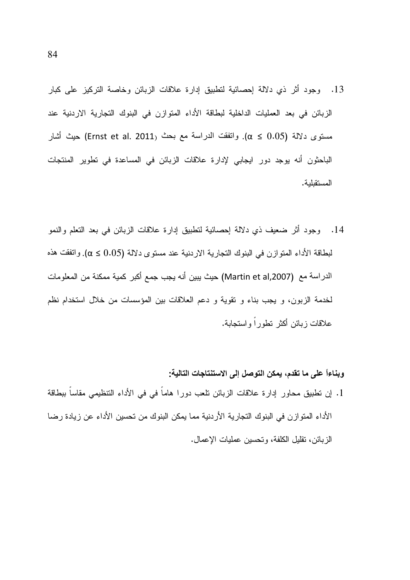- 13. وجود أثر ذي دلالة إحصائية لنطبيق إدارة علاقات الزبائن وخاصة التركيز على كبار الزبائن في بعد العمليات الداخلية لبطاقة الأداء المتوازن في البنوك التجارية الاردنية عند مستوى دلالة (α ≤ 0.05). وانفقت الدراسة مع بحث (Ernst et al. 2011) حيث أشار الباحثون أنه بوجد دور ايجابي لإدارة علاقات الزبائن في المساعدة في نطوير المنتجات المستقبلية.
- 14. وجود أثر ضعيف ذي دلالة إحصائية لتطبيق إدارة علاقات الزبائن في بعد النعلم والنمو لبطاقة الأداء المتوازن في البنوك التجارية الاردنية عند مستوى دلالة (0.05 ≤ 0). واتفقت هذه الدراسة مع (Martin et al,2007) حيث يبين أنه يجب جمع أكبر كمية ممكنة من المعلومات لخدمة الزبون، و يجب بناء و نقوية و دعم العلاقات بين المؤسسات من خلال استخدام نظم علاقات زبائن أكثر تطوراً واستجابة.

وبِناءاً على ما تقدم، يمكن التوصل إلى الاستنتاجات التالية:

1. إن تطبيق محاور إدارة علاقات الزبائن تلعب دورا هاماً في في الأداء التتظيمي مقاساً ببطاقة الأداء المتوازن في البنوك التجارية الأردنية مما يمكن البنوك من تحسين الأداء عن زيادة رضا الزبائن، نقليل الكلفة، وتحسين عمليات الإعمال.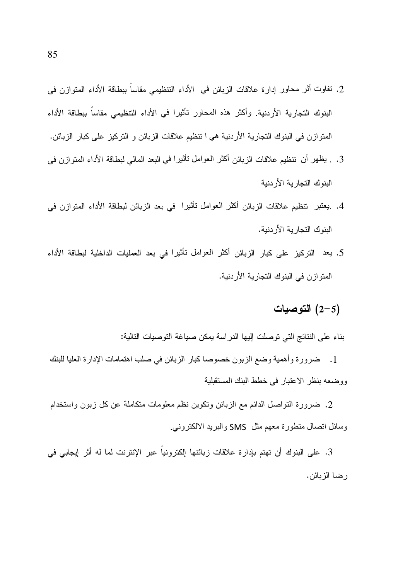- 2. تفاوت أثر محاور إدارة علاقات الزبائن في الأداء التنظيمي مقاساً ببطاقة الأداء المتوازن في البنوك التجار بة الأر دنية. وأكثر هذه المحاور تأثيرا في الأداء التنظيمي مقاساً ببطاقة الأداء المنوازن في البنوك التجارية الأردنية هي ا نتظيم علاقات الزبائن و التركيز على كبار الزبائن.
- 3. . يظهر أن تنظيم علاقات الزبائن أكثر العوامل نـأثيرا في البعد المالي لبطاقة الأداء المتوازن في البنوك التجار بة الأر دنبة
- 4. يعتبر تنظيم علاقات الزبائن أكثر العوامل تأثيرا في بعد الزبائن لبطاقة الأداء المتوازن في البنوك التجارية الأردنية.
- 5. يعد التركيز على كبار الزبائن أكثر العوامل تأثيرا في بعد العمليات الداخلية لبطاقة الأداء المنو از ن في البنوك التجارية الأردنية.

### التوصيات)  $(2-5)$

بناء على النتائج التي توصلت إليها الدراسة يمكن صياغة التوصيات التالية:

1. ضرورة وأهمية وضع الزبون خصوصا كبار الزبائن في صلب اهتمامات الإدارة العليا للبنك ووضعه بنظر الاعتبار في خطط البنك المستقبلية

2. ضرورة التواصل الدائم مع الزبائن وتكوين نظم معلومات متكاملة عن كل زبون واستخدام وسائل انصال منطورة معهم مثل SMS والبريد الالكتروني<sub>.</sub>

3. على البنوك أن تهتم بإدارة علاقات زبائنها إلكترونياً عبر الإنترنت لما له أثر إيجابي في رضا الزبائن.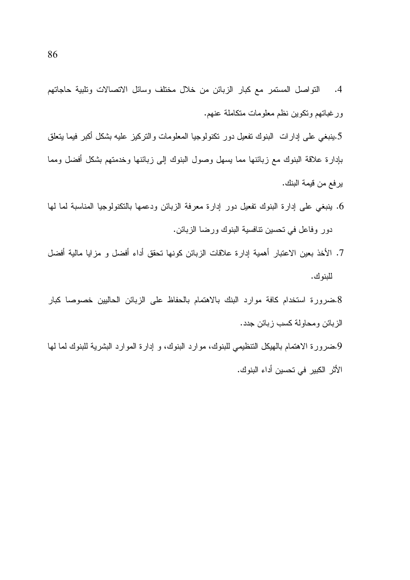النواصل المستمر مع كبار الزبائن من خلال مختلف وسائل الاتصالات وتلبية حاجاتهم  $\cdot$ 4 ورغبانهم وتكوين نظم معلومات متكاملة عنهم.

5.ينبغي على إدارات البنوك نفعيل دور نكنولوجيا المعلومات والتركيز عليه بشكل أكبر فيما يتعلق بإدارة علاقة البنوك مع زبائنها مما يسهل وصول البنوك إلى زبائنها وخدمتهم بشكل أفضل ومما يرفع من قيمة البنك.

- 6. ينبغي على إدارة البنوك تفعيل دور إدارة معرفة الزبائن ودعمها بالتكنولوجيا المناسبة لما لها دور وفاعل في تحسين نتافسية البنوك ورضا الزبائن.
- 7. الأخذ بعين الاعتبار أهمية إدارة علاقات الزبائن كونها تحقق أداء أفضل و مزايا مالية أفضل للبنو ك.

8.ضرورة استخدام كافة موارد البنك بالاهتمام بالحفاظ على الزبائن الحاليين خصوصا كبار الزبائن ومحاولة كسب زبائن جدد.

9.ضرورة الاهتمام بالهيكل التنظيمي للبنوك، موارد البنوك، و إدارة الموارد البشرية للبنوك لما لها الأثر الكبير في تحسين أداء البنوك.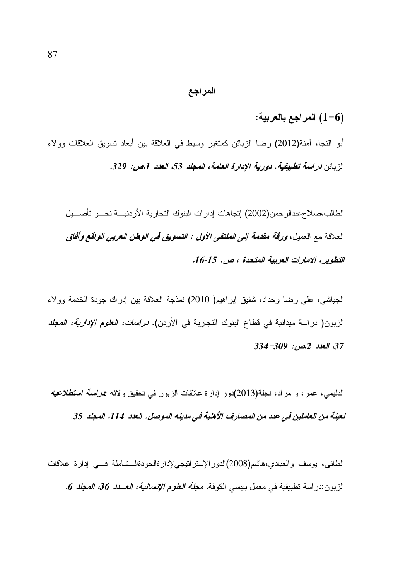#### المراجع

#### (6–1) المراجع بالعربية:

أبو النجا، آمنة(2012) رضا الزبائن كمتغير وسيط في العلاقة بين أبعاد تسويق العلاقات وولاء الزبائن دراسة تطبيقية. دورية الإدارة العامة، المجلد 53، العدد 1،ص: 329.

الطالب،صلاحعبدالرحمن(2002) إتجاهات إدارات البنوك النجارية الأردنيـــة نحـــو تأصــــيل العلاقة مع العميل، *ورقة مقدمة إلى الملتقى الأول : التسويق في الوطن العربي الواقع وأفاق* التطوير ، الإمارات العربية المتحدة ، ص. 15-16.

الجياشي، على رضا وحداد، شفيق إبراهيم( 2010) نمذجة العلاقة بين إدراك جودة الخدمة وولاء الزبون( دراسة ميدانية في قطاع البنوك التجارية في الأردن). *دراسات، العلوم الإدارية، المجلد* 37، العدد 2،ص: 309-334

الدليمي، عمر، و مراد، نجلة(2013)دور إدارة علاقات الزبون في نحقيق ولائه ممر*اسة استطلاعيه* لعينة من العاملين في عدد من المصارف الأهلية في مدينه الموصل. العدد 114، المجلد 35.

الطائبي، بوسف والعبادي،هاشم(2008)الدورالإسترانتيجي/إدارةالجودةالـــشاملة فــــي إدارة علاقات الزبون:در اسة نطبيقية في معمل بيبسي الكوفة. **مج***لة العلوم الإنسانية، العــدد 36، المجلد 6.*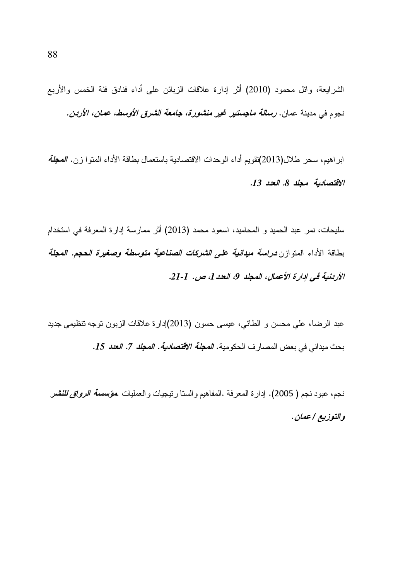الشرايعة، وائل محمود (2010) أثر إدارة علاقات الزبائن على أداء فنادق فئة الخمس والأربع نجوم في مدينة عمان. *رسالة ماجستير* غير من*شورة، جامعة الشرق الأوسط، عمان، الأردن.* 

ابر اهيم، سحر طلال(2013)تقويم أداء الوحدات الاقتصادية باستعمال بطاقة الأداء المتوا زن. *المجلة* الاقتصادية مجلد 8. العدد 13.

سليحات، نمر عبد الحميد و المحاميد، اسعود محمد (2013) أثر ممارسة إدارة المعرفة في استخدام بطاقة الأداء المنوازن *دراسة ميدانية على الشركات الصناعية متوسطة وصغيرة ال*حجم. *العجلة* الأربنية في إدارة الأعمال، المجلد 9، العدد [، ص. 1-21.

عبد الرضا، على محسن و الطائبي، عيسى حسون (2013)إدارة علاقات الزبون نوجه نتظيمي جديد بحث ميداني في بعض المصار ف الحكو مية. *المجلة الاقتصادية. المجلد 7. العدد 15.* 

نجم، عبود نجم ( 2005). إدارة المعرفة .المفاهيم والسنا رنيجيات والعمليات .*مؤسسة الرواق للنشر* والتوزيع | عمان.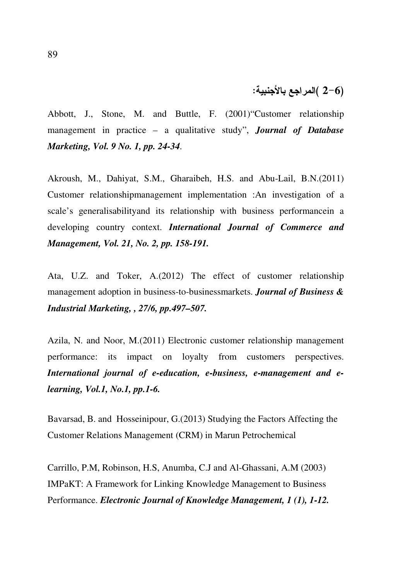## (2–6 )المراجع بالأجنبية:

Abbott, J., Stone, M. and Buttle, F. (2001)"Customer relationship management in practice – a qualitative study", *Journal of Database Marketing, Vol. 9 No. 1, pp. 24-34*.

Akroush, M., Dahiyat, S.M., Gharaibeh, H.S. and Abu-Lail, B.N.(2011) Customer relationshipmanagement implementation :An investigation of a scale's generalisabilityand its relationship with business performancein a developing country context. *International Journal of Commerce and Management, Vol. 21, No. 2, pp. 158-191.*

Ata, U.Z. and Toker, A.(2012) The effect of customer relationship management adoption in business-to-businessmarkets. *Journal of Business & Industrial Marketing, , 27/6, pp.497–507.* 

Azila, N. and Noor, M.(2011) Electronic customer relationship management performance: its impact on loyalty from customers perspectives. *International journal of e-education, e-business, e-management and elearning, Vol.1, No.1, pp.1-6.*

Bavarsad, B. and Hosseinipour, G.(2013) Studying the Factors Affecting the Customer Relations Management (CRM) in Marun Petrochemical

Carrillo, P.M, Robinson, H.S, Anumba, C.J and Al-Ghassani, A.M (2003) IMPaKT: A Framework for Linking Knowledge Management to Business Performance. *Electronic Journal of Knowledge Management, 1 (1), 1-12.*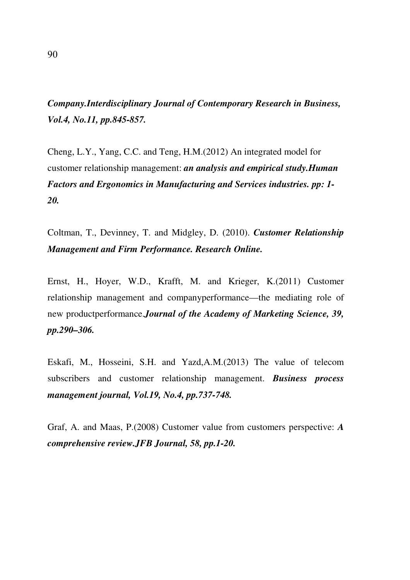# *Company.Interdisciplinary Journal of Contemporary Research in Business, Vol.4, No.11, pp.845-857.*

Cheng, L.Y., Yang, C.C. and Teng, H.M.(2012) An integrated model for customer relationship management: *an analysis and empirical study.Human Factors and Ergonomics in Manufacturing and Services industries. pp: 1- 20.*

Coltman, T., Devinney, T. and Midgley, D. (2010). *Customer Relationship Management and Firm Performance. Research Online.*

Ernst, H., Hoyer, W.D., Krafft, M. and Krieger, K.(2011) Customer relationship management and companyperformance—the mediating role of new productperformance.*Journal of the Academy of Marketing Science, 39, pp.290–306.*

Eskafi, M., Hosseini, S.H. and Yazd,A.M.(2013) The value of telecom subscribers and customer relationship management. *Business process management journal, Vol.19, No.4, pp.737-748.*

Graf, A. and Maas, P.(2008) Customer value from customers perspective: *A comprehensive review.JFB Journal, 58, pp.1-20.*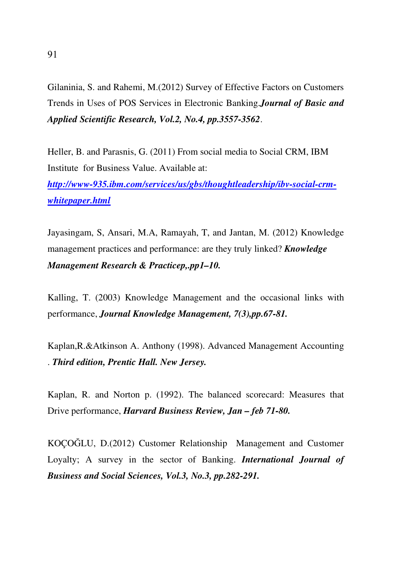Gilaninia, S. and Rahemi, M.(2012) Survey of Effective Factors on Customers Trends in Uses of POS Services in Electronic Banking.*Journal of Basic and Applied Scientific Research, Vol.2, No.4, pp.3557-3562*.

Heller, B. and Parasnis, G. (2011) From social media to Social CRM, IBM Institute for Business Value. Available at:

*http://www-935.ibm.com/services/us/gbs/thoughtleadership/ibv-social-crmwhitepaper.html*

Jayasingam, S, Ansari, M.A, Ramayah, T, and Jantan, M. (2012) Knowledge management practices and performance: are they truly linked? *Knowledge Management Research & Practicep,.pp1–10.* 

Kalling, T. (2003) Knowledge Management and the occasional links with performance, *Journal Knowledge Management, 7(3),pp.67-81.*

Kaplan,R.&Atkinson A. Anthony (1998). Advanced Management Accounting . *Third edition, Prentic Hall. New Jersey.*

Kaplan, R. and Norton p. (1992). The balanced scorecard: Measures that Drive performance, *Harvard Business Review, Jan – feb 71-80.*

KOÇOĞLU, D.(2012) Customer Relationship Management and Customer Loyalty; A survey in the sector of Banking. *International Journal of Business and Social Sciences, Vol.3, No.3, pp.282-291.*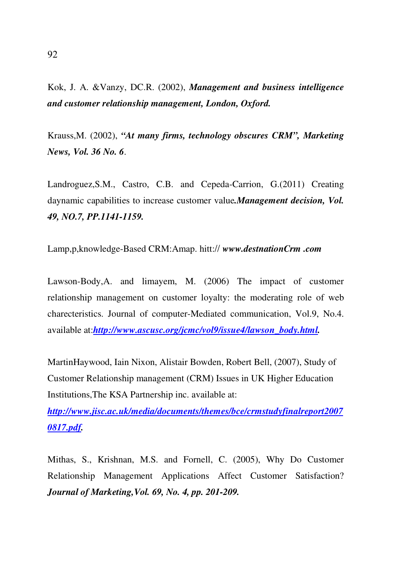Kok, J. A. &Vanzy, DC.R. (2002), *Management and business intelligence and customer relationship management, London, Oxford.*

Krauss,M. (2002), *"At many firms, technology obscures CRM", Marketing News, Vol. 36 No. 6*.

Landroguez,S.M., Castro, C.B. and Cepeda-Carrion, G.(2011) Creating daynamic capabilities to increase customer value*.Management decision, Vol. 49, NO.7, PP.1141-1159.*

Lamp,p,knowledge-Based CRM:Amap. hitt:// *www.destnationCrm .com*

Lawson-Body,A. and limayem, M. (2006) The impact of customer relationship management on customer loyalty: the moderating role of web charecteristics. Journal of computer-Mediated communication, Vol.9, No.4. available at:*http://www.ascusc.org/jcmc/vol9/issue4/lawson\_body.html.*

MartinHaywood, Iain Nixon, Alistair Bowden, Robert Bell, (2007), Study of Customer Relationship management (CRM) Issues in UK Higher Education Institutions,The KSA Partnership inc. available at:

*http://www.jisc.ac.uk/media/documents/themes/bce/crmstudyfinalreport2007 0817.pdf.*

Mithas, S., Krishnan, M.S. and Fornell, C. (2005), Why Do Customer Relationship Management Applications Affect Customer Satisfaction? *Journal of Marketing,Vol. 69, No. 4, pp. 201-209.*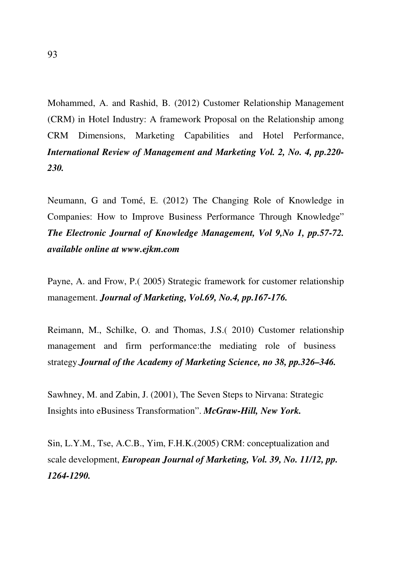Mohammed, A. and Rashid, B. (2012) Customer Relationship Management (CRM) in Hotel Industry: A framework Proposal on the Relationship among CRM Dimensions, Marketing Capabilities and Hotel Performance, *International Review of Management and Marketing Vol. 2, No. 4, pp.220- 230.*

Neumann, G and Tomé, E. (2012) The Changing Role of Knowledge in Companies: How to Improve Business Performance Through Knowledge" *The Electronic Journal of Knowledge Management, Vol 9,No 1, pp.57-72. available online at www.ejkm.com*

Payne, A. and Frow, P.( 2005) Strategic framework for customer relationship management. *Journal of Marketing, Vol.69, No.4, pp.167-176.*

Reimann, M., Schilke, O. and Thomas, J.S.( 2010) Customer relationship management and firm performance:the mediating role of business strategy.*Journal of the Academy of Marketing Science, no 38, pp.326–346.*

Sawhney, M. and Zabin, J. (2001), The Seven Steps to Nirvana: Strategic Insights into eBusiness Transformation". *McGraw-Hill, New York.*

Sin, L.Y.M., Tse, A.C.B., Yim, F.H.K.(2005) CRM: conceptualization and scale development, *European Journal of Marketing, Vol. 39, No. 11/12, pp. 1264-1290.*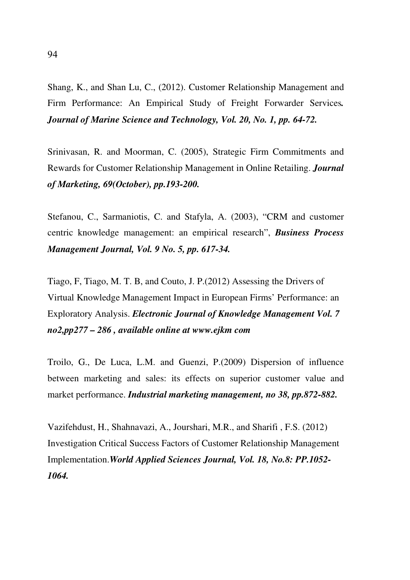Shang, K., and Shan Lu, C., (2012). Customer Relationship Management and Firm Performance: An Empirical Study of Freight Forwarder Services*. Journal of Marine Science and Technology, Vol. 20, No. 1, pp. 64-72.*

Srinivasan, R. and Moorman, C. (2005), Strategic Firm Commitments and Rewards for Customer Relationship Management in Online Retailing. *Journal of Marketing, 69(October), pp.193-200.*

Stefanou, C., Sarmaniotis, C. and Stafyla, A. (2003), "CRM and customer centric knowledge management: an empirical research", *Business Process Management Journal, Vol. 9 No. 5, pp. 617-34.*

Tiago, F, Tiago, M. T. B, and Couto, J. P.(2012) Assessing the Drivers of Virtual Knowledge Management Impact in European Firms' Performance: an Exploratory Analysis. *Electronic Journal of Knowledge Management Vol. 7 no2,pp277 – 286 , available online at www.ejkm com* 

Troilo, G., De Luca, L.M. and Guenzi, P.(2009) Dispersion of influence between marketing and sales: its effects on superior customer value and market performance. *Industrial marketing management, no 38, pp.872-882.*

Vazifehdust, H., Shahnavazi, A., Jourshari, M.R., and Sharifi , F.S. (2012) Investigation Critical Success Factors of Customer Relationship Management Implementation.*World Applied Sciences Journal, Vol. 18, No.8: PP.1052- 1064.*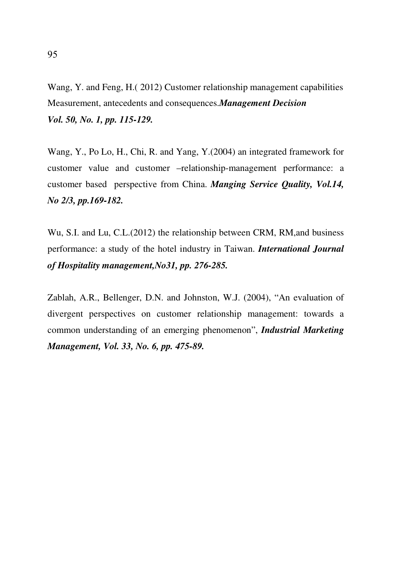Wang, Y. and Feng, H.( 2012) Customer relationship management capabilities Measurement, antecedents and consequences.*Management Decision Vol. 50, No. 1, pp. 115-129.* 

Wang, Y., Po Lo, H., Chi, R. and Yang, Y.(2004) an integrated framework for customer value and customer –relationship-management performance: a customer based perspective from China. *Manging Service Quality, Vol.14, No 2/3, pp.169-182.*

Wu, S.I. and Lu, C.L.(2012) the relationship between CRM, RM,and business performance: a study of the hotel industry in Taiwan. *International Journal of Hospitality management,No31, pp. 276-285.*

Zablah, A.R., Bellenger, D.N. and Johnston, W.J. (2004), "An evaluation of divergent perspectives on customer relationship management: towards a common understanding of an emerging phenomenon", *Industrial Marketing Management, Vol. 33, No. 6, pp. 475-89.*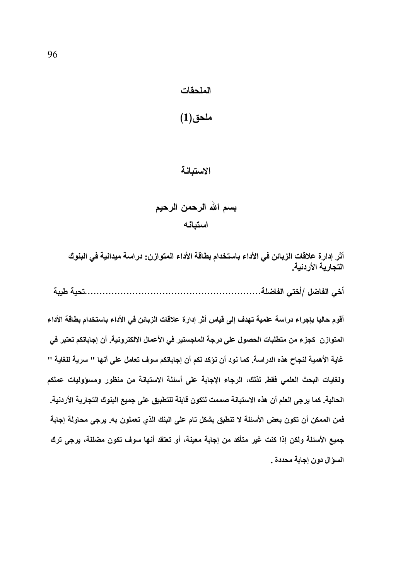#### الملحقات

### ملحق(1)

#### الاستبانة

## بسم الله الرحمن الرحيم استبانه

أثر إدارة علاقات الزبائن في الأداء باستخدام بطاقة الأداء المتوازن: دراسة ميدانية في البنوك التجارية الأردنية.

أقوم حاليا بإجراء دراسة علمية تهدف إلى قياس أثر إدارة علاقات الزبائن في الأداء باستخدام بطاقة الأداء المتوازن كجزء من متطلبات الحصول على درجة الماجستير في الأعمال الالكترونية. أن إجاباتكم تعتبر في غاية الأهمية لنجاح هذه الدراسة. كما نود أن نؤكد لكم أن إجاباتكم سوف تعامل على أنها '' سرية للغاية '' ولغايات البحث العلمي فقط لذلك، الرجاء الإجابة على أسئلة الاستبانة من منظور ومسؤوليات عملكم الحالية. كما يرجى العلم أن هذه الاستبانة صممت لتكون قابلة للتطبيق على جميع البنوك التجارية الأردنية. فمن الممكن أن تكون بعض الأسئلة لا تنطبق بشكل تام على البنك الذي تعملون به. يرجى محاولة إجابة جميع الأسئلة ولكن إذا كنت غير متأكد من إجابة معينة، أو تعتقد أنها سوف تكون مضللة، يرجى ترك السوال دون إجابة محددة .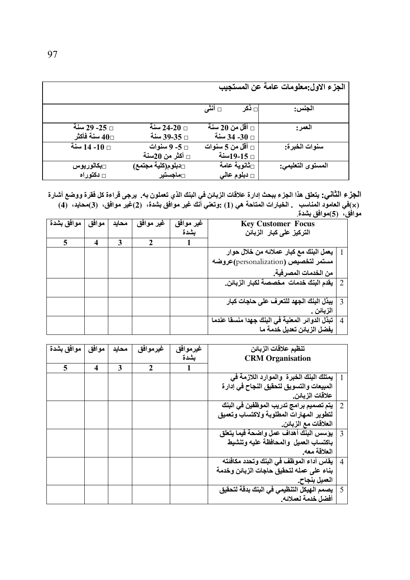|                                          |                                          |                                          | الجزء الاول:معلومات عامة عن المستجيب |
|------------------------------------------|------------------------------------------|------------------------------------------|--------------------------------------|
|                                          |                                          | □ أنثي<br>ا⊟ ڏکر                         | الجنس:                               |
| □ 25- 29 سنة<br>سنة فأكثر $40$           | سنة $24$ -20 سنة $\Box$<br>□ 39-35 سنة   | اقل من 20 سنة $_\square$<br>□ 34- 34 سنة | العمر :                              |
| □ 10- 14 سنة                             | □ 5- 9 سنوات<br>اكثر من 20سنة $_\square$ | □ أقل من 5 سنوات<br>□ 15-19سنة           | سنوات الخبرة:                        |
| <sub>□</sub> بكالوريوس<br>$\Box$ دکتوراه | □دبلوم(كلية مجتمع)<br><b>□ماجستي</b> ر   | ∏ثانوية عامة<br>$_\square$ دبلوم عالی    | المستوى التعليمي:                    |

ا**لـجز**ع الثـأنـي: يتعلق هذا الـجزء ببحث إدارة علاقات الزبـانن في البنك الذي تعملون بـ4. يرجى قراءة كل ففرة ووضـع أشـارة<br>(×)في العامود المنـاسب . الـخيـارات المتـاحـة هي (1) :وتعنـي أنك غير موافق بشدة، (2)غير موافق، ( موافق، (5)موافق بشدة

| موافق بشدة | موافق            | محابد | غير موافق | غير موافق | $\cdot$ $\bullet$ $\cdot$ $\cdot$ $\cdot$<br><b>Key Customer Focus</b> |  |
|------------|------------------|-------|-----------|-----------|------------------------------------------------------------------------|--|
|            |                  |       |           | بشدة      | التركيز على كبار الزبائن                                               |  |
| 5          | $\boldsymbol{4}$ | 3     |           |           |                                                                        |  |
|            |                  |       |           |           | يعمل البنك مع كبار عملائه من خلال حوار                                 |  |
|            |                  |       |           |           | مستمر لتخصيص (personalization)عروضه                                    |  |
|            |                  |       |           |           | من الخدمات المصرفية.                                                   |  |
|            |                  |       |           |           | يقدم البِنْكَ خدمات  مخصصة لكبار الزبائن.<br>$\overline{2}$            |  |
|            |                  |       |           |           |                                                                        |  |
|            |                  |       |           |           | يبذل البنك الجهد للتعرف على حاجات كبار                                 |  |
|            |                  |       |           |           | الزبائن .                                                              |  |
|            |                  |       |           |           | تبذل الدوائر المعنية في البنك جهدا منسقا عندما<br>$\overline{4}$       |  |
|            |                  |       |           |           | يفضل الزبائن تعديل خدمة ما                                             |  |

|                | تنظيم علاقات الزبائن                        | غيرموافق | غيرموافق       | محايد | موافق | موافق بشدة |
|----------------|---------------------------------------------|----------|----------------|-------|-------|------------|
|                | <b>CRM</b> Organisation                     | بشدة     |                |       |       |            |
|                |                                             | 1        | $\overline{2}$ | 3     | 4     | 5          |
|                | يمتلك البنك الخبرة  والموارد اللازمة في     |          |                |       |       |            |
|                | المبيعات والتسويق لتحقيق النجاح في إدارة    |          |                |       |       |            |
|                | علاقات الزبائن.                             |          |                |       |       |            |
|                | 2   يتم تصميم برامج تدريب الموظفين في البنك |          |                |       |       |            |
|                | لتطوير المهارات المطلوبة ولاكتساب وتعميق    |          |                |       |       |            |
|                | العلاقات مع الزبائن.                        |          |                |       |       |            |
| 3              | يؤسس البنك أهداف عمل واضحة فيما يتعلق       |          |                |       |       |            |
|                | باكتساب العميل والمحافظة عليه وتنشيط        |          |                |       |       |            |
|                | العلاقة معه                                 |          |                |       |       |            |
| $\overline{4}$ | يقاس أداع الموظف في البنك وتحدد مكافئته     |          |                |       |       |            |
|                | بناء على عمله لتحقيق حاجات الزبائن وخدمة    |          |                |       |       |            |
|                | العميل بنجاح.                               |          |                |       |       |            |
| - 5            | يصمم الـهيكل التنظيمي في البنك بدقة لتحقيق  |          |                |       |       |            |
|                | أفضل خدمة لعملائه.                          |          |                |       |       |            |
|                |                                             |          |                |       |       |            |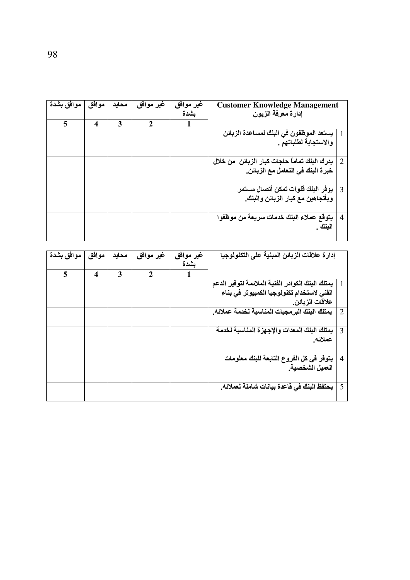| موافق بشدة | موافق | محايد | غير موافق    | غير موافق<br>بشدة | <b>Customer Knowledge Management</b><br>إدارة معرفة الزبون                         |                |
|------------|-------|-------|--------------|-------------------|------------------------------------------------------------------------------------|----------------|
| 5          | 4     | 3     | $\mathbf{2}$ |                   |                                                                                    |                |
|            |       |       |              |                   | يستعد الموظفون في البنك لمساعدة الزبائن<br>والاستجابة لطلباتهم .                   |                |
|            |       |       |              |                   | يدرك البنك تماماً حاجات كبار الزبائن  من خلال<br>خبرة البنك في التعامل مع الزبائن. | 2              |
|            |       |       |              |                   | يوفر البنك قنوات تمكن أتصال مستمر<br>وبأتجاهين مع كبار الزبائن والبنك.             | $\overline{3}$ |
|            |       |       |              |                   | يتوقع عملاء البنك خدمات سريعة من موظفوا<br>البنك .                                 | $\overline{4}$ |

|                | إدارة علاقات الزبائن المبنية على التكنولوجيا     | غير موافق | غير موافق    | محايد | موافق | موافق بشدة |
|----------------|--------------------------------------------------|-----------|--------------|-------|-------|------------|
|                |                                                  | بشدة      |              |       |       |            |
|                |                                                  |           | $\mathbf{2}$ | 3     | 4     | 5          |
|                | يمتلك البنك الكوادر الفنية الملائمة لتوفير الدعم |           |              |       |       |            |
|                | الفنى لاستخدام تكنولوجيا الكمبيوتر في بناء       |           |              |       |       |            |
|                | علاقات الزبائن.                                  |           |              |       |       |            |
| 2              | يمتلك البنك البرمجيات المناسبة لخدمة عملائه.     |           |              |       |       |            |
|                |                                                  |           |              |       |       |            |
| 3              | يمتلك البنك المعدات والإجهزة المناسبة لخدمة      |           |              |       |       |            |
|                | عملائه.                                          |           |              |       |       |            |
| $\overline{4}$ | يتوفر في كل الفروع التابعة للبنك معلومات         |           |              |       |       |            |
|                | العميل الشخصية.                                  |           |              |       |       |            |
| 5              | يحتفظ البنك في قاعدة بيانات شاملة لعملائه.       |           |              |       |       |            |
|                |                                                  |           |              |       |       |            |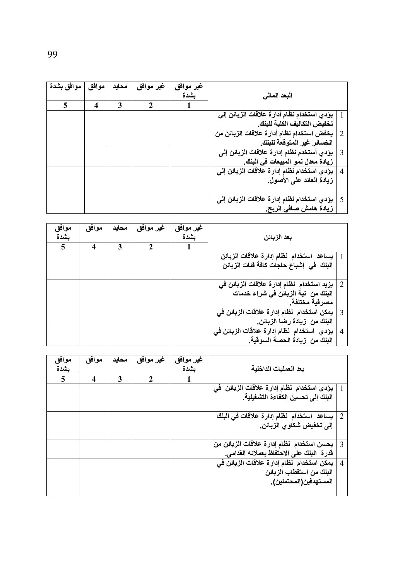| موافق بشدة | موافق | محايد | غير موافق | غير موافق |                                                    |                |
|------------|-------|-------|-----------|-----------|----------------------------------------------------|----------------|
|            |       |       |           | بشدة      | البعد المالي                                       |                |
| 5          | 4     | 3     | 2         |           |                                                    |                |
|            |       |       |           |           | يؤدي استخدام نظام أدارة علاقات الزبائن إلى         |                |
|            |       |       |           |           | تخفيض التكاليف الكلية للبنك                        |                |
|            |       |       |           |           | يخفض استخدام نظام أدارة علاقات الزبائن من          | 2              |
|            |       |       |           |           | الخسائر غير المتوقعة للبنك.                        |                |
|            |       |       |           |           | يؤدي أستخدم نظام إدارة علاقات الزبائن إلى          | $\overline{3}$ |
|            |       |       |           |           | زيادة معدل نمو المبيعات في البِنك.                 |                |
|            |       |       |           |           | يؤدي استخدام نظام إدارة علاقات الزبائن إل <i>ى</i> | $\overline{4}$ |
|            |       |       |           |           | زيادة العائد على الأصول.                           |                |
|            |       |       |           |           |                                                    |                |
|            |       |       |           |           | يؤدي استخدام نظام إدارة علاقات الزبائن إلى         | 5              |
|            |       |       |           |           | زيادة هامش صافى الربح.                             |                |

| موافق | موافق                   | محايد | غير موافق | غير موافق |                                            |                |
|-------|-------------------------|-------|-----------|-----------|--------------------------------------------|----------------|
| بشدة  |                         |       |           | بشدة      | بعد الزبائن                                |                |
| 5     | $\overline{\mathbf{4}}$ | 3     | 2         |           |                                            |                |
|       |                         |       |           |           | يساعد استخدام نظام إدارة علاقات الزبائن    |                |
|       |                         |       |           |           | البِنْكَ في إشباع حاجات كافة فَنات الزبائن |                |
|       |                         |       |           |           |                                            |                |
|       |                         |       |           |           | يزيد استخدام  نظام إدارة علاقات الزبائن في | 2              |
|       |                         |       |           |           | البنك من  نية الزبائن في شراع خدمات        |                |
|       |                         |       |           |           | مصرفية مختلفة                              |                |
|       |                         |       |           |           | يمكن استخدام نظام إدارة علاقات الزبائن في  | $\mathcal{R}$  |
|       |                         |       |           |           | البنك من زيادة رضا الزبائن.                |                |
|       |                         |       |           |           | يؤدي استخدام نظام إدارة علاقات الزبائن في  | $\overline{4}$ |
|       |                         |       |           |           | البنك من زيادة الحصة السوقية.              |                |

| موافق | موافق                   | محايد | غير موافق    | غير موافق |                                                             |
|-------|-------------------------|-------|--------------|-----------|-------------------------------------------------------------|
| بشدة  |                         |       |              | ىشدة      | بعد العمليات الداخلية                                       |
| 5     | $\overline{\mathbf{4}}$ | 3     | $\mathbf{2}$ |           |                                                             |
|       |                         |       |              |           | يؤدي استخدام نظام إدارة علاقات الزبائن ً ف <i>ي</i>         |
|       |                         |       |              |           | البِنْكَ إِلَى تحسين الكفاءة التشغيلية.                     |
|       |                         |       |              |           |                                                             |
|       |                         |       |              |           | يساعد استخدام نظام إدارة علاقات في البنك<br>2               |
|       |                         |       |              |           | إلى تخفيض شكاو ي الزبائن.                                   |
|       |                         |       |              |           |                                                             |
|       |                         |       |              |           | يحسن استخدام نظام إدارة علاقات الزبائن من<br>3              |
|       |                         |       |              |           | قدرة   البنك على الاحتفاظ بعملائه القدامى.                  |
|       |                         |       |              |           | يمكن استخدام نظام إدارة علاقات الزبائن في<br>$\overline{4}$ |
|       |                         |       |              |           | البنك من استقطاب الزبائن                                    |
|       |                         |       |              |           | المستهدفين(المحتملين).                                      |
|       |                         |       |              |           |                                                             |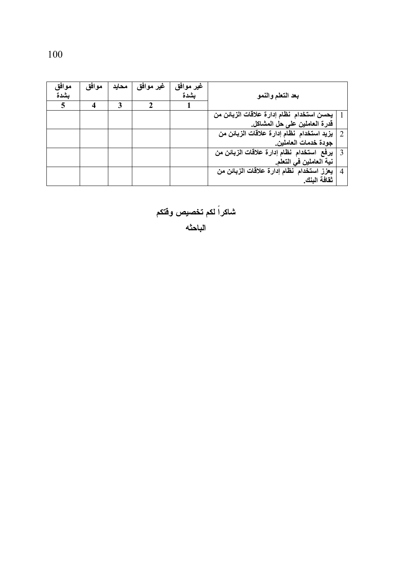| موافق | موافق | محايد | غير موافق | غير موافق |                                           |   |
|-------|-------|-------|-----------|-----------|-------------------------------------------|---|
| بشدة  |       |       |           | بشدة      | بعد التعلم والنمو                         |   |
| 5     | 4     | 3     | 2         |           |                                           |   |
|       |       |       |           |           | يحسن استخدام نظام إدارة علاقات الزبائن من |   |
|       |       |       |           |           | قدرة العاملين على حل المشاكل.             |   |
|       |       |       |           |           | يزيد استخدام نظام إدارة علاقات الزبائن من | 2 |
|       |       |       |           |           | جودة خدمات العاملين.                      |   |
|       |       |       |           |           | يرفع استخدام نظام إدارة علاقات الزبائن من | 3 |
|       |       |       |           |           | نية العاملين في التعلم.                   |   |
|       |       |       |           |           | يعزز استخدام نظام إدارة علاقات الزبائن من | 4 |
|       |       |       |           |           | ثقافة البنك                               |   |

شاكراً لكم تخصيص وفتكم<br>الباحثه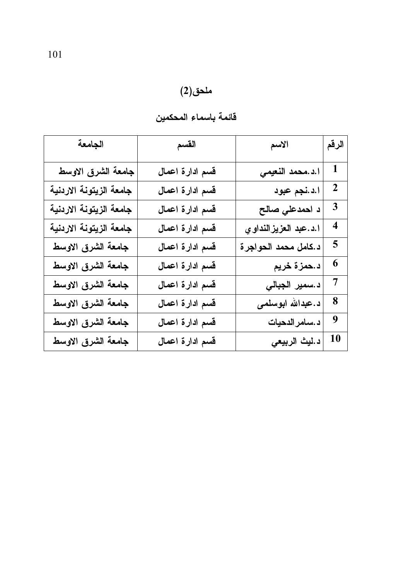| الجامعة                 | القسم           | الاسم                 | الرقم                   |
|-------------------------|-----------------|-----------------------|-------------------------|
| جامعة الشرق الاوسط      | قسم ادارة اعمال | ا.د.محمد النعيمي      | 1                       |
| جامعة الزيتونة الاردنية | قسم ادارة اعمال | ا.د.نجم عبود          | $\mathbf 2$             |
| جامعة الزيتونة الاردنية | قسم ادارة اعمال | د احمدعلي صالح        | $\mathbf{3}$            |
| جامعة الزيتونة الاردنية | قسم ادارة اعمال | ا.د.عبد العزيزالنداوي | $\overline{\mathbf{4}}$ |
| جامعة الشرق الاوسط      | قسم ادارة اعمال | د.كامل محمد الحواجرة  | 5                       |
| جامعة الشرق الاوسط      | قسم ادارة اعمال | د.حمزة خريم           | 6                       |
| جامعة الشرق الاوسط      | قسم ادارة اعمال | د .سمير الجبالي       | 7                       |
| جامعة الشرق الاوسط      | قسم ادارة اعمال | د.عبدالله ابوسلمی     | 8                       |
| جامعة الشرق الاوسط      | قسم ادارة اعمال | د .سامر الدحيات       | 9                       |
| جامعة الشرق الاوسط      | قسم ادارة اعمال | د ليث الربيعي         | 10                      |

# ملحق(2)<br>قائمة باسماء المحكمين